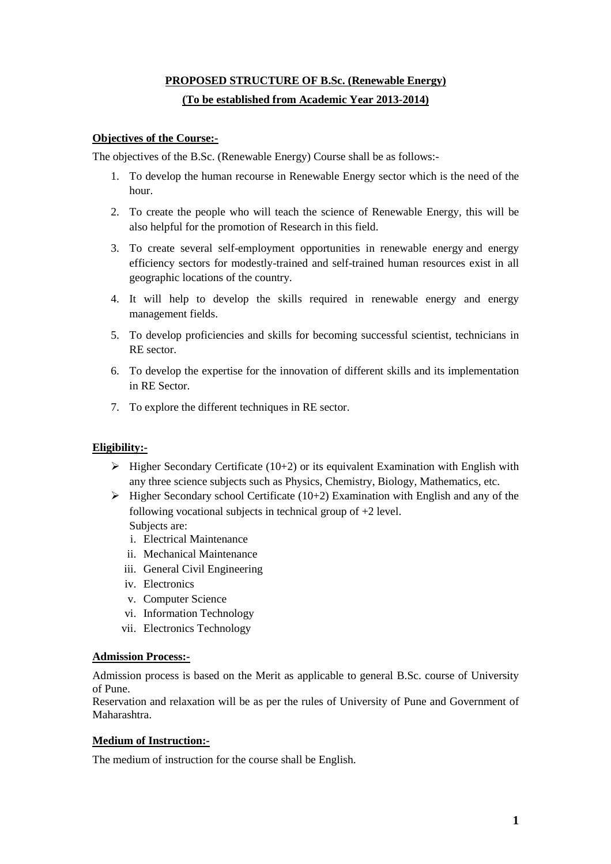# **PROPOSED STRUCTURE OF B.Sc. (Renewable Energy) (To be established from Academic Year 2013-2014)**

#### **Objectives of the Course:-**

The objectives of the B.Sc. (Renewable Energy) Course shall be as follows:-

- 1. To develop the human recourse in Renewable Energy sector which is the need of the hour.
- 2. To create the people who will teach the science of Renewable Energy, this will be also helpful for the promotion of Research in this field.
- 3. To create several self-employment opportunities in renewable energy and energy efficiency sectors for modestly-trained and self-trained human resources exist in all geographic locations of the country.
- 4. It will help to develop the skills required in renewable energy and energy management fields.
- 5. To develop proficiencies and skills for becoming successful scientist, technicians in RE sector.
- 6. To develop the expertise for the innovation of different skills and its implementation in RE Sector.
- 7. To explore the different techniques in RE sector.

#### **Eligibility:-**

- $\triangleright$  Higher Secondary Certificate (10+2) or its equivalent Examination with English with any three science subjects such as Physics, Chemistry, Biology, Mathematics, etc.
- $\triangleright$  Higher Secondary school Certificate (10+2) Examination with English and any of the following vocational subjects in technical group of +2 level. Subjects are:
	- i. Electrical Maintenance
	- ii. Mechanical Maintenance
	- iii. General Civil Engineering
	- iv. Electronics
	- v. Computer Science
	- vi. Information Technology
	- vii. Electronics Technology

#### **Admission Process:-**

Admission process is based on the Merit as applicable to general B.Sc. course of University of Pune.

Reservation and relaxation will be as per the rules of University of Pune and Government of Maharashtra.

#### **Medium of Instruction:-**

The medium of instruction for the course shall be English.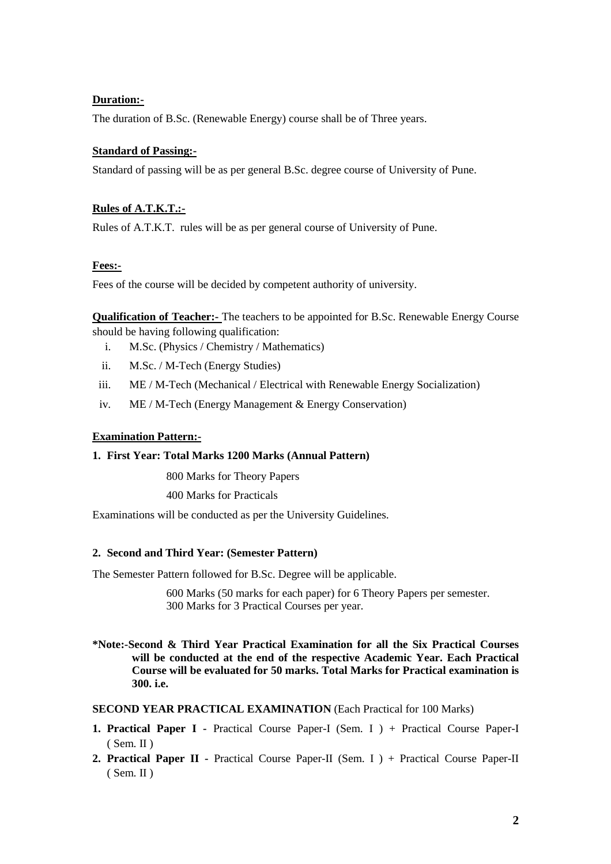#### **Duration:-**

The duration of B.Sc. (Renewable Energy) course shall be of Three years.

#### **Standard of Passing:-**

Standard of passing will be as per general B.Sc. degree course of University of Pune.

#### **Rules of A.T.K.T.:-**

Rules of A.T.K.T. rules will be as per general course of University of Pune.

#### **Fees:-**

Fees of the course will be decided by competent authority of university.

**Qualification of Teacher:-** The teachers to be appointed for B.Sc. Renewable Energy Course should be having following qualification:

- i. M.Sc. (Physics / Chemistry / Mathematics)
- ii. M.Sc. / M-Tech (Energy Studies)
- iii. ME / M-Tech (Mechanical / Electrical with Renewable Energy Socialization)
- iv. ME / M-Tech (Energy Management & Energy Conservation)

#### **Examination Pattern:-**

#### **1. First Year: Total Marks 1200 Marks (Annual Pattern)**

800 Marks for Theory Papers

400 Marks for Practicals

Examinations will be conducted as per the University Guidelines.

#### **2. Second and Third Year: (Semester Pattern)**

The Semester Pattern followed for B.Sc. Degree will be applicable.

600 Marks (50 marks for each paper) for 6 Theory Papers per semester. 300 Marks for 3 Practical Courses per year.

**\*Note:-Second & Third Year Practical Examination for all the Six Practical Courses will be conducted at the end of the respective Academic Year. Each Practical Course will be evaluated for 50 marks. Total Marks for Practical examination is 300. i.e.** 

#### **SECOND YEAR PRACTICAL EXAMINATION** (Each Practical for 100 Marks)

- **1. Practical Paper I** Practical Course Paper-I (Sem. I ) + Practical Course Paper-I ( Sem. II )
- **2. Practical Paper II** Practical Course Paper-II (Sem. I ) + Practical Course Paper-II  $(Sem. II)$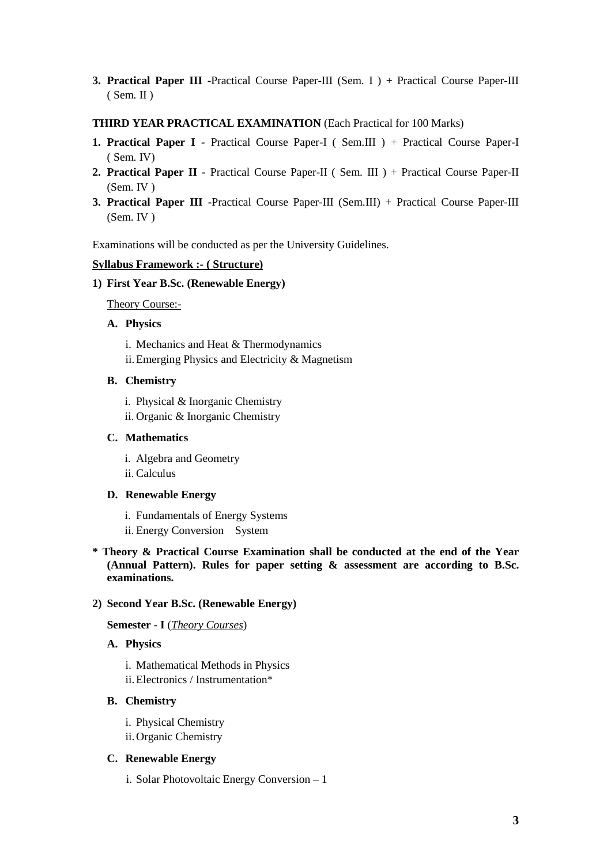**3. Practical Paper III -**Practical Course Paper-III (Sem. I ) + Practical Course Paper-III ( Sem. II )

#### **THIRD YEAR PRACTICAL EXAMINATION** (Each Practical for 100 Marks)

- **1. Practical Paper I** Practical Course Paper-I ( Sem.III ) + Practical Course Paper-I ( Sem. IV)
- **2. Practical Paper II** Practical Course Paper-II ( Sem. III ) + Practical Course Paper-II (Sem. IV )
- **3. Practical Paper III -**Practical Course Paper-III (Sem.III) + Practical Course Paper-III (Sem. IV )

Examinations will be conducted as per the University Guidelines.

#### **Syllabus Framework :- ( Structure)**

#### **1) First Year B.Sc. (Renewable Energy)**

Theory Course:-

#### **A. Physics**

- i. Mechanics and Heat & Thermodynamics
- ii.Emerging Physics and Electricity & Magnetism

#### **B. Chemistry**

- i. Physical & Inorganic Chemistry
- ii. Organic & Inorganic Chemistry

#### **C. Mathematics**

- i. Algebra and Geometry
- ii. Calculus

#### **D. Renewable Energy**

- i. Fundamentals of Energy Systems
- ii. Energy Conversion System
- **\* Theory & Practical Course Examination shall be conducted at the end of the Year (Annual Pattern). Rules for paper setting & assessment are according to B.Sc. examinations.**

#### **2) Second Year B.Sc. (Renewable Energy)**

#### **Semester - I** (*Theory Courses*)

#### **A. Physics**

- i. Mathematical Methods in Physics
- ii.Electronics / Instrumentation\*

#### **B. Chemistry**

- i. Physical Chemistry
- ii.Organic Chemistry

#### **C. Renewable Energy**

i. Solar Photovoltaic Energy Conversion – 1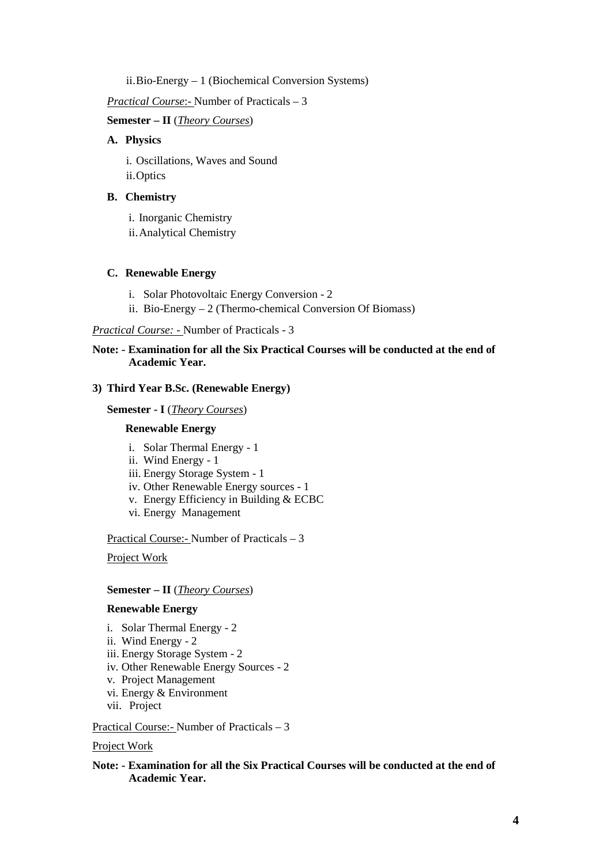ii.Bio-Energy – 1 (Biochemical Conversion Systems)

#### *Practical Course*:- Number of Practicals – 3

**Semester – II** (*Theory Courses*)

#### **A. Physics**

i. Oscillations, Waves and Sound ii.Optics

#### **B. Chemistry**

i. Inorganic Chemistry ii.Analytical Chemistry

#### **C. Renewable Energy**

- i. Solar Photovoltaic Energy Conversion 2
- ii. Bio-Energy 2 (Thermo-chemical Conversion Of Biomass)

*Practical Course: -* Number of Practicals - 3

#### **Note: - Examination for all the Six Practical Courses will be conducted at the end of Academic Year.**

#### **3) Third Year B.Sc. (Renewable Energy)**

**Semester - I** (*Theory Courses*)

#### **Renewable Energy**

- i. Solar Thermal Energy 1
- ii. Wind Energy 1
- iii. Energy Storage System 1
- iv. Other Renewable Energy sources 1
- v. Energy Efficiency in Building & ECBC
- vi. Energy Management

Practical Course:- Number of Practicals – 3

Project Work

#### **Semester – II** (*Theory Courses*)

#### **Renewable Energy**

- i. Solar Thermal Energy 2
- ii. Wind Energy 2
- iii. Energy Storage System 2
- iv. Other Renewable Energy Sources 2
- v. Project Management
- vi. Energy & Environment
- vii. Project

Practical Course:- Number of Practicals – 3

#### Project Work

**Note: - Examination for all the Six Practical Courses will be conducted at the end of Academic Year.**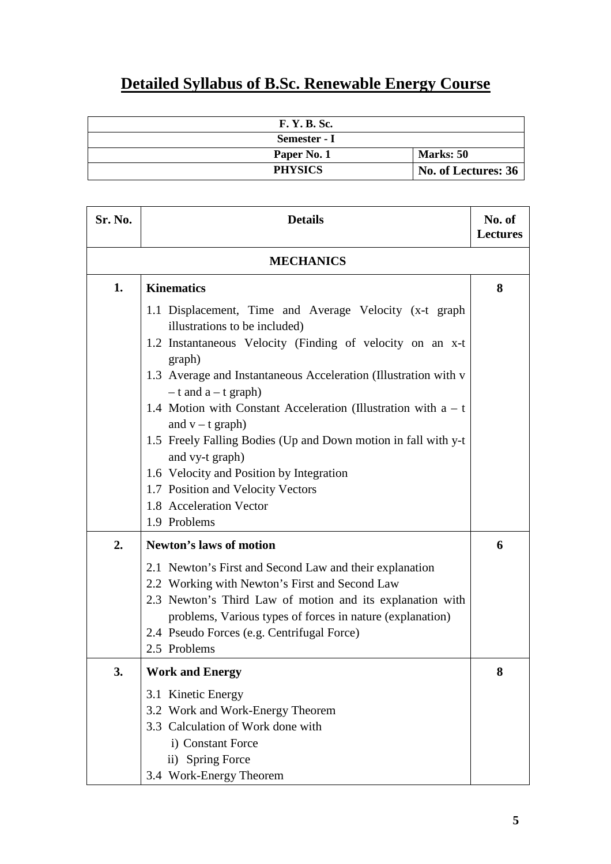# **Detailed Syllabus of B.Sc. Renewable Energy Course**

| <b>F. Y. B. Sc.</b> |                     |
|---------------------|---------------------|
| Semester - I        |                     |
| Paper No. 1         | <b>Marks: 50</b>    |
| <b>PHYSICS</b>      | No. of Lectures: 36 |

| Sr. No. | <b>Details</b>                                                                                                                                                                                                                                                                                                                                                                                                                                                                                                                                           | No. of<br><b>Lectures</b> |
|---------|----------------------------------------------------------------------------------------------------------------------------------------------------------------------------------------------------------------------------------------------------------------------------------------------------------------------------------------------------------------------------------------------------------------------------------------------------------------------------------------------------------------------------------------------------------|---------------------------|
|         | <b>MECHANICS</b>                                                                                                                                                                                                                                                                                                                                                                                                                                                                                                                                         |                           |
| 1.      | <b>Kinematics</b>                                                                                                                                                                                                                                                                                                                                                                                                                                                                                                                                        | 8                         |
|         | 1.1 Displacement, Time and Average Velocity (x-t graph<br>illustrations to be included)<br>1.2 Instantaneous Velocity (Finding of velocity on an x-t<br>graph)<br>1.3 Average and Instantaneous Acceleration (Illustration with v<br>$-$ t and a $-$ t graph)<br>1.4 Motion with Constant Acceleration (Illustration with $a - t$<br>and $v - t$ graph)<br>1.5 Freely Falling Bodies (Up and Down motion in fall with y-t<br>and vy-t graph)<br>1.6 Velocity and Position by Integration<br>1.7 Position and Velocity Vectors<br>1.8 Acceleration Vector |                           |
| 2.      | 1.9 Problems<br><b>Newton's laws of motion</b>                                                                                                                                                                                                                                                                                                                                                                                                                                                                                                           | 6                         |
|         | 2.1 Newton's First and Second Law and their explanation<br>2.2 Working with Newton's First and Second Law<br>2.3 Newton's Third Law of motion and its explanation with<br>problems, Various types of forces in nature (explanation)<br>2.4 Pseudo Forces (e.g. Centrifugal Force)<br>2.5 Problems                                                                                                                                                                                                                                                        |                           |
| 3.      | <b>Work and Energy</b>                                                                                                                                                                                                                                                                                                                                                                                                                                                                                                                                   | 8                         |
|         | 3.1 Kinetic Energy<br>3.2 Work and Work-Energy Theorem<br>3.3 Calculation of Work done with<br>i) Constant Force<br>ii) Spring Force<br>3.4 Work-Energy Theorem                                                                                                                                                                                                                                                                                                                                                                                          |                           |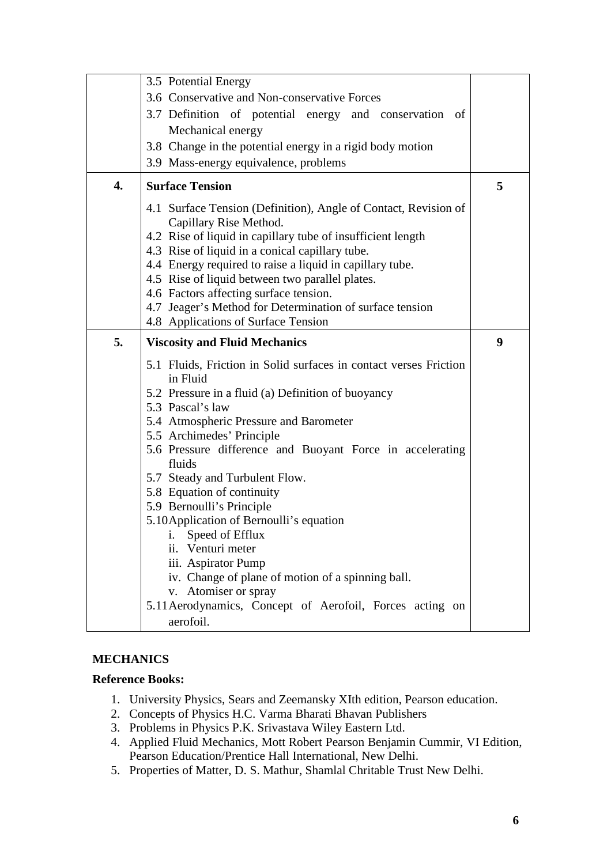|    | 3.5 Potential Energy                                                                                                                                                                                                                                                                                                                                                                                                                                                                                                                                                 |   |
|----|----------------------------------------------------------------------------------------------------------------------------------------------------------------------------------------------------------------------------------------------------------------------------------------------------------------------------------------------------------------------------------------------------------------------------------------------------------------------------------------------------------------------------------------------------------------------|---|
|    | 3.6 Conservative and Non-conservative Forces                                                                                                                                                                                                                                                                                                                                                                                                                                                                                                                         |   |
|    | 3.7 Definition of potential energy and conservation of                                                                                                                                                                                                                                                                                                                                                                                                                                                                                                               |   |
|    | Mechanical energy                                                                                                                                                                                                                                                                                                                                                                                                                                                                                                                                                    |   |
|    | 3.8 Change in the potential energy in a rigid body motion                                                                                                                                                                                                                                                                                                                                                                                                                                                                                                            |   |
|    | 3.9 Mass-energy equivalence, problems                                                                                                                                                                                                                                                                                                                                                                                                                                                                                                                                |   |
| 4. | <b>Surface Tension</b>                                                                                                                                                                                                                                                                                                                                                                                                                                                                                                                                               | 5 |
|    | 4.1 Surface Tension (Definition), Angle of Contact, Revision of<br>Capillary Rise Method.<br>4.2 Rise of liquid in capillary tube of insufficient length<br>4.3 Rise of liquid in a conical capillary tube.<br>4.4 Energy required to raise a liquid in capillary tube.<br>4.5 Rise of liquid between two parallel plates.<br>4.6 Factors affecting surface tension.                                                                                                                                                                                                 |   |
|    | 4.7 Jeager's Method for Determination of surface tension<br>4.8 Applications of Surface Tension                                                                                                                                                                                                                                                                                                                                                                                                                                                                      |   |
|    |                                                                                                                                                                                                                                                                                                                                                                                                                                                                                                                                                                      |   |
| 5. | <b>Viscosity and Fluid Mechanics</b>                                                                                                                                                                                                                                                                                                                                                                                                                                                                                                                                 | 9 |
|    |                                                                                                                                                                                                                                                                                                                                                                                                                                                                                                                                                                      |   |
|    | 5.1 Fluids, Friction in Solid surfaces in contact verses Friction<br>in Fluid<br>5.2 Pressure in a fluid (a) Definition of buoyancy<br>5.3 Pascal's law<br>5.4 Atmospheric Pressure and Barometer<br>5.5 Archimedes' Principle<br>5.6 Pressure difference and Buoyant Force in accelerating<br>fluids<br>5.7 Steady and Turbulent Flow.<br>5.8 Equation of continuity<br>5.9 Bernoulli's Principle<br>5.10 Application of Bernoulli's equation<br>. Speed of Efflux<br>ii. Venturi meter<br>iii. Aspirator Pump<br>iv. Change of plane of motion of a spinning ball. |   |
|    | v. Atomiser or spray<br>5.11 Aerodynamics, Concept of Aerofoil, Forces acting on                                                                                                                                                                                                                                                                                                                                                                                                                                                                                     |   |

### **MECHANICS**

### **Reference Books:**

- 1. University Physics, Sears and Zeemansky XIth edition, Pearson education.
- 2. Concepts of Physics H.C. Varma Bharati Bhavan Publishers
- 3. Problems in Physics P.K. Srivastava Wiley Eastern Ltd.
- 4. Applied Fluid Mechanics, Mott Robert Pearson Benjamin Cummir, VI Edition, Pearson Education/Prentice Hall International, New Delhi.
- 5. Properties of Matter, D. S. Mathur, Shamlal Chritable Trust New Delhi.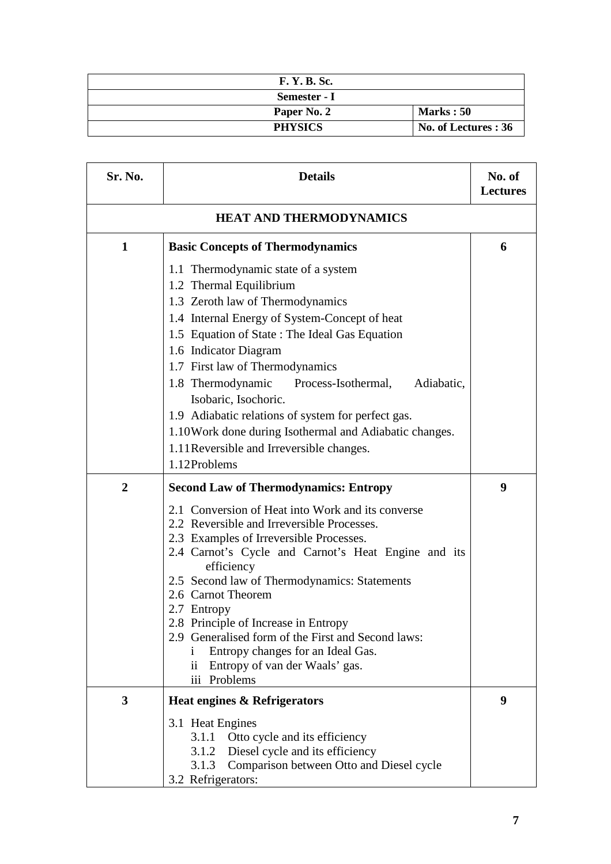| <b>F. Y. B. Sc.</b> |                      |
|---------------------|----------------------|
| Semester - I        |                      |
| Paper No. 2         | <b>Marks</b> : 50    |
| <b>PHYSICS</b>      | No. of Lectures : 36 |

| Sr. No.        | <b>Details</b>                                                                                                                                                                                                                                                                                                                                                                                                                                                                                                                | No. of<br><b>Lectures</b> |
|----------------|-------------------------------------------------------------------------------------------------------------------------------------------------------------------------------------------------------------------------------------------------------------------------------------------------------------------------------------------------------------------------------------------------------------------------------------------------------------------------------------------------------------------------------|---------------------------|
|                | <b>HEAT AND THERMODYNAMICS</b>                                                                                                                                                                                                                                                                                                                                                                                                                                                                                                |                           |
| 1              | <b>Basic Concepts of Thermodynamics</b>                                                                                                                                                                                                                                                                                                                                                                                                                                                                                       | 6                         |
|                | 1.1 Thermodynamic state of a system<br>1.2 Thermal Equilibrium<br>1.3 Zeroth law of Thermodynamics<br>1.4 Internal Energy of System-Concept of heat<br>1.5 Equation of State: The Ideal Gas Equation<br>1.6 Indicator Diagram<br>1.7 First law of Thermodynamics<br>1.8 Thermodynamic Process-Isothermal,<br>Adiabatic,<br>Isobaric, Isochoric.<br>1.9 Adiabatic relations of system for perfect gas.<br>1.10 Work done during Isothermal and Adiabatic changes.<br>1.11 Reversible and Irreversible changes.<br>1.12Problems |                           |
| $\overline{2}$ | <b>Second Law of Thermodynamics: Entropy</b>                                                                                                                                                                                                                                                                                                                                                                                                                                                                                  | 9                         |
|                | 2.1 Conversion of Heat into Work and its converse<br>2.2 Reversible and Irreversible Processes.<br>2.3 Examples of Irreversible Processes.<br>2.4 Carnot's Cycle and Carnot's Heat Engine and its<br>efficiency<br>2.5 Second law of Thermodynamics: Statements<br>2.6 Carnot Theorem<br>2.7 Entropy<br>2.8 Principle of Increase in Entropy<br>2.9 Generalised form of the First and Second laws:<br>Entropy changes for an Ideal Gas.<br>Ť<br>Entropy of van der Waals' gas.<br>$\overline{11}$<br>iii Problems             |                           |
| 3              | Heat engines & Refrigerators                                                                                                                                                                                                                                                                                                                                                                                                                                                                                                  | 9                         |
|                | 3.1 Heat Engines<br>Otto cycle and its efficiency<br>3.1.1<br>Diesel cycle and its efficiency<br>3.1.2<br>3.1.3<br>Comparison between Otto and Diesel cycle<br>3.2 Refrigerators:                                                                                                                                                                                                                                                                                                                                             |                           |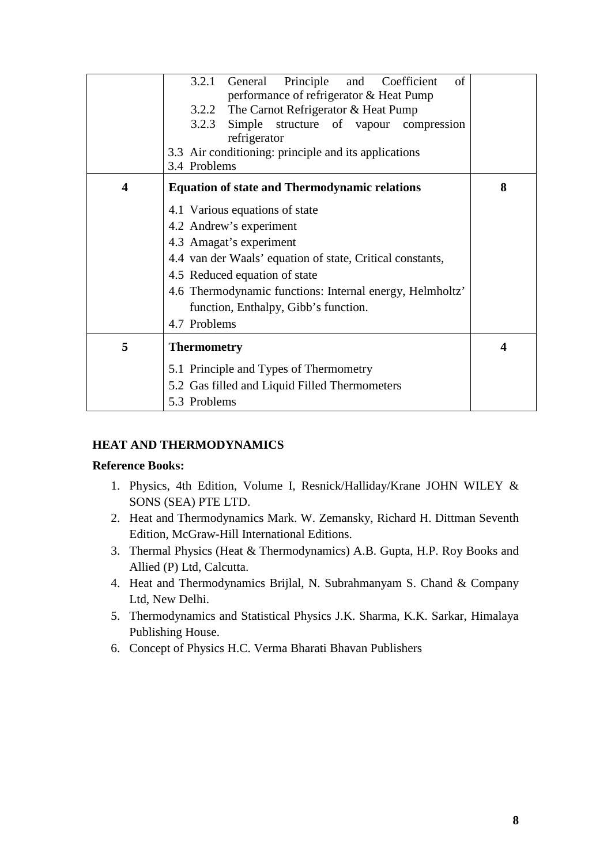|                         | Principle and Coefficient<br>3.2.1 General<br>of<br>performance of refrigerator & Heat Pump |   |
|-------------------------|---------------------------------------------------------------------------------------------|---|
|                         | 3.2.2 The Carnot Refrigerator & Heat Pump                                                   |   |
|                         | 3.2.3 Simple structure of vapour compression                                                |   |
|                         | refrigerator                                                                                |   |
|                         | 3.3 Air conditioning: principle and its applications                                        |   |
|                         | 3.4 Problems                                                                                |   |
| $\overline{\mathbf{4}}$ | <b>Equation of state and Thermodynamic relations</b>                                        | 8 |
|                         | 4.1 Various equations of state                                                              |   |
|                         | 4.2 Andrew's experiment                                                                     |   |
|                         | 4.3 Amagat's experiment                                                                     |   |
|                         | 4.4 van der Waals' equation of state, Critical constants,                                   |   |
|                         | 4.5 Reduced equation of state                                                               |   |
|                         | 4.6 Thermodynamic functions: Internal energy, Helmholtz'                                    |   |
|                         | function, Enthalpy, Gibb's function.                                                        |   |
|                         | 4.7 Problems                                                                                |   |
| 5                       | <b>Thermometry</b>                                                                          | 4 |
|                         | 5.1 Principle and Types of Thermometry                                                      |   |
|                         | 5.2 Gas filled and Liquid Filled Thermometers                                               |   |
|                         | 5.3 Problems                                                                                |   |

# **HEAT AND THERMODYNAMICS**

### **Reference Books:**

- 1. Physics, 4th Edition, Volume I, Resnick/Halliday/Krane JOHN WILEY & SONS (SEA) PTE LTD.
- 2. Heat and Thermodynamics Mark. W. Zemansky, Richard H. Dittman Seventh Edition, McGraw-Hill International Editions.
- 3. Thermal Physics (Heat & Thermodynamics) A.B. Gupta, H.P. Roy Books and Allied (P) Ltd, Calcutta.
- 4. Heat and Thermodynamics Brijlal, N. Subrahmanyam S. Chand & Company Ltd, New Delhi.
- 5. Thermodynamics and Statistical Physics J.K. Sharma, K.K. Sarkar, Himalaya Publishing House.
- 6. Concept of Physics H.C. Verma Bharati Bhavan Publishers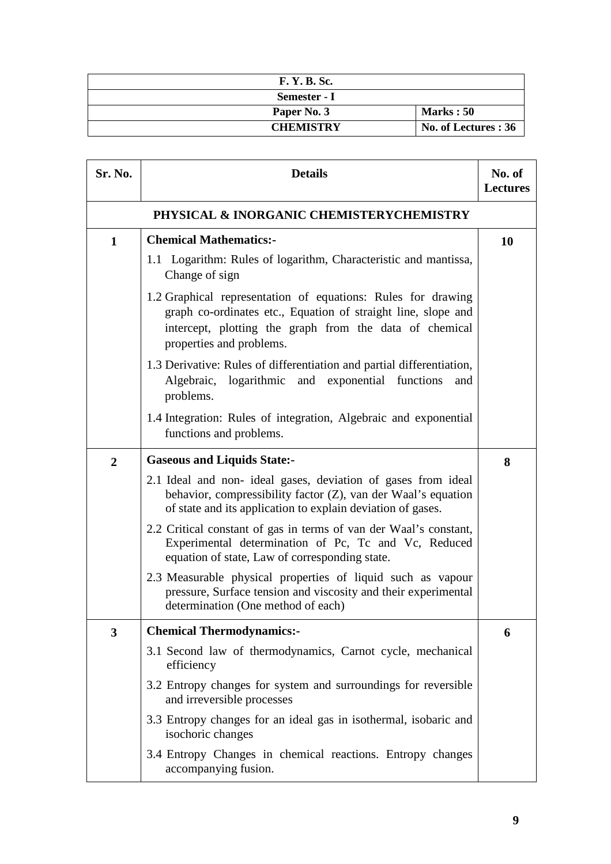| <b>F. Y. B. Sc.</b> |                      |
|---------------------|----------------------|
| Semester - I        |                      |
| Paper No. 3         | <b>Marks</b> : 50    |
| <b>CHEMISTRY</b>    | No. of Lectures : 36 |

| <b>Sr. No.</b>          | <b>Details</b>                                                                                                                                                                                                       | No. of<br><b>Lectures</b> |
|-------------------------|----------------------------------------------------------------------------------------------------------------------------------------------------------------------------------------------------------------------|---------------------------|
|                         | PHYSICAL & INORGANIC CHEMISTERYCHEMISTRY                                                                                                                                                                             |                           |
| $\mathbf 1$             | <b>Chemical Mathematics:-</b>                                                                                                                                                                                        | 10                        |
|                         | 1.1 Logarithm: Rules of logarithm, Characteristic and mantissa,<br>Change of sign                                                                                                                                    |                           |
|                         | 1.2 Graphical representation of equations: Rules for drawing<br>graph co-ordinates etc., Equation of straight line, slope and<br>intercept, plotting the graph from the data of chemical<br>properties and problems. |                           |
|                         | 1.3 Derivative: Rules of differentiation and partial differentiation,<br>Algebraic, logarithmic and exponential functions<br>and<br>problems.                                                                        |                           |
|                         | 1.4 Integration: Rules of integration, Algebraic and exponential<br>functions and problems.                                                                                                                          |                           |
| $\overline{2}$          | <b>Gaseous and Liquids State:-</b>                                                                                                                                                                                   | 8                         |
|                         | 2.1 Ideal and non-ideal gases, deviation of gases from ideal<br>behavior, compressibility factor (Z), van der Waal's equation<br>of state and its application to explain deviation of gases.                         |                           |
|                         | 2.2 Critical constant of gas in terms of van der Waal's constant,<br>Experimental determination of Pc, Tc and Vc, Reduced<br>equation of state, Law of corresponding state.                                          |                           |
|                         | 2.3 Measurable physical properties of liquid such as vapour<br>pressure, Surface tension and viscosity and their experimental<br>determination (One method of each)                                                  |                           |
| $\overline{\mathbf{3}}$ | <b>Chemical Thermodynamics:-</b>                                                                                                                                                                                     | 6                         |
|                         | 3.1 Second law of thermodynamics, Carnot cycle, mechanical<br>efficiency                                                                                                                                             |                           |
|                         | 3.2 Entropy changes for system and surroundings for reversible<br>and irreversible processes                                                                                                                         |                           |
|                         | 3.3 Entropy changes for an ideal gas in isothermal, isobaric and<br>isochoric changes                                                                                                                                |                           |
|                         | 3.4 Entropy Changes in chemical reactions. Entropy changes<br>accompanying fusion.                                                                                                                                   |                           |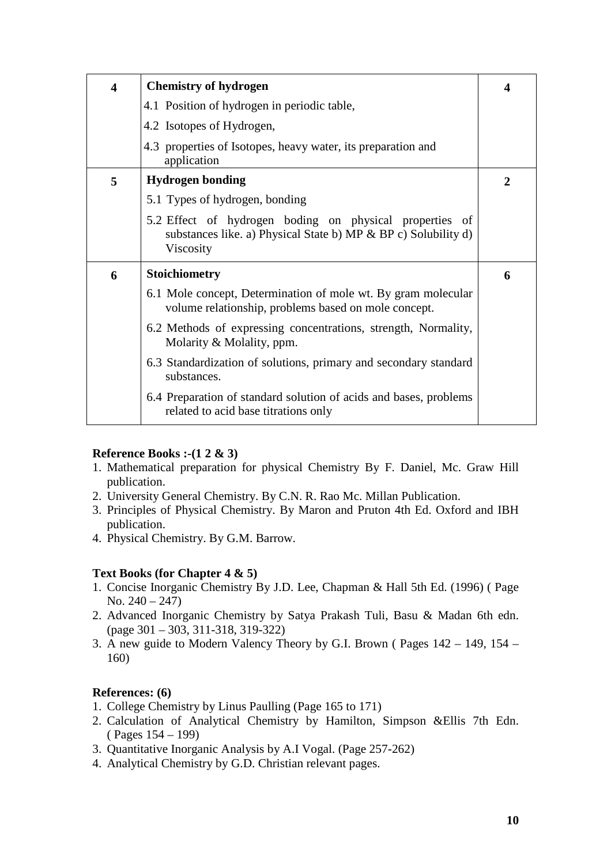| $\overline{\mathbf{4}}$ | <b>Chemistry of hydrogen</b>                                                                                                           |                |
|-------------------------|----------------------------------------------------------------------------------------------------------------------------------------|----------------|
|                         | 4.1 Position of hydrogen in periodic table,                                                                                            |                |
|                         | 4.2 Isotopes of Hydrogen,                                                                                                              |                |
|                         | 4.3 properties of Isotopes, heavy water, its preparation and<br>application                                                            |                |
| 5                       | <b>Hydrogen bonding</b>                                                                                                                | $\overline{2}$ |
|                         | 5.1 Types of hydrogen, bonding                                                                                                         |                |
|                         | 5.2 Effect of hydrogen boding on physical properties of<br>substances like. a) Physical State b) MP & BP c) Solubility d)<br>Viscosity |                |
| 6                       | <b>Stoichiometry</b>                                                                                                                   | 6              |
|                         | 6.1 Mole concept, Determination of mole wt. By gram molecular<br>volume relationship, problems based on mole concept.                  |                |
|                         | 6.2 Methods of expressing concentrations, strength, Normality,<br>Molarity & Molality, ppm.                                            |                |
|                         | 6.3 Standardization of solutions, primary and secondary standard<br>substances.                                                        |                |
|                         | 6.4 Preparation of standard solution of acids and bases, problems<br>related to acid base titrations only                              |                |

### **Reference Books :-(1 2 & 3)**

- 1. Mathematical preparation for physical Chemistry By F. Daniel, Mc. Graw Hill publication.
- 2. University General Chemistry. By C.N. R. Rao Mc. Millan Publication.
- 3. Principles of Physical Chemistry. By Maron and Pruton 4th Ed. Oxford and IBH publication.
- 4. Physical Chemistry. By G.M. Barrow.

### **Text Books (for Chapter 4 & 5)**

- 1. Concise Inorganic Chemistry By J.D. Lee, Chapman & Hall 5th Ed. (1996) ( Page No.  $240 - 247$ )
- 2. Advanced Inorganic Chemistry by Satya Prakash Tuli, Basu & Madan 6th edn. (page 301 – 303, 311-318, 319-322)
- 3. A new guide to Modern Valency Theory by G.I. Brown ( Pages 142 149, 154 160)

### **References: (6)**

- 1. College Chemistry by Linus Paulling (Page 165 to 171)
- 2. Calculation of Analytical Chemistry by Hamilton, Simpson &Ellis 7th Edn. ( Pages 154 – 199)
- 3. Quantitative Inorganic Analysis by A.I Vogal. (Page 257-262)
- 4. Analytical Chemistry by G.D. Christian relevant pages.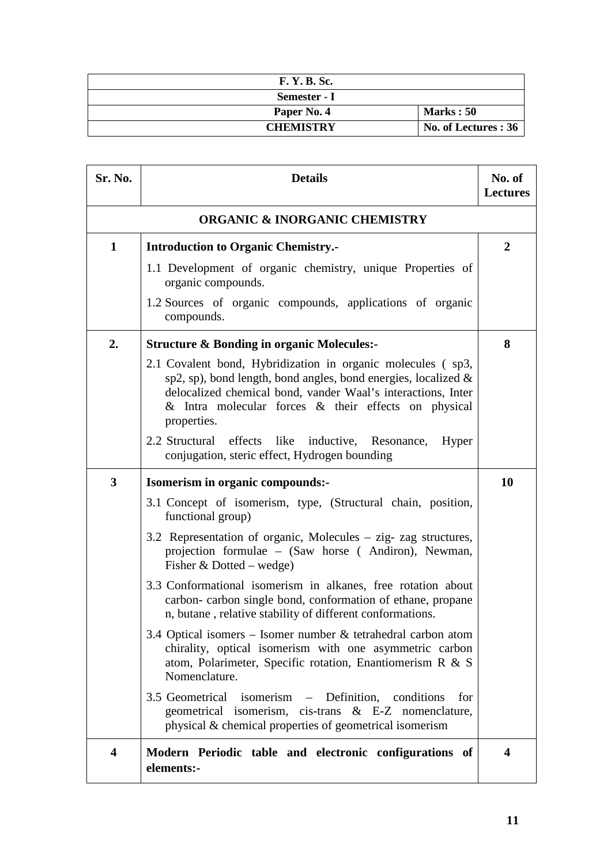| <b>F. Y. B. Sc.</b> |                      |
|---------------------|----------------------|
| Semester - I        |                      |
| Paper No. 4         | Marks: 50            |
| <b>CHEMISTRY</b>    | No. of Lectures : 36 |

| Sr. No.                 | <b>Details</b>                                                                                                                                                                                                                                                                | No. of<br><b>Lectures</b> |
|-------------------------|-------------------------------------------------------------------------------------------------------------------------------------------------------------------------------------------------------------------------------------------------------------------------------|---------------------------|
|                         | <b>ORGANIC &amp; INORGANIC CHEMISTRY</b>                                                                                                                                                                                                                                      |                           |
| $\mathbf 1$             | <b>Introduction to Organic Chemistry.-</b>                                                                                                                                                                                                                                    | $\overline{2}$            |
|                         | 1.1 Development of organic chemistry, unique Properties of<br>organic compounds.                                                                                                                                                                                              |                           |
|                         | 1.2 Sources of organic compounds, applications of organic<br>compounds.                                                                                                                                                                                                       |                           |
| 2.                      | <b>Structure &amp; Bonding in organic Molecules:-</b>                                                                                                                                                                                                                         | 8                         |
|                         | 2.1 Covalent bond, Hybridization in organic molecules (sp3,<br>sp2, sp), bond length, bond angles, bond energies, localized $\&$<br>delocalized chemical bond, vander Waal's interactions, Inter<br>$\&$ Intra molecular forces $\&$ their effects on physical<br>properties. |                           |
|                         | 2.2 Structural<br>effects<br>like inductive, Resonance,<br>Hyper<br>conjugation, steric effect, Hydrogen bounding                                                                                                                                                             |                           |
| 3                       | Isomerism in organic compounds:-                                                                                                                                                                                                                                              | 10                        |
|                         | 3.1 Concept of isomerism, type, (Structural chain, position,<br>functional group)                                                                                                                                                                                             |                           |
|                         | 3.2 Representation of organic, Molecules – zig- zag structures,<br>projection formulae – (Saw horse (Andiron), Newman,<br>Fisher $& Dotted - wedge)$                                                                                                                          |                           |
|                         | 3.3 Conformational isomerism in alkanes, free rotation about<br>carbon-carbon single bond, conformation of ethane, propane<br>n, butane, relative stability of different conformations.                                                                                       |                           |
|                         | 3.4 Optical isomers – Isomer number $\&$ tetrahedral carbon atom<br>chirality, optical isomerism with one asymmetric carbon<br>atom, Polarimeter, Specific rotation, Enantiomerism R & S<br>Nomenclature.                                                                     |                           |
|                         | 3.5 Geometrical isomerism – Definition, conditions<br>for<br>geometrical isomerism, cis-trans & E-Z nomenclature,<br>physical & chemical properties of geometrical isomerism                                                                                                  |                           |
| $\overline{\mathbf{4}}$ | Modern Periodic table and electronic configurations of<br>elements:-                                                                                                                                                                                                          | 4                         |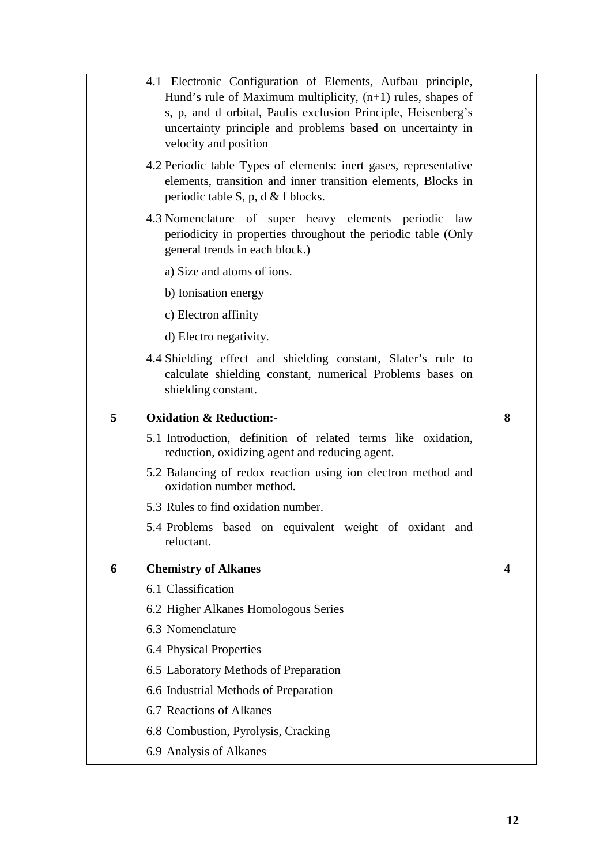|   | 4.1 Electronic Configuration of Elements, Aufbau principle,                                                                |   |
|---|----------------------------------------------------------------------------------------------------------------------------|---|
|   | Hund's rule of Maximum multiplicity, $(n+1)$ rules, shapes of                                                              |   |
|   | s, p, and d orbital, Paulis exclusion Principle, Heisenberg's                                                              |   |
|   | uncertainty principle and problems based on uncertainty in                                                                 |   |
|   | velocity and position                                                                                                      |   |
|   | 4.2 Periodic table Types of elements: inert gases, representative                                                          |   |
|   | elements, transition and inner transition elements, Blocks in                                                              |   |
|   | periodic table S, p, d $&$ f blocks.                                                                                       |   |
|   | 4.3 Nomenclature of super heavy elements periodic law                                                                      |   |
|   | periodicity in properties throughout the periodic table (Only<br>general trends in each block.)                            |   |
|   | a) Size and atoms of ions.                                                                                                 |   |
|   | b) Ionisation energy                                                                                                       |   |
|   | c) Electron affinity                                                                                                       |   |
|   | d) Electro negativity.                                                                                                     |   |
|   |                                                                                                                            |   |
|   | 4.4 Shielding effect and shielding constant, Slater's rule to<br>calculate shielding constant, numerical Problems bases on |   |
|   | shielding constant.                                                                                                        |   |
|   |                                                                                                                            |   |
| 5 | <b>Oxidation &amp; Reduction:-</b>                                                                                         | 8 |
|   |                                                                                                                            |   |
|   | 5.1 Introduction, definition of related terms like oxidation,<br>reduction, oxidizing agent and reducing agent.            |   |
|   | 5.2 Balancing of redox reaction using ion electron method and<br>oxidation number method.                                  |   |
|   | 5.3 Rules to find oxidation number.                                                                                        |   |
|   | 5.4 Problems based on equivalent weight of oxidant and<br>reluctant.                                                       |   |
| 6 | <b>Chemistry of Alkanes</b>                                                                                                | 4 |
|   | 6.1 Classification                                                                                                         |   |
|   | 6.2 Higher Alkanes Homologous Series                                                                                       |   |
|   | 6.3 Nomenclature                                                                                                           |   |
|   | 6.4 Physical Properties                                                                                                    |   |
|   | 6.5 Laboratory Methods of Preparation                                                                                      |   |
|   | 6.6 Industrial Methods of Preparation                                                                                      |   |
|   | 6.7 Reactions of Alkanes                                                                                                   |   |
|   | 6.8 Combustion, Pyrolysis, Cracking                                                                                        |   |
|   | 6.9 Analysis of Alkanes                                                                                                    |   |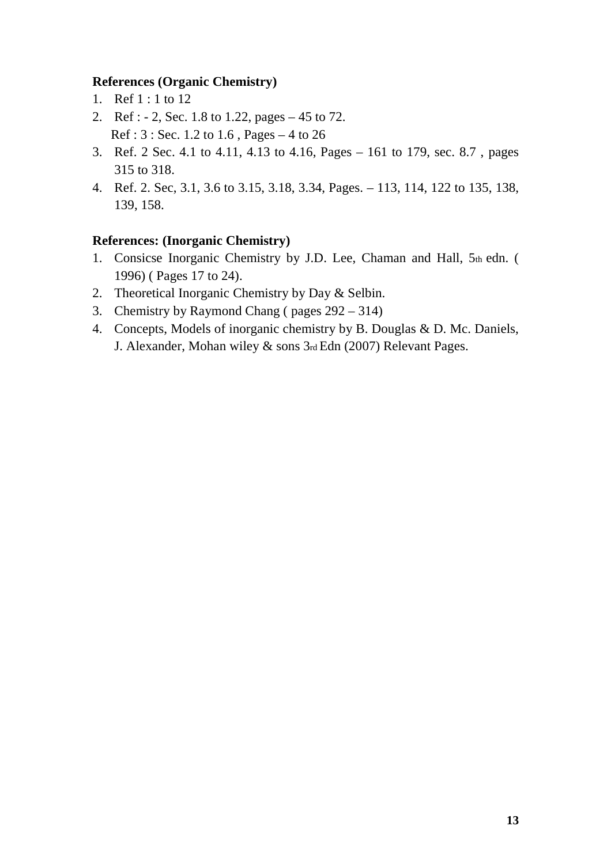# **References (Organic Chemistry)**

- 1. Ref 1 : 1 to 12
- 2. Ref : 2, Sec. 1.8 to 1.22, pages 45 to 72. Ref : 3 : Sec. 1.2 to 1.6 , Pages – 4 to 26
- 3. Ref. 2 Sec. 4.1 to 4.11, 4.13 to 4.16, Pages 161 to 179, sec. 8.7 , pages 315 to 318.
- 4. Ref. 2. Sec, 3.1, 3.6 to 3.15, 3.18, 3.34, Pages. 113, 114, 122 to 135, 138, 139, 158.

# **References: (Inorganic Chemistry)**

- 1. Consicse Inorganic Chemistry by J.D. Lee, Chaman and Hall, 5th edn. ( 1996) ( Pages 17 to 24).
- 2. Theoretical Inorganic Chemistry by Day & Selbin.
- 3. Chemistry by Raymond Chang ( pages 292 314)
- 4. Concepts, Models of inorganic chemistry by B. Douglas & D. Mc. Daniels, J. Alexander, Mohan wiley & sons 3rd Edn (2007) Relevant Pages.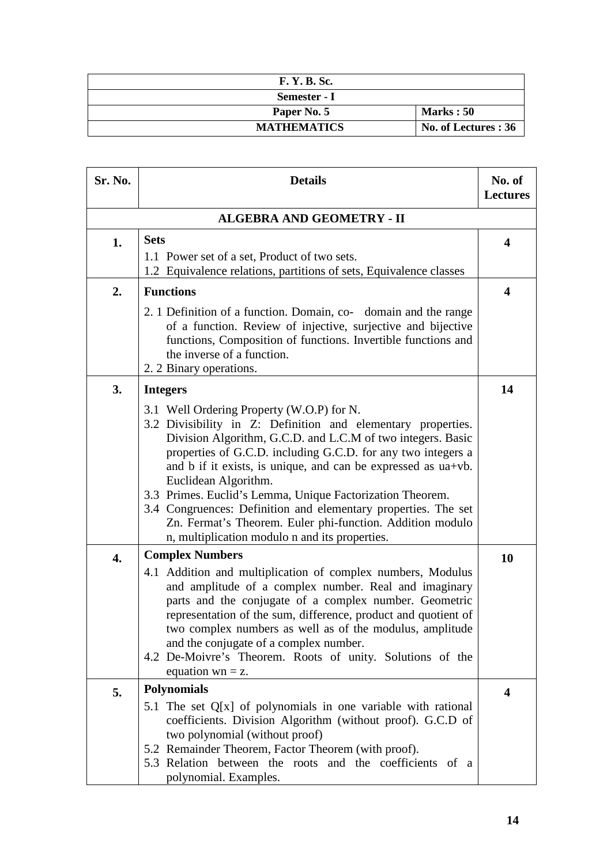| <b>F. Y. B. Sc.</b> |                      |
|---------------------|----------------------|
| Semester - I        |                      |
| Paper No. 5         | Marks: 50            |
| <b>MATHEMATICS</b>  | No. of Lectures : 36 |

| <b>Sr. No.</b>   | <b>Details</b>                                                                                                                                                                                                                                                                                                                                                                                                                                                                                                                                                                                     | No. of<br><b>Lectures</b> |  |
|------------------|----------------------------------------------------------------------------------------------------------------------------------------------------------------------------------------------------------------------------------------------------------------------------------------------------------------------------------------------------------------------------------------------------------------------------------------------------------------------------------------------------------------------------------------------------------------------------------------------------|---------------------------|--|
|                  | <b>ALGEBRA AND GEOMETRY - II</b>                                                                                                                                                                                                                                                                                                                                                                                                                                                                                                                                                                   |                           |  |
| 1.               | <b>Sets</b><br>1.1 Power set of a set, Product of two sets.<br>1.2 Equivalence relations, partitions of sets, Equivalence classes                                                                                                                                                                                                                                                                                                                                                                                                                                                                  | $\overline{\mathbf{4}}$   |  |
| 2.               | <b>Functions</b><br>2. 1 Definition of a function. Domain, co-<br>domain and the range<br>of a function. Review of injective, surjective and bijective<br>functions, Composition of functions. Invertible functions and<br>the inverse of a function.<br>2. 2 Binary operations.                                                                                                                                                                                                                                                                                                                   | $\overline{\mathbf{4}}$   |  |
| 3.               | <b>Integers</b><br>3.1 Well Ordering Property (W.O.P) for N.<br>3.2 Divisibility in Z: Definition and elementary properties.<br>Division Algorithm, G.C.D. and L.C.M of two integers. Basic<br>properties of G.C.D. including G.C.D. for any two integers a<br>and b if it exists, is unique, and can be expressed as ua+vb.<br>Euclidean Algorithm.<br>3.3 Primes. Euclid's Lemma, Unique Factorization Theorem.<br>3.4 Congruences: Definition and elementary properties. The set<br>Zn. Fermat's Theorem. Euler phi-function. Addition modulo<br>n, multiplication modulo n and its properties. | 14                        |  |
| $\overline{4}$ . | <b>Complex Numbers</b><br>4.1 Addition and multiplication of complex numbers, Modulus<br>and amplitude of a complex number. Real and imaginary<br>parts and the conjugate of a complex number. Geometric<br>representation of the sum, difference, product and quotient of<br>two complex numbers as well as of the modulus, amplitude<br>and the conjugate of a complex number.<br>4.2 De-Moivre's Theorem. Roots of unity. Solutions of the<br>equation $wn = z$ .                                                                                                                               | 10                        |  |
| 5.               | <b>Polynomials</b><br>5.1 The set $Q[x]$ of polynomials in one variable with rational<br>coefficients. Division Algorithm (without proof). G.C.D of<br>two polynomial (without proof)<br>5.2 Remainder Theorem, Factor Theorem (with proof).<br>5.3 Relation between the roots and the coefficients of a<br>polynomial. Examples.                                                                                                                                                                                                                                                                  | $\overline{\mathbf{4}}$   |  |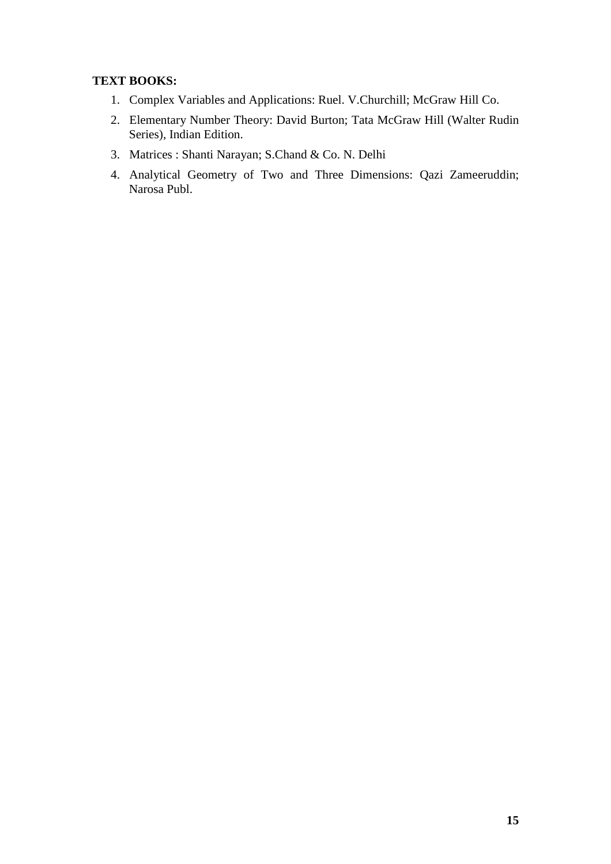# **TEXT BOOKS:**

- 1. Complex Variables and Applications: Ruel. V.Churchill; McGraw Hill Co.
- 2. Elementary Number Theory: David Burton; Tata McGraw Hill (Walter Rudin Series), Indian Edition.
- 3. Matrices : Shanti Narayan; S.Chand & Co. N. Delhi
- 4. Analytical Geometry of Two and Three Dimensions: Qazi Zameeruddin; Narosa Publ.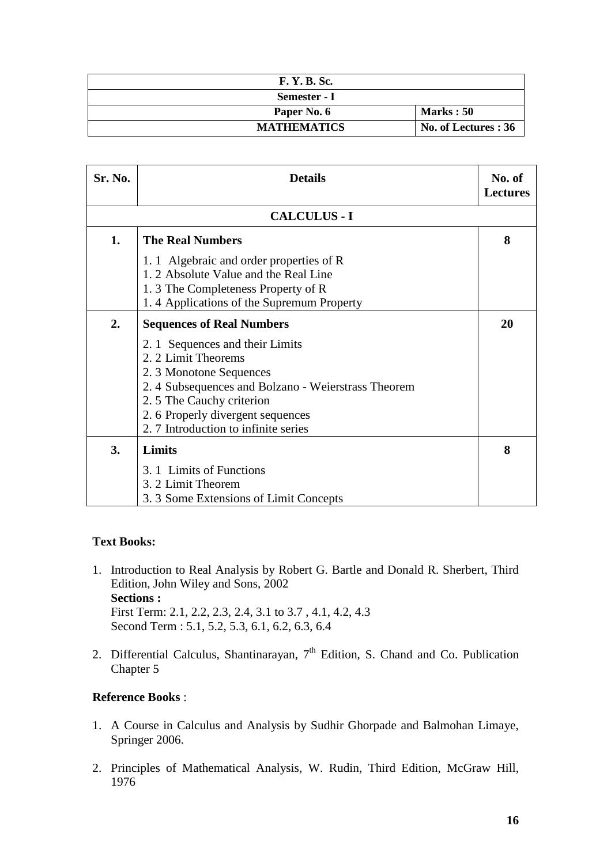| <b>F. Y. B. Sc.</b> |                      |
|---------------------|----------------------|
| Semester - I        |                      |
| Paper No. 6         | <b>Marks</b> : 50    |
| <b>MATHEMATICS</b>  | No. of Lectures : 36 |

| Sr. No. | <b>Details</b>                                                                                                                                                                                                                                 | No. of<br><b>Lectures</b> |
|---------|------------------------------------------------------------------------------------------------------------------------------------------------------------------------------------------------------------------------------------------------|---------------------------|
|         | <b>CALCULUS - I</b>                                                                                                                                                                                                                            |                           |
| 1.      | <b>The Real Numbers</b>                                                                                                                                                                                                                        | 8                         |
|         | 1.1 Algebraic and order properties of R<br>1. 2 Absolute Value and the Real Line<br>1.3 The Completeness Property of R<br>1.4 Applications of the Supremum Property                                                                            |                           |
| 2.      | <b>Sequences of Real Numbers</b>                                                                                                                                                                                                               | 20                        |
|         | 2. 1 Sequences and their Limits<br>2. 2 Limit Theorems<br>2. 3 Monotone Sequences<br>2.4 Subsequences and Bolzano - Weierstrass Theorem<br>2.5 The Cauchy criterion<br>2.6 Properly divergent sequences<br>2.7 Introduction to infinite series |                           |
| 3.      | Limits                                                                                                                                                                                                                                         | 8                         |
|         | 3. 1 Limits of Functions<br>3. 2 Limit Theorem<br>3.3 Some Extensions of Limit Concepts                                                                                                                                                        |                           |

### **Text Books:**

- 1. Introduction to Real Analysis by Robert G. Bartle and Donald R. Sherbert, Third Edition, John Wiley and Sons, 2002 **Sections :**  First Term: 2.1, 2.2, 2.3, 2.4, 3.1 to 3.7 , 4.1, 4.2, 4.3 Second Term : 5.1, 5.2, 5.3, 6.1, 6.2, 6.3, 6.4
- 2. Differential Calculus, Shantinarayan,  $7<sup>th</sup>$  Edition, S. Chand and Co. Publication Chapter 5

### **Reference Books** :

- 1. A Course in Calculus and Analysis by Sudhir Ghorpade and Balmohan Limaye, Springer 2006.
- 2. Principles of Mathematical Analysis, W. Rudin, Third Edition, McGraw Hill, 1976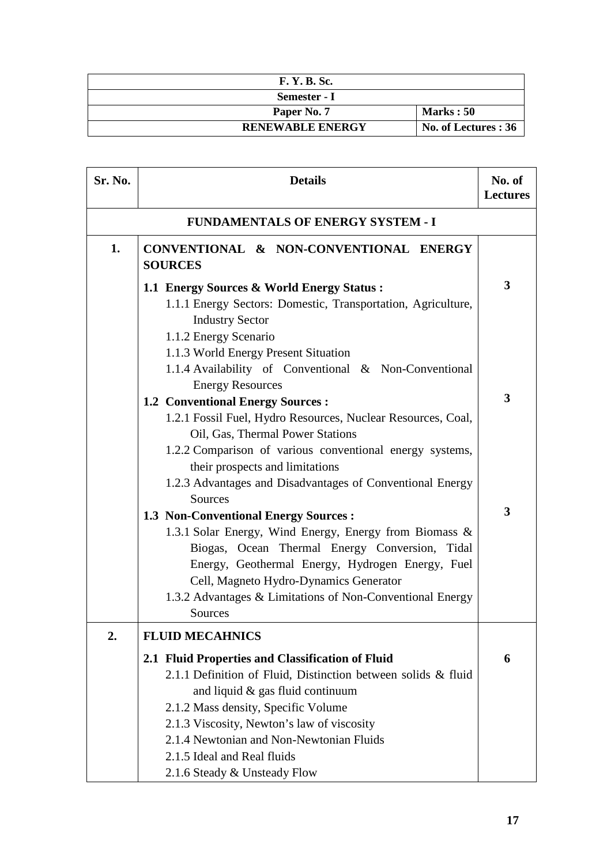| <b>F. Y. B. Sc.</b>     |                      |
|-------------------------|----------------------|
| Semester - I            |                      |
| Paper No. 7             | <b>Marks</b> : 50    |
| <b>RENEWABLE ENERGY</b> | No. of Lectures : 36 |

| Sr. No. | <b>Details</b>                                                                                                                                                                                                                                                                                                                                        | No. of<br><b>Lectures</b> |
|---------|-------------------------------------------------------------------------------------------------------------------------------------------------------------------------------------------------------------------------------------------------------------------------------------------------------------------------------------------------------|---------------------------|
|         | <b>FUNDAMENTALS OF ENERGY SYSTEM - I</b>                                                                                                                                                                                                                                                                                                              |                           |
| 1.      | CONVENTIONAL & NON-CONVENTIONAL ENERGY<br><b>SOURCES</b>                                                                                                                                                                                                                                                                                              |                           |
|         | 1.1 Energy Sources & World Energy Status:<br>1.1.1 Energy Sectors: Domestic, Transportation, Agriculture,<br><b>Industry Sector</b><br>1.1.2 Energy Scenario<br>1.1.3 World Energy Present Situation                                                                                                                                                  | 3                         |
|         | 1.1.4 Availability of Conventional & Non-Conventional<br><b>Energy Resources</b>                                                                                                                                                                                                                                                                      |                           |
|         | <b>1.2 Conventional Energy Sources:</b><br>1.2.1 Fossil Fuel, Hydro Resources, Nuclear Resources, Coal,<br>Oil, Gas, Thermal Power Stations<br>1.2.2 Comparison of various conventional energy systems,<br>their prospects and limitations                                                                                                            | 3                         |
|         | 1.2.3 Advantages and Disadvantages of Conventional Energy<br>Sources                                                                                                                                                                                                                                                                                  | 3                         |
|         | <b>1.3 Non-Conventional Energy Sources:</b><br>1.3.1 Solar Energy, Wind Energy, Energy from Biomass &<br>Biogas, Ocean Thermal Energy Conversion, Tidal<br>Energy, Geothermal Energy, Hydrogen Energy, Fuel<br>Cell, Magneto Hydro-Dynamics Generator<br>1.3.2 Advantages & Limitations of Non-Conventional Energy<br>Sources                         |                           |
| 2.      | <b>FLUID MECAHNICS</b>                                                                                                                                                                                                                                                                                                                                |                           |
|         | 2.1 Fluid Properties and Classification of Fluid<br>2.1.1 Definition of Fluid, Distinction between solids & fluid<br>and liquid & gas fluid continuum<br>2.1.2 Mass density, Specific Volume<br>2.1.3 Viscosity, Newton's law of viscosity<br>2.1.4 Newtonian and Non-Newtonian Fluids<br>2.1.5 Ideal and Real fluids<br>2.1.6 Steady & Unsteady Flow | 6                         |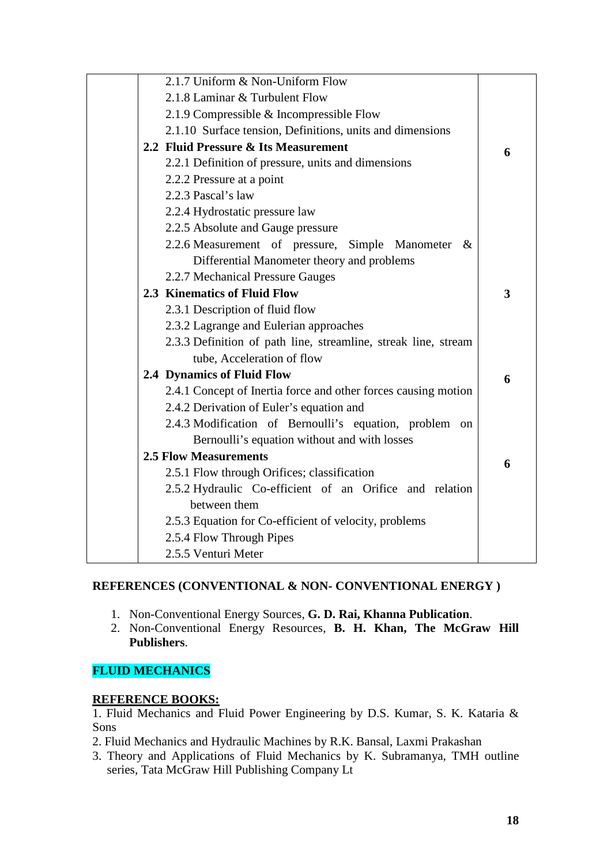| 2.1.7 Uniform & Non-Uniform Flow                               |   |
|----------------------------------------------------------------|---|
| 2.1.8 Laminar & Turbulent Flow                                 |   |
| 2.1.9 Compressible $&$ Incompressible Flow                     |   |
| 2.1.10 Surface tension, Definitions, units and dimensions      |   |
| 2.2 Fluid Pressure & Its Measurement                           | 6 |
| 2.2.1 Definition of pressure, units and dimensions             |   |
| 2.2.2 Pressure at a point                                      |   |
| 2.2.3 Pascal's law                                             |   |
| 2.2.4 Hydrostatic pressure law                                 |   |
| 2.2.5 Absolute and Gauge pressure                              |   |
| 2.2.6 Measurement of pressure, Simple Manometer &              |   |
| Differential Manometer theory and problems                     |   |
| 2.2.7 Mechanical Pressure Gauges                               |   |
| 2.3 Kinematics of Fluid Flow                                   | 3 |
| 2.3.1 Description of fluid flow                                |   |
| 2.3.2 Lagrange and Eulerian approaches                         |   |
| 2.3.3 Definition of path line, streamline, streak line, stream |   |
| tube, Acceleration of flow                                     |   |
| 2.4 Dynamics of Fluid Flow                                     | 6 |
| 2.4.1 Concept of Inertia force and other forces causing motion |   |
| 2.4.2 Derivation of Euler's equation and                       |   |
| 2.4.3 Modification of Bernoulli's equation, problem on         |   |
| Bernoulli's equation without and with losses                   |   |
| <b>2.5 Flow Measurements</b>                                   | 6 |
| 2.5.1 Flow through Orifices; classification                    |   |
| 2.5.2 Hydraulic Co-efficient of an Orifice and relation        |   |
| between them                                                   |   |
| 2.5.3 Equation for Co-efficient of velocity, problems          |   |
| 2.5.4 Flow Through Pipes                                       |   |
| 2.5.5 Venturi Meter                                            |   |

### **REFERENCES (CONVENTIONAL & NON- CONVENTIONAL ENERGY )**

- 1. Non-Conventional Energy Sources, **G. D. Rai, Khanna Publication**.
- 2. Non-Conventional Energy Resources, **B. H. Khan, The McGraw Hill Publishers**.

# **FLUID MECHANICS**

#### **REFERENCE BOOKS:**

1. Fluid Mechanics and Fluid Power Engineering by D.S. Kumar, S. K. Kataria & Sons

- 2. Fluid Mechanics and Hydraulic Machines by R.K. Bansal, Laxmi Prakashan
- 3. Theory and Applications of Fluid Mechanics by K. Subramanya, TMH outline series, Tata McGraw Hill Publishing Company Lt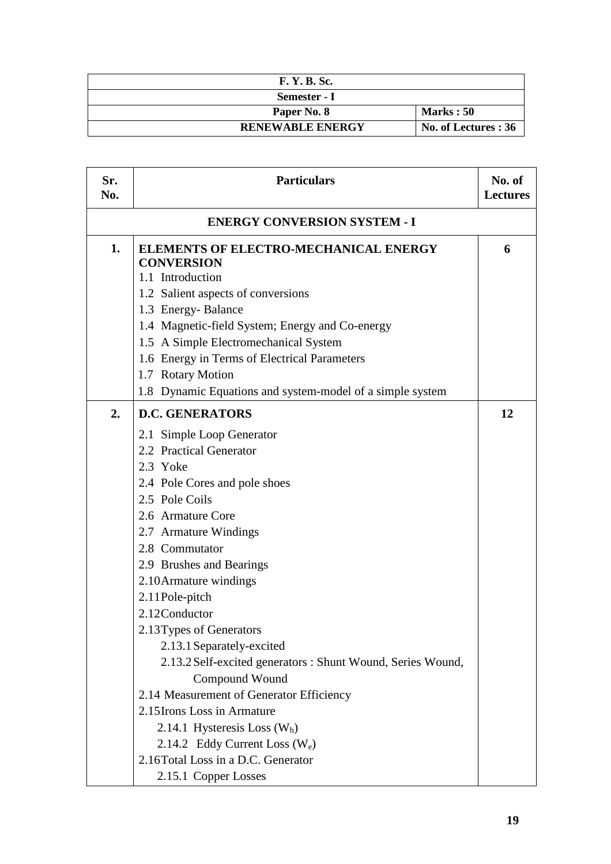| <b>F. Y. B. Sc.</b>     |                      |
|-------------------------|----------------------|
| Semester - I            |                      |
| Paper No. 8             | Marks: 50            |
| <b>RENEWABLE ENERGY</b> | No. of Lectures : 36 |

| Sr.<br>No.                          | <b>Particulars</b>                                                             | No. of<br><b>Lectures</b> |
|-------------------------------------|--------------------------------------------------------------------------------|---------------------------|
| <b>ENERGY CONVERSION SYSTEM - I</b> |                                                                                |                           |
| 1.                                  | ELEMENTS OF ELECTRO-MECHANICAL ENERGY<br><b>CONVERSION</b><br>1.1 Introduction | 6                         |
|                                     | 1.2 Salient aspects of conversions                                             |                           |
|                                     | 1.3 Energy-Balance                                                             |                           |
|                                     | 1.4 Magnetic-field System; Energy and Co-energy                                |                           |
|                                     | 1.5 A Simple Electromechanical System                                          |                           |
|                                     | 1.6 Energy in Terms of Electrical Parameters                                   |                           |
|                                     | 1.7 Rotary Motion                                                              |                           |
|                                     | 1.8 Dynamic Equations and system-model of a simple system                      |                           |
| 2.                                  | <b>D.C. GENERATORS</b>                                                         | 12                        |
|                                     | 2.1 Simple Loop Generator                                                      |                           |
|                                     | 2.2 Practical Generator                                                        |                           |
|                                     | 2.3 Yoke                                                                       |                           |
|                                     | 2.4 Pole Cores and pole shoes                                                  |                           |
|                                     | 2.5 Pole Coils                                                                 |                           |
|                                     | 2.6 Armature Core                                                              |                           |
|                                     | 2.7 Armature Windings                                                          |                           |
|                                     | 2.8 Commutator                                                                 |                           |
|                                     | 2.9 Brushes and Bearings                                                       |                           |
|                                     | 2.10 Armature windings                                                         |                           |
|                                     | 2.11 Pole-pitch                                                                |                           |
|                                     | 2.12Conductor                                                                  |                           |
|                                     | 2.13Types of Generators                                                        |                           |
|                                     | 2.13.1 Separately-excited                                                      |                           |
|                                     | 2.13.2 Self-excited generators : Shunt Wound, Series Wound,                    |                           |
|                                     | Compound Wound                                                                 |                           |
|                                     | 2.14 Measurement of Generator Efficiency                                       |                           |
|                                     | 2.15 Irons Loss in Armature                                                    |                           |
|                                     | 2.14.1 Hysteresis Loss $(W_h)$                                                 |                           |
|                                     | 2.14.2 Eddy Current Loss $(W_e)$                                               |                           |
|                                     | 2.16Total Loss in a D.C. Generator                                             |                           |
|                                     | 2.15.1 Copper Losses                                                           |                           |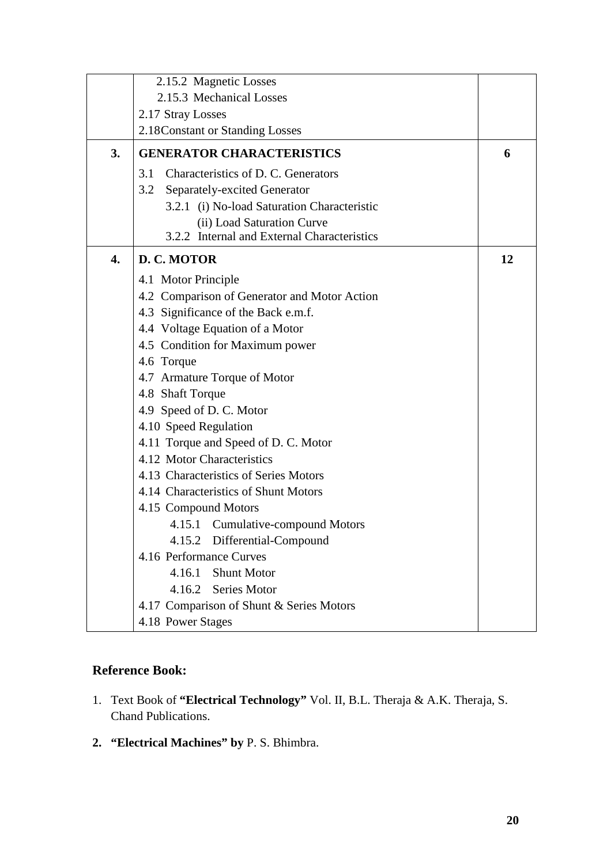|    | 2.15.2 Magnetic Losses                       |    |
|----|----------------------------------------------|----|
|    | 2.15.3 Mechanical Losses                     |    |
|    | 2.17 Stray Losses                            |    |
|    | 2.18 Constant or Standing Losses             |    |
| 3. | <b>GENERATOR CHARACTERISTICS</b>             | 6  |
|    | Characteristics of D. C. Generators<br>3.1   |    |
|    | 3.2<br>Separately-excited Generator          |    |
|    | 3.2.1 (i) No-load Saturation Characteristic  |    |
|    | (ii) Load Saturation Curve                   |    |
|    | 3.2.2 Internal and External Characteristics  |    |
| 4. | D. C. MOTOR                                  | 12 |
|    | 4.1 Motor Principle                          |    |
|    | 4.2 Comparison of Generator and Motor Action |    |
|    | 4.3 Significance of the Back e.m.f.          |    |
|    | 4.4 Voltage Equation of a Motor              |    |
|    | 4.5 Condition for Maximum power              |    |
|    | 4.6 Torque                                   |    |
|    | 4.7 Armature Torque of Motor                 |    |
|    | 4.8 Shaft Torque                             |    |
|    | 4.9 Speed of D. C. Motor                     |    |
|    | 4.10 Speed Regulation                        |    |
|    | 4.11 Torque and Speed of D. C. Motor         |    |
|    | 4.12 Motor Characteristics                   |    |
|    | 4.13 Characteristics of Series Motors        |    |
|    | 4.14 Characteristics of Shunt Motors         |    |
|    | 4.15 Compound Motors                         |    |
|    | 4.15.1 Cumulative-compound Motors            |    |
|    | 4.15.2 Differential-Compound                 |    |
|    | 4.16 Performance Curves                      |    |
|    | 4.16.1<br><b>Shunt Motor</b>                 |    |
|    | 4.16.2 Series Motor                          |    |
|    | 4.17 Comparison of Shunt & Series Motors     |    |
|    | 4.18 Power Stages                            |    |

# **Reference Book:**

- 1. Text Book of **"Electrical Technology"** Vol. II, B.L. Theraja & A.K. Theraja, S. Chand Publications.
- **2. "Electrical Machines" by** P. S. Bhimbra.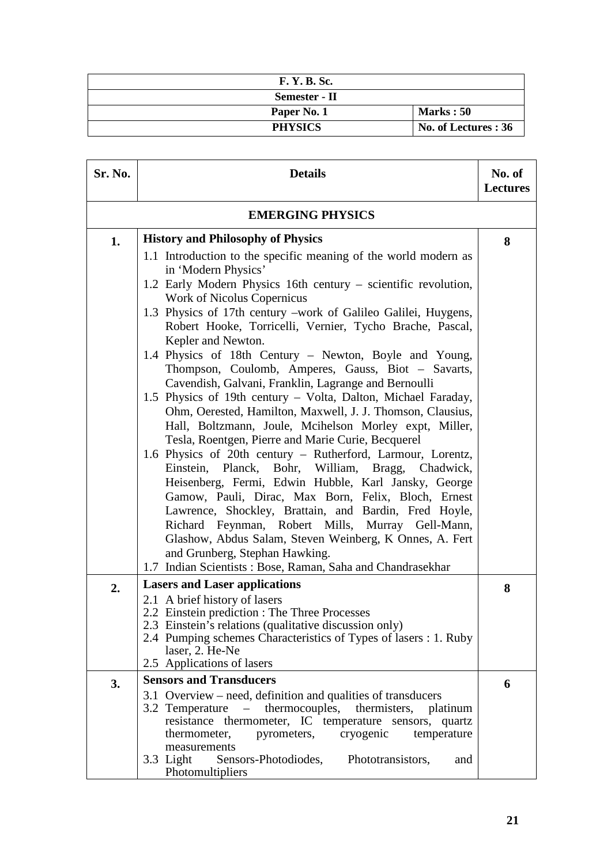| <b>F. Y. B. Sc.</b> |                      |
|---------------------|----------------------|
| Semester - II       |                      |
| Paper No. 1         | Marks: 50            |
| <b>PHYSICS</b>      | No. of Lectures : 36 |

| Sr. No. | <b>Details</b>                                                                                                                                                                                                                                                                                                                                                                                                                                                                                                                                                                                                                                                                                                                                                                                                                                                                                                                                                                                                                                                                                                                                                                                                                                                                                                           | No. of<br><b>Lectures</b> |
|---------|--------------------------------------------------------------------------------------------------------------------------------------------------------------------------------------------------------------------------------------------------------------------------------------------------------------------------------------------------------------------------------------------------------------------------------------------------------------------------------------------------------------------------------------------------------------------------------------------------------------------------------------------------------------------------------------------------------------------------------------------------------------------------------------------------------------------------------------------------------------------------------------------------------------------------------------------------------------------------------------------------------------------------------------------------------------------------------------------------------------------------------------------------------------------------------------------------------------------------------------------------------------------------------------------------------------------------|---------------------------|
|         | <b>EMERGING PHYSICS</b>                                                                                                                                                                                                                                                                                                                                                                                                                                                                                                                                                                                                                                                                                                                                                                                                                                                                                                                                                                                                                                                                                                                                                                                                                                                                                                  |                           |
| 1.      | <b>History and Philosophy of Physics</b><br>1.1 Introduction to the specific meaning of the world modern as<br>in 'Modern Physics'<br>1.2 Early Modern Physics 16th century - scientific revolution,<br>Work of Nicolus Copernicus<br>1.3 Physics of 17th century -work of Galileo Galilei, Huygens,<br>Robert Hooke, Torricelli, Vernier, Tycho Brache, Pascal,<br>Kepler and Newton.<br>1.4 Physics of 18th Century - Newton, Boyle and Young,<br>Thompson, Coulomb, Amperes, Gauss, Biot - Savarts,<br>Cavendish, Galvani, Franklin, Lagrange and Bernoulli<br>1.5 Physics of 19th century – Volta, Dalton, Michael Faraday,<br>Ohm, Oerested, Hamilton, Maxwell, J. J. Thomson, Clausius,<br>Hall, Boltzmann, Joule, Mcihelson Morley expt, Miller,<br>Tesla, Roentgen, Pierre and Marie Curie, Becquerel<br>1.6 Physics of 20th century – Rutherford, Larmour, Lorentz,<br>Einstein, Planck, Bohr, William, Bragg, Chadwick,<br>Heisenberg, Fermi, Edwin Hubble, Karl Jansky, George<br>Gamow, Pauli, Dirac, Max Born, Felix, Bloch, Ernest<br>Lawrence, Shockley, Brattain, and Bardin, Fred Hoyle,<br>Richard Feynman, Robert Mills, Murray Gell-Mann,<br>Glashow, Abdus Salam, Steven Weinberg, K Onnes, A. Fert<br>and Grunberg, Stephan Hawking.<br>1.7 Indian Scientists: Bose, Raman, Saha and Chandrasekhar | 8                         |
| 2.      | <b>Lasers and Laser applications</b><br>2.1 A brief history of lasers<br>2.2 Einstein prediction : The Three Processes<br>2.3 Einstein's relations (qualitative discussion only)<br>2.4 Pumping schemes Characteristics of Types of lasers : 1. Ruby<br>laser, 2. He-Ne<br>2.5 Applications of lasers                                                                                                                                                                                                                                                                                                                                                                                                                                                                                                                                                                                                                                                                                                                                                                                                                                                                                                                                                                                                                    | 8                         |
| 3.      | <b>Sensors and Transducers</b>                                                                                                                                                                                                                                                                                                                                                                                                                                                                                                                                                                                                                                                                                                                                                                                                                                                                                                                                                                                                                                                                                                                                                                                                                                                                                           | 6                         |
|         | 3.1 Overview – need, definition and qualities of transducers<br>thermocouples, thermisters, platinum<br>3.2 Temperature<br>$\equiv$<br>resistance thermometer, IC temperature sensors, quartz<br>cryogenic<br>thermometer,<br>pyrometers,<br>temperature<br>measurements<br>3.3 Light<br>Sensors-Photodiodes,<br>Phototransistors,<br>and<br>Photomultipliers                                                                                                                                                                                                                                                                                                                                                                                                                                                                                                                                                                                                                                                                                                                                                                                                                                                                                                                                                            |                           |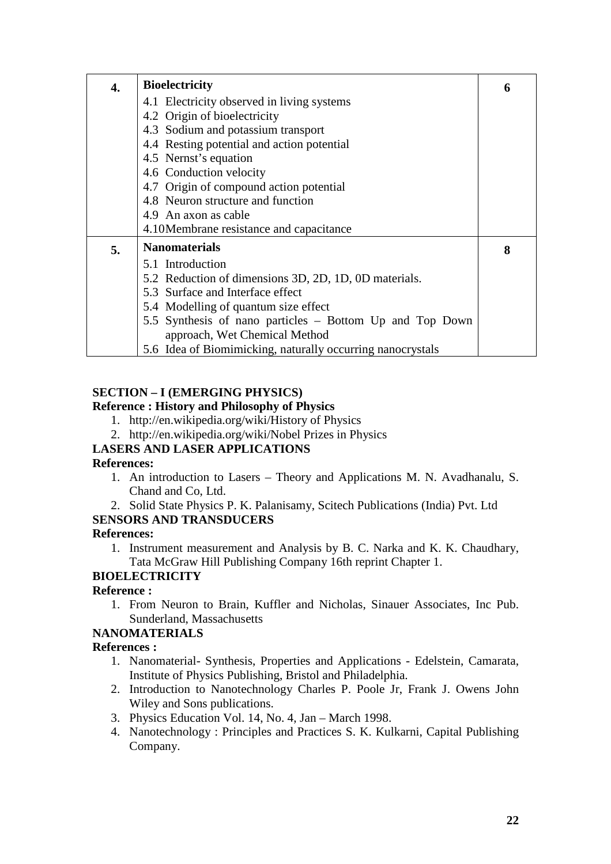| 4. | <b>Bioelectricity</b>                                      | 6 |
|----|------------------------------------------------------------|---|
|    | 4.1 Electricity observed in living systems                 |   |
|    | 4.2 Origin of bioelectricity                               |   |
|    | 4.3 Sodium and potassium transport                         |   |
|    | 4.4 Resting potential and action potential                 |   |
|    | 4.5 Nernst's equation                                      |   |
|    | 4.6 Conduction velocity                                    |   |
|    | 4.7 Origin of compound action potential                    |   |
|    | 4.8 Neuron structure and function                          |   |
|    | 4.9 An axon as cable                                       |   |
|    | 4.10 Membrane resistance and capacitance                   |   |
| 5. | <b>Nanomaterials</b>                                       | 8 |
|    | 5.1 Introduction                                           |   |
|    | 5.2 Reduction of dimensions 3D, 2D, 1D, 0D materials.      |   |
|    | 5.3 Surface and Interface effect                           |   |
|    | 5.4 Modelling of quantum size effect                       |   |
|    | 5.5 Synthesis of nano particles - Bottom Up and Top Down   |   |
|    | approach, Wet Chemical Method                              |   |
|    | 5.6 Idea of Biomimicking, naturally occurring nanocrystals |   |

# **SECTION – I (EMERGING PHYSICS)**

### **Reference : History and Philosophy of Physics**

- 1. http://en.wikipedia.org/wiki/History of Physics
- 2. http://en.wikipedia.org/wiki/Nobel Prizes in Physics

# **LASERS AND LASER APPLICATIONS**

### **References:**

- 1. An introduction to Lasers Theory and Applications M. N. Avadhanalu, S. Chand and Co, Ltd.
- 2. Solid State Physics P. K. Palanisamy, Scitech Publications (India) Pvt. Ltd

# **SENSORS AND TRANSDUCERS**

### **References:**

1. Instrument measurement and Analysis by B. C. Narka and K. K. Chaudhary, Tata McGraw Hill Publishing Company 16th reprint Chapter 1.

# **BIOELECTRICITY**

# **Reference :**

1. From Neuron to Brain, Kuffler and Nicholas, Sinauer Associates, Inc Pub. Sunderland, Massachusetts

# **NANOMATERIALS**

### **References :**

- 1. Nanomaterial- Synthesis, Properties and Applications Edelstein, Camarata, Institute of Physics Publishing, Bristol and Philadelphia.
- 2. Introduction to Nanotechnology Charles P. Poole Jr, Frank J. Owens John Wiley and Sons publications.
- 3. Physics Education Vol. 14, No. 4, Jan March 1998.
- 4. Nanotechnology : Principles and Practices S. K. Kulkarni, Capital Publishing Company.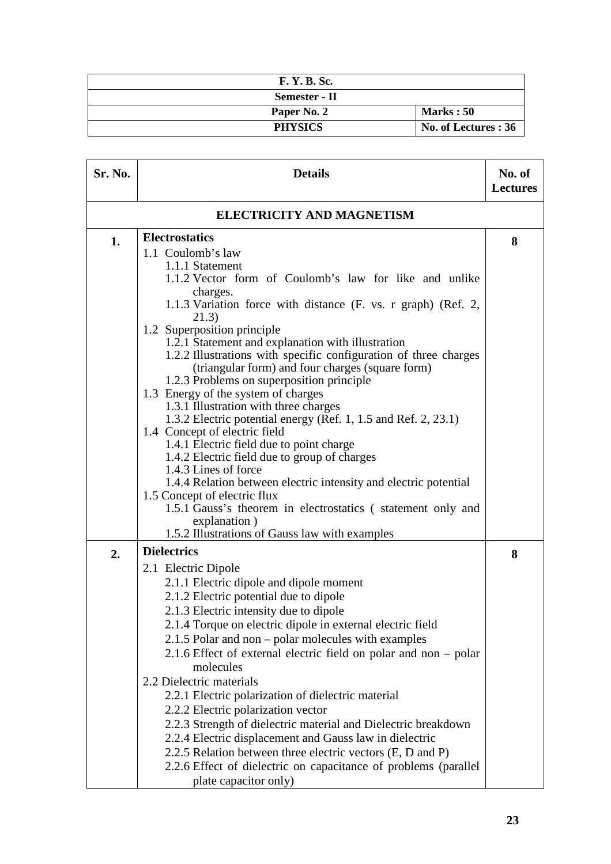| <b>F. Y. B. Sc.</b> |                      |
|---------------------|----------------------|
| Semester - II       |                      |
| Paper No. 2         | <b>Marks</b> : 50    |
| <b>PHYSICS</b>      | No. of Lectures : 36 |

| Sr. No.                          | <b>Details</b>                                                                                                                                                                                                                                                                                                                                                                                                                                                                                                                                                                                                                                                                                                                                                                                                                                                                                                                                                   | No. of<br><b>Lectures</b> |
|----------------------------------|------------------------------------------------------------------------------------------------------------------------------------------------------------------------------------------------------------------------------------------------------------------------------------------------------------------------------------------------------------------------------------------------------------------------------------------------------------------------------------------------------------------------------------------------------------------------------------------------------------------------------------------------------------------------------------------------------------------------------------------------------------------------------------------------------------------------------------------------------------------------------------------------------------------------------------------------------------------|---------------------------|
| <b>ELECTRICITY AND MAGNETISM</b> |                                                                                                                                                                                                                                                                                                                                                                                                                                                                                                                                                                                                                                                                                                                                                                                                                                                                                                                                                                  |                           |
| 1.                               | <b>Electrostatics</b><br>1.1 Coulomb's law<br>1.1.1 Statement<br>1.1.2 Vector form of Coulomb's law for like and unlike<br>charges.<br>1.1.3 Variation force with distance (F. vs. r graph) (Ref. 2,<br>21.3)<br>1.2 Superposition principle<br>1.2.1 Statement and explanation with illustration<br>1.2.2 Illustrations with specific configuration of three charges<br>(triangular form) and four charges (square form)<br>1.2.3 Problems on superposition principle<br>1.3 Energy of the system of charges<br>1.3.1 Illustration with three charges<br>1.3.2 Electric potential energy (Ref. 1, 1.5 and Ref. 2, 23.1)<br>1.4 Concept of electric field<br>1.4.1 Electric field due to point charge<br>1.4.2 Electric field due to group of charges<br>1.4.3 Lines of force<br>1.4.4 Relation between electric intensity and electric potential<br>1.5 Concept of electric flux<br>1.5.1 Gauss's theorem in electrostatics (statement only and<br>explanation) | 8                         |
|                                  | 1.5.2 Illustrations of Gauss law with examples<br><b>Dielectrics</b>                                                                                                                                                                                                                                                                                                                                                                                                                                                                                                                                                                                                                                                                                                                                                                                                                                                                                             |                           |
| 2.                               | 2.1 Electric Dipole<br>2.1.1 Electric dipole and dipole moment<br>2.1.2 Electric potential due to dipole<br>2.1.3 Electric intensity due to dipole<br>2.1.4 Torque on electric dipole in external electric field<br>2.1.5 Polar and non – polar molecules with examples<br>2.1.6 Effect of external electric field on polar and non – polar<br>molecules<br>2.2 Dielectric materials<br>2.2.1 Electric polarization of dielectric material<br>2.2.2 Electric polarization vector<br>2.2.3 Strength of dielectric material and Dielectric breakdown<br>2.2.4 Electric displacement and Gauss law in dielectric<br>2.2.5 Relation between three electric vectors (E, D and P)<br>2.2.6 Effect of dielectric on capacitance of problems (parallel<br>plate capacitor only)                                                                                                                                                                                          | 8                         |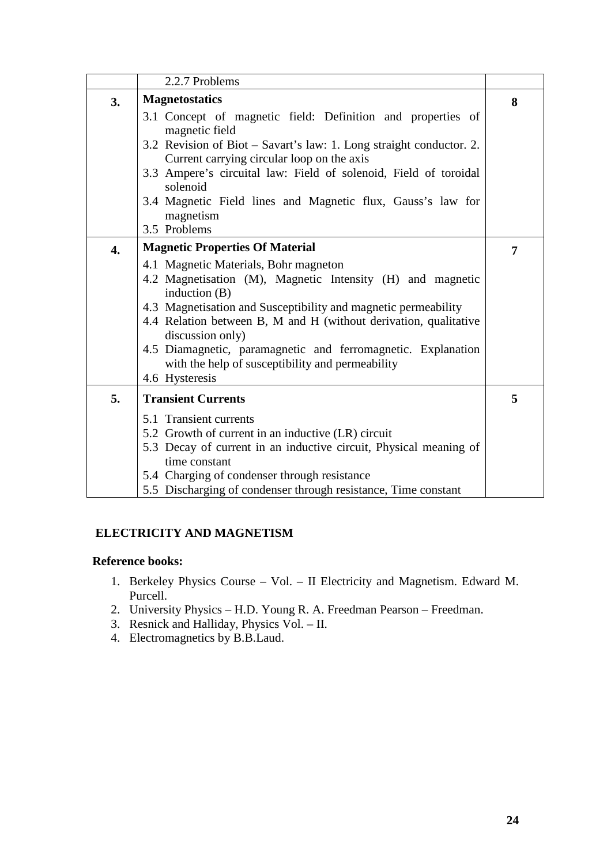|                  | 2.2.7 Problems                                                                                                 |   |
|------------------|----------------------------------------------------------------------------------------------------------------|---|
| 3.               | <b>Magnetostatics</b>                                                                                          | 8 |
|                  | 3.1 Concept of magnetic field: Definition and properties of                                                    |   |
|                  | magnetic field                                                                                                 |   |
|                  | 3.2 Revision of Biot – Savart's law: 1. Long straight conductor. 2.                                            |   |
|                  | Current carrying circular loop on the axis<br>3.3 Ampere's circuital law: Field of solenoid, Field of toroidal |   |
|                  | solenoid                                                                                                       |   |
|                  | 3.4 Magnetic Field lines and Magnetic flux, Gauss's law for                                                    |   |
|                  | magnetism                                                                                                      |   |
|                  | 3.5 Problems                                                                                                   |   |
| $\overline{4}$ . | <b>Magnetic Properties Of Material</b>                                                                         | 7 |
|                  | 4.1 Magnetic Materials, Bohr magneton                                                                          |   |
|                  | 4.2 Magnetisation (M), Magnetic Intensity (H) and magnetic                                                     |   |
|                  | induction $(B)$                                                                                                |   |
|                  | 4.3 Magnetisation and Susceptibility and magnetic permeability                                                 |   |
|                  | 4.4 Relation between B, M and H (without derivation, qualitative<br>discussion only)                           |   |
|                  | 4.5 Diamagnetic, paramagnetic and ferromagnetic. Explanation                                                   |   |
|                  | with the help of susceptibility and permeability                                                               |   |
|                  | 4.6 Hysteresis                                                                                                 |   |
| 5.               | <b>Transient Currents</b>                                                                                      | 5 |
|                  | 5.1 Transient currents                                                                                         |   |
|                  | 5.2 Growth of current in an inductive (LR) circuit                                                             |   |
|                  | 5.3 Decay of current in an inductive circuit, Physical meaning of                                              |   |
|                  | time constant                                                                                                  |   |
|                  | 5.4 Charging of condenser through resistance                                                                   |   |
|                  | 5.5 Discharging of condenser through resistance, Time constant                                                 |   |

### **ELECTRICITY AND MAGNETISM**

### **Reference books:**

- 1. Berkeley Physics Course Vol. II Electricity and Magnetism. Edward M. Purcell.
- 2. University Physics H.D. Young R. A. Freedman Pearson Freedman.
- 3. Resnick and Halliday, Physics Vol. II.
- 4. Electromagnetics by B.B.Laud.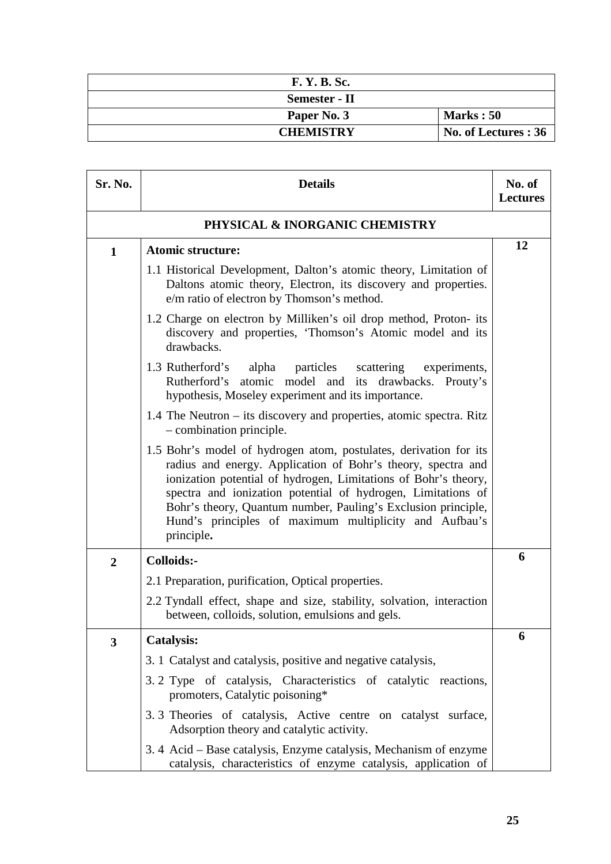| <b>F. Y. B. Sc.</b>  |                      |
|----------------------|----------------------|
| <b>Semester - II</b> |                      |
| Paper No. 3          | Marks: 50            |
| <b>CHEMISTRY</b>     | No. of Lectures : 36 |

| Sr. No.        | <b>Details</b>                                                                                                                                                                                                                                                                                                                                                                                                | No. of<br><b>Lectures</b> |
|----------------|---------------------------------------------------------------------------------------------------------------------------------------------------------------------------------------------------------------------------------------------------------------------------------------------------------------------------------------------------------------------------------------------------------------|---------------------------|
|                | PHYSICAL & INORGANIC CHEMISTRY                                                                                                                                                                                                                                                                                                                                                                                |                           |
| $\mathbf{1}$   | <b>Atomic structure:</b>                                                                                                                                                                                                                                                                                                                                                                                      | 12                        |
|                | 1.1 Historical Development, Dalton's atomic theory, Limitation of<br>Daltons atomic theory, Electron, its discovery and properties.<br>e/m ratio of electron by Thomson's method.                                                                                                                                                                                                                             |                           |
|                | 1.2 Charge on electron by Milliken's oil drop method, Proton- its<br>discovery and properties, 'Thomson's Atomic model and its<br>drawbacks.                                                                                                                                                                                                                                                                  |                           |
|                | 1.3 Rutherford's<br>alpha particles<br>scattering<br>experiments,<br>Rutherford's atomic model and its drawbacks. Prouty's<br>hypothesis, Moseley experiment and its importance.                                                                                                                                                                                                                              |                           |
|                | 1.4 The Neutron – its discovery and properties, atomic spectra. Ritz<br>$-$ combination principle.                                                                                                                                                                                                                                                                                                            |                           |
|                | 1.5 Bohr's model of hydrogen atom, postulates, derivation for its<br>radius and energy. Application of Bohr's theory, spectra and<br>ionization potential of hydrogen, Limitations of Bohr's theory,<br>spectra and ionization potential of hydrogen, Limitations of<br>Bohr's theory, Quantum number, Pauling's Exclusion principle,<br>Hund's principles of maximum multiplicity and Aufbau's<br>principle. |                           |
| $\overline{2}$ | Colloids:-                                                                                                                                                                                                                                                                                                                                                                                                    | 6                         |
|                | 2.1 Preparation, purification, Optical properties.                                                                                                                                                                                                                                                                                                                                                            |                           |
|                | 2.2 Tyndall effect, shape and size, stability, solvation, interaction<br>between, colloids, solution, emulsions and gels.                                                                                                                                                                                                                                                                                     |                           |
| 3              | <b>Catalysis:</b>                                                                                                                                                                                                                                                                                                                                                                                             | 6                         |
|                | 3. 1 Catalyst and catalysis, positive and negative catalysis,                                                                                                                                                                                                                                                                                                                                                 |                           |
|                | 3.2 Type of catalysis, Characteristics of catalytic reactions,<br>promoters, Catalytic poisoning*                                                                                                                                                                                                                                                                                                             |                           |
|                | 3.3 Theories of catalysis, Active centre on catalyst surface,<br>Adsorption theory and catalytic activity.                                                                                                                                                                                                                                                                                                    |                           |
|                | 3.4 Acid – Base catalysis, Enzyme catalysis, Mechanism of enzyme<br>catalysis, characteristics of enzyme catalysis, application of                                                                                                                                                                                                                                                                            |                           |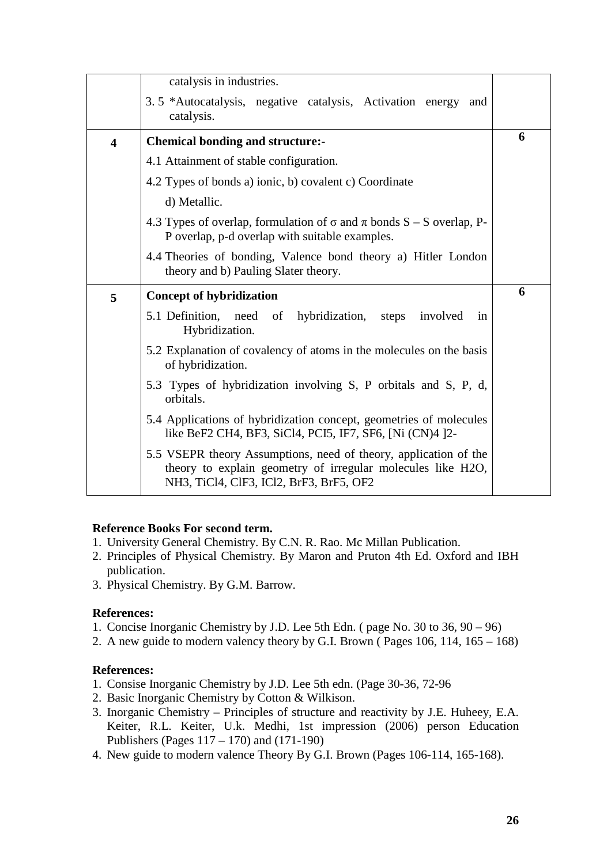|                         | catalysis in industries.                                                                                                          |   |
|-------------------------|-----------------------------------------------------------------------------------------------------------------------------------|---|
|                         | 3.5 *Autocatalysis, negative catalysis, Activation energy<br>and<br>catalysis.                                                    |   |
| $\overline{\mathbf{4}}$ | <b>Chemical bonding and structure:-</b>                                                                                           | 6 |
|                         | 4.1 Attainment of stable configuration.                                                                                           |   |
|                         | 4.2 Types of bonds a) ionic, b) covalent c) Coordinate                                                                            |   |
|                         | d) Metallic.                                                                                                                      |   |
|                         | 4.3 Types of overlap, formulation of $\sigma$ and $\pi$ bonds S – S overlap, P-<br>P overlap, p-d overlap with suitable examples. |   |
|                         | 4.4 Theories of bonding, Valence bond theory a) Hitler London<br>theory and b) Pauling Slater theory.                             |   |
|                         |                                                                                                                                   |   |
| 5                       | <b>Concept of hybridization</b>                                                                                                   | 6 |
|                         | 5.1 Definition,<br>hybridization, steps<br>involved<br>need<br>of<br>in<br>Hybridization.                                         |   |
|                         | 5.2 Explanation of covalency of atoms in the molecules on the basis<br>of hybridization.                                          |   |
|                         | 5.3 Types of hybridization involving S, P orbitals and S, P, d,<br>orbitals.                                                      |   |
|                         | 5.4 Applications of hybridization concept, geometries of molecules<br>like BeF2 CH4, BF3, SiCl4, PCI5, IF7, SF6, [Ni (CN)4 ]2-    |   |

#### **Reference Books For second term.**

- 1. University General Chemistry. By C.N. R. Rao. Mc Millan Publication.
- 2. Principles of Physical Chemistry. By Maron and Pruton 4th Ed. Oxford and IBH publication.
- 3. Physical Chemistry. By G.M. Barrow.

#### **References:**

- 1. Concise Inorganic Chemistry by J.D. Lee 5th Edn. ( page No. 30 to 36, 90 96)
- 2. A new guide to modern valency theory by G.I. Brown ( Pages 106, 114, 165 168)

#### **References:**

- 1. Consise Inorganic Chemistry by J.D. Lee 5th edn. (Page 30-36, 72-96
- 2. Basic Inorganic Chemistry by Cotton & Wilkison.
- 3. Inorganic Chemistry Principles of structure and reactivity by J.E. Huheey, E.A. Keiter, R.L. Keiter, U.k. Medhi, 1st impression (2006) person Education Publishers (Pages 117 – 170) and (171-190)
- 4. New guide to modern valence Theory By G.I. Brown (Pages 106-114, 165-168).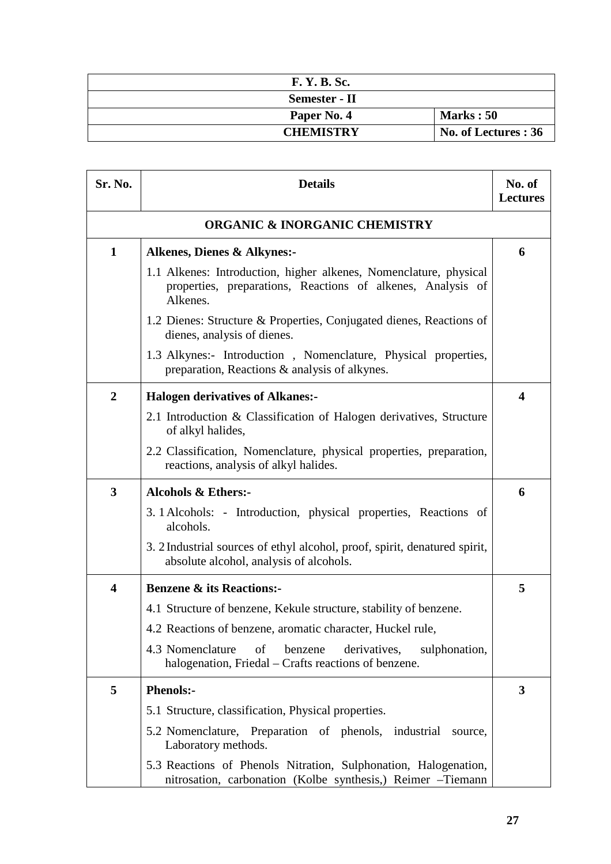| <b>F. Y. B. Sc.</b>  |                      |
|----------------------|----------------------|
| <b>Semester - II</b> |                      |
| Paper No. 4          | <b>Marks</b> : 50    |
| <b>CHEMISTRY</b>     | No. of Lectures : 36 |

| Sr. No.                 | <b>Details</b>                                                                                                                               | No. of<br><b>Lectures</b> |
|-------------------------|----------------------------------------------------------------------------------------------------------------------------------------------|---------------------------|
|                         | <b>ORGANIC &amp; INORGANIC CHEMISTRY</b>                                                                                                     |                           |
| $\mathbf{1}$            | <b>Alkenes, Dienes &amp; Alkynes:-</b>                                                                                                       | 6                         |
|                         | 1.1 Alkenes: Introduction, higher alkenes, Nomenclature, physical<br>properties, preparations, Reactions of alkenes, Analysis of<br>Alkenes. |                           |
|                         | 1.2 Dienes: Structure & Properties, Conjugated dienes, Reactions of<br>dienes, analysis of dienes.                                           |                           |
|                         | 1.3 Alkynes:- Introduction, Nomenclature, Physical properties,<br>preparation, Reactions & analysis of alkynes.                              |                           |
| $\boldsymbol{2}$        | <b>Halogen derivatives of Alkanes:-</b>                                                                                                      | 4                         |
|                         | 2.1 Introduction & Classification of Halogen derivatives, Structure<br>of alkyl halides,                                                     |                           |
|                         | 2.2 Classification, Nomenclature, physical properties, preparation,<br>reactions, analysis of alkyl halides.                                 |                           |
| 3                       | <b>Alcohols &amp; Ethers:-</b>                                                                                                               | 6                         |
|                         | 3.1 Alcohols: - Introduction, physical properties, Reactions of<br>alcohols.                                                                 |                           |
|                         | 3. 2 Industrial sources of ethyl alcohol, proof, spirit, denatured spirit,<br>absolute alcohol, analysis of alcohols.                        |                           |
| $\overline{\mathbf{4}}$ | <b>Benzene &amp; its Reactions:-</b>                                                                                                         | 5                         |
|                         | 4.1 Structure of benzene, Kekule structure, stability of benzene.                                                                            |                           |
|                         | 4.2 Reactions of benzene, aromatic character, Huckel rule,                                                                                   |                           |
|                         | 4.3 Nomenclature<br>benzene<br>derivatives,<br>sulphonation,<br>of<br>halogenation, Friedal – Crafts reactions of benzene.                   |                           |
| 5                       | <b>Phenols:-</b>                                                                                                                             | 3                         |
|                         | 5.1 Structure, classification, Physical properties.                                                                                          |                           |
|                         | 5.2 Nomenclature, Preparation of phenols, industrial<br>source,<br>Laboratory methods.                                                       |                           |
|                         | 5.3 Reactions of Phenols Nitration, Sulphonation, Halogenation,<br>nitrosation, carbonation (Kolbe synthesis,) Reimer -Tiemann               |                           |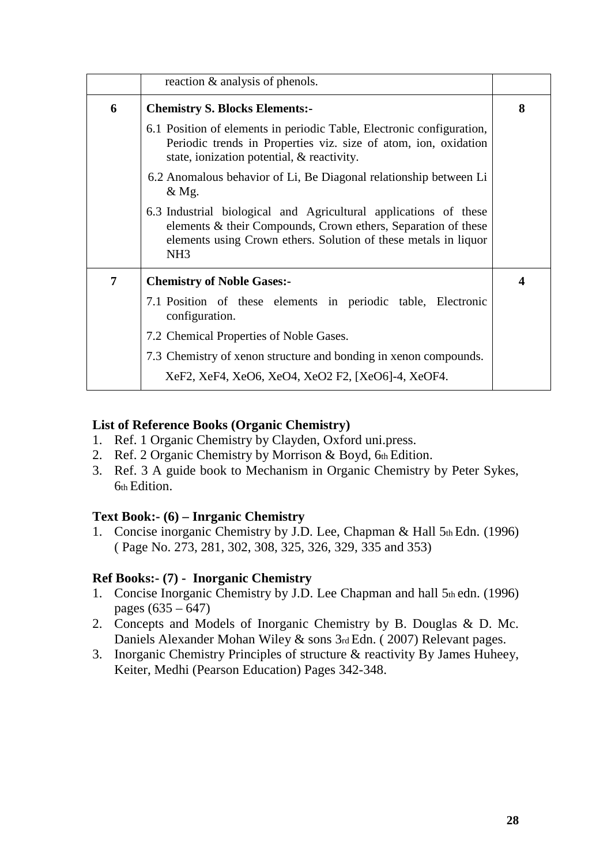|   | reaction & analysis of phenols.                                                                                                                                                                                         |   |
|---|-------------------------------------------------------------------------------------------------------------------------------------------------------------------------------------------------------------------------|---|
| 6 | <b>Chemistry S. Blocks Elements:-</b>                                                                                                                                                                                   | 8 |
|   | 6.1 Position of elements in periodic Table, Electronic configuration,<br>Periodic trends in Properties viz. size of atom, ion, oxidation<br>state, ionization potential, & reactivity.                                  |   |
|   | 6.2 Anomalous behavior of Li, Be Diagonal relationship between Li<br>& Mg.                                                                                                                                              |   |
|   | 6.3 Industrial biological and Agricultural applications of these<br>elements & their Compounds, Crown ethers, Separation of these<br>elements using Crown ethers. Solution of these metals in liquor<br>NH <sub>3</sub> |   |
| 7 | <b>Chemistry of Noble Gases:-</b>                                                                                                                                                                                       | 4 |
|   | 7.1 Position of these elements in periodic table, Electronic<br>configuration.                                                                                                                                          |   |
|   | 7.2 Chemical Properties of Noble Gases.                                                                                                                                                                                 |   |
|   | 7.3 Chemistry of xenon structure and bonding in xenon compounds.                                                                                                                                                        |   |
|   | XeF2, XeF4, XeO6, XeO4, XeO2 F2, [XeO6]-4, XeOF4.                                                                                                                                                                       |   |

# **List of Reference Books (Organic Chemistry)**

- 1. Ref. 1 Organic Chemistry by Clayden, Oxford uni.press.
- 2. Ref. 2 Organic Chemistry by Morrison & Boyd, 6th Edition.
- 3. Ref. 3 A guide book to Mechanism in Organic Chemistry by Peter Sykes, 6th Edition.

# **Text Book:- (6) – Inrganic Chemistry**

1. Concise inorganic Chemistry by J.D. Lee, Chapman & Hall 5th Edn. (1996) ( Page No. 273, 281, 302, 308, 325, 326, 329, 335 and 353)

# **Ref Books:- (7) - Inorganic Chemistry**

- 1. Concise Inorganic Chemistry by J.D. Lee Chapman and hall  $5<sub>th</sub>$  edn. (1996) pages  $(635 - 647)$
- 2. Concepts and Models of Inorganic Chemistry by B. Douglas & D. Mc. Daniels Alexander Mohan Wiley & sons 3rd Edn. ( 2007) Relevant pages.
- 3. Inorganic Chemistry Principles of structure & reactivity By James Huheey, Keiter, Medhi (Pearson Education) Pages 342-348.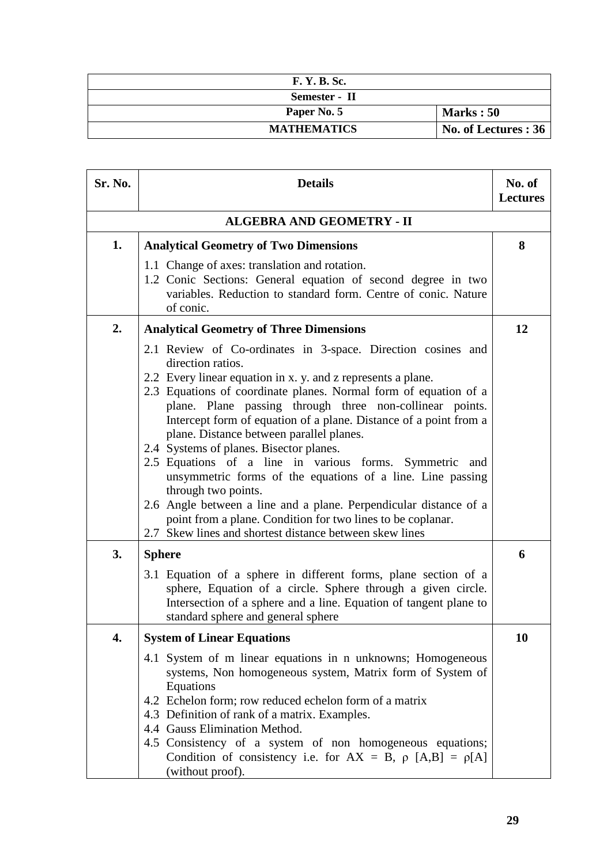| <b>F. Y. B. Sc.</b> |                      |
|---------------------|----------------------|
| Semester - II       |                      |
| Paper No. 5         | <b>Marks</b> : 50    |
| <b>MATHEMATICS</b>  | No. of Lectures : 36 |

| Sr. No. | <b>Details</b>                                                                                                                                                                                                                                                                                                                                                                                                                                                                                                                                                                                                                                                                                                                                                                                  | No. of<br><b>Lectures</b> |
|---------|-------------------------------------------------------------------------------------------------------------------------------------------------------------------------------------------------------------------------------------------------------------------------------------------------------------------------------------------------------------------------------------------------------------------------------------------------------------------------------------------------------------------------------------------------------------------------------------------------------------------------------------------------------------------------------------------------------------------------------------------------------------------------------------------------|---------------------------|
|         | <b>ALGEBRA AND GEOMETRY - II</b>                                                                                                                                                                                                                                                                                                                                                                                                                                                                                                                                                                                                                                                                                                                                                                |                           |
| 1.      | <b>Analytical Geometry of Two Dimensions</b>                                                                                                                                                                                                                                                                                                                                                                                                                                                                                                                                                                                                                                                                                                                                                    |                           |
|         | 1.1 Change of axes: translation and rotation.<br>1.2 Conic Sections: General equation of second degree in two<br>variables. Reduction to standard form. Centre of conic. Nature<br>of conic.                                                                                                                                                                                                                                                                                                                                                                                                                                                                                                                                                                                                    |                           |
| 2.      | <b>Analytical Geometry of Three Dimensions</b>                                                                                                                                                                                                                                                                                                                                                                                                                                                                                                                                                                                                                                                                                                                                                  | 12                        |
|         | 2.1 Review of Co-ordinates in 3-space. Direction cosines and<br>direction ratios.<br>2.2 Every linear equation in x. y. and z represents a plane.<br>2.3 Equations of coordinate planes. Normal form of equation of a<br>plane. Plane passing through three non-collinear points.<br>Intercept form of equation of a plane. Distance of a point from a<br>plane. Distance between parallel planes.<br>2.4 Systems of planes. Bisector planes.<br>2.5 Equations of a line in various forms. Symmetric<br>and<br>unsymmetric forms of the equations of a line. Line passing<br>through two points.<br>2.6 Angle between a line and a plane. Perpendicular distance of a<br>point from a plane. Condition for two lines to be coplanar.<br>2.7 Skew lines and shortest distance between skew lines |                           |
| 3.      | <b>Sphere</b>                                                                                                                                                                                                                                                                                                                                                                                                                                                                                                                                                                                                                                                                                                                                                                                   | 6                         |
|         | 3.1 Equation of a sphere in different forms, plane section of a<br>sphere, Equation of a circle. Sphere through a given circle.<br>Intersection of a sphere and a line. Equation of tangent plane to<br>standard sphere and general sphere                                                                                                                                                                                                                                                                                                                                                                                                                                                                                                                                                      |                           |
| 4.      | <b>System of Linear Equations</b>                                                                                                                                                                                                                                                                                                                                                                                                                                                                                                                                                                                                                                                                                                                                                               | 10                        |
|         | 4.1 System of m linear equations in n unknowns; Homogeneous<br>systems, Non homogeneous system, Matrix form of System of<br>Equations<br>4.2 Echelon form; row reduced echelon form of a matrix<br>4.3 Definition of rank of a matrix. Examples.<br>4.4 Gauss Elimination Method.<br>4.5 Consistency of a system of non homogeneous equations;                                                                                                                                                                                                                                                                                                                                                                                                                                                  |                           |
|         | Condition of consistency i.e. for $AX = B$ , $\rho$ $[A,B] = \rho[A]$<br>(without proof).                                                                                                                                                                                                                                                                                                                                                                                                                                                                                                                                                                                                                                                                                                       |                           |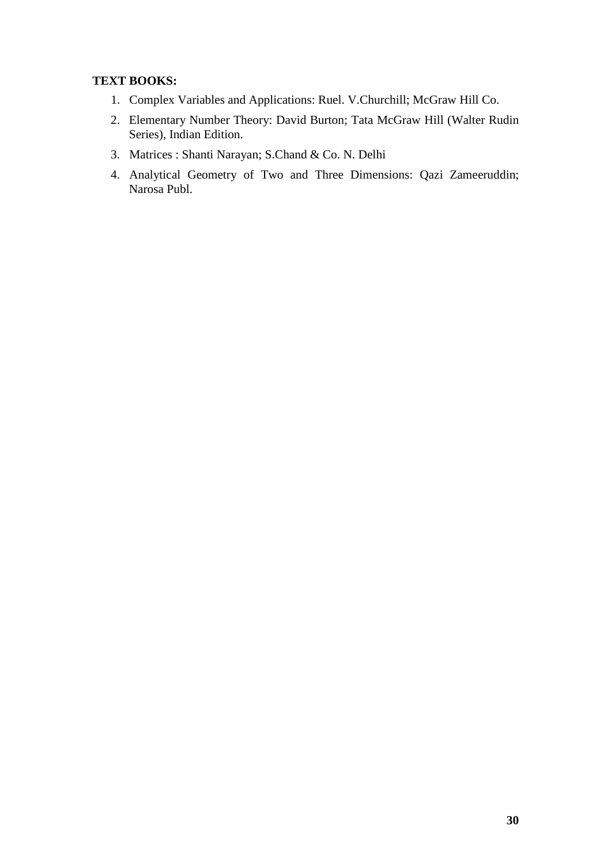# **TEXT BOOKS:**

- 1. Complex Variables and Applications: Ruel. V.Churchill; McGraw Hill Co.
- 2. Elementary Number Theory: David Burton; Tata McGraw Hill (Walter Rudin Series), Indian Edition.
- 3. Matrices : Shanti Narayan; S.Chand & Co. N. Delhi
- 4. Analytical Geometry of Two and Three Dimensions: Qazi Zameeruddin; Narosa Publ.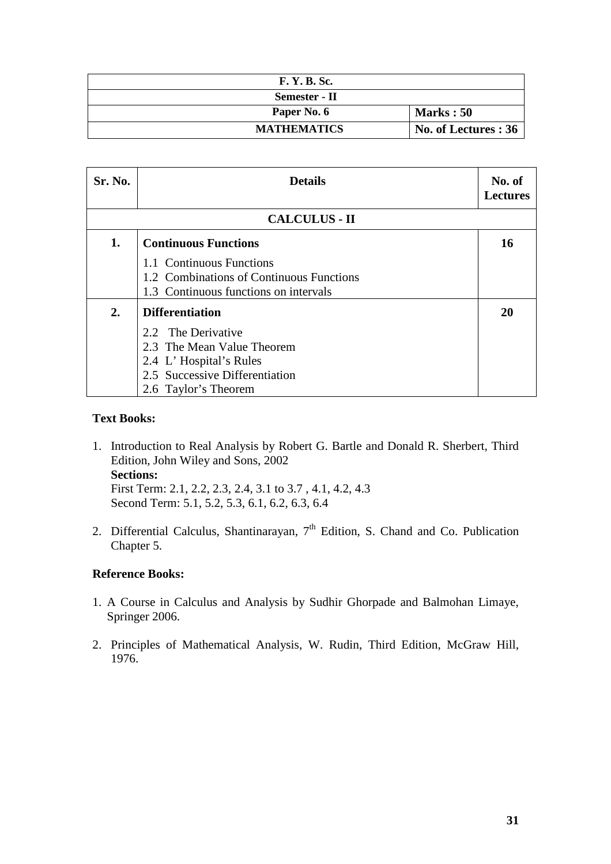| <b>F. Y. B. Sc.</b> |                      |
|---------------------|----------------------|
| Semester - II       |                      |
| Paper No. 6         | Marks: 50            |
| <b>MATHEMATICS</b>  | No. of Lectures : 36 |

| Sr. No.              | <b>Details</b>                           | No. of<br><b>Lectures</b> |
|----------------------|------------------------------------------|---------------------------|
| <b>CALCULUS - II</b> |                                          |                           |
| 1.                   | <b>Continuous Functions</b>              | 16                        |
|                      | 1.1 Continuous Functions                 |                           |
|                      | 1.2 Combinations of Continuous Functions |                           |
|                      | 1.3 Continuous functions on intervals    |                           |
| 2.                   | <b>Differentiation</b>                   | 20                        |
|                      | 2.2 The Derivative                       |                           |
|                      | 2.3 The Mean Value Theorem               |                           |
|                      | 2.4 L'Hospital's Rules                   |                           |
|                      | 2.5 Successive Differentiation           |                           |
|                      | 2.6 Taylor's Theorem                     |                           |

### **Text Books:**

- 1. Introduction to Real Analysis by Robert G. Bartle and Donald R. Sherbert, Third Edition, John Wiley and Sons, 2002 **Sections:**  First Term: 2.1, 2.2, 2.3, 2.4, 3.1 to 3.7 , 4.1, 4.2, 4.3 Second Term: 5.1, 5.2, 5.3, 6.1, 6.2, 6.3, 6.4
- 2. Differential Calculus, Shantinarayan,  $7<sup>th</sup>$  Edition, S. Chand and Co. Publication Chapter 5.

### **Reference Books:**

- 1. A Course in Calculus and Analysis by Sudhir Ghorpade and Balmohan Limaye, Springer 2006.
- 2. Principles of Mathematical Analysis, W. Rudin, Third Edition, McGraw Hill, 1976.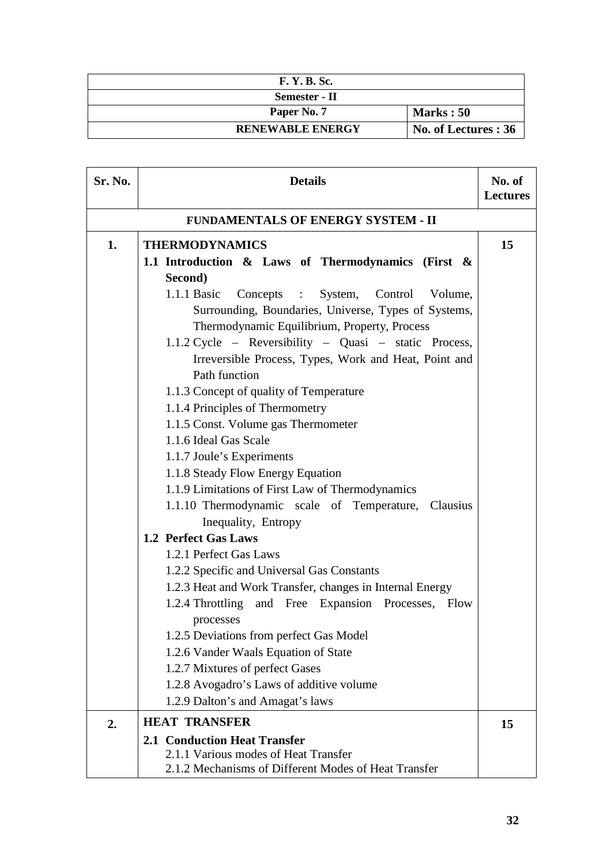| <b>F. Y. B. Sc.</b>     |                      |
|-------------------------|----------------------|
| Semester - II           |                      |
| Paper No. 7             | <b>Marks</b> : 50    |
| <b>RENEWABLE ENERGY</b> | No. of Lectures : 36 |

| Sr. No.                                   | <b>Details</b>                                                                                         | No. of<br><b>Lectures</b> |
|-------------------------------------------|--------------------------------------------------------------------------------------------------------|---------------------------|
| <b>FUNDAMENTALS OF ENERGY SYSTEM - II</b> |                                                                                                        |                           |
| 1.                                        | <b>THERMODYNAMICS</b>                                                                                  | 15                        |
|                                           | 1.1 Introduction & Laws of Thermodynamics (First &                                                     |                           |
|                                           | Second)                                                                                                |                           |
|                                           | $1.1.1$ Basic<br>Concepts : System, Control Volume,                                                    |                           |
|                                           | Surrounding, Boundaries, Universe, Types of Systems,                                                   |                           |
|                                           | Thermodynamic Equilibrium, Property, Process                                                           |                           |
|                                           | 1.1.2 Cycle – Reversibility – Quasi – static Process,                                                  |                           |
|                                           | Irreversible Process, Types, Work and Heat, Point and                                                  |                           |
|                                           | Path function                                                                                          |                           |
|                                           | 1.1.3 Concept of quality of Temperature                                                                |                           |
|                                           | 1.1.4 Principles of Thermometry                                                                        |                           |
|                                           | 1.1.5 Const. Volume gas Thermometer                                                                    |                           |
|                                           | 1.1.6 Ideal Gas Scale                                                                                  |                           |
|                                           | 1.1.7 Joule's Experiments                                                                              |                           |
|                                           | 1.1.8 Steady Flow Energy Equation                                                                      |                           |
|                                           | 1.1.9 Limitations of First Law of Thermodynamics                                                       |                           |
|                                           | 1.1.10 Thermodynamic scale of Temperature,<br>Clausius                                                 |                           |
|                                           | Inequality, Entropy<br>1.2 Perfect Gas Laws                                                            |                           |
|                                           |                                                                                                        |                           |
|                                           | 1.2.1 Perfect Gas Laws                                                                                 |                           |
|                                           | 1.2.2 Specific and Universal Gas Constants<br>1.2.3 Heat and Work Transfer, changes in Internal Energy |                           |
|                                           | 1.2.4 Throttling and Free Expansion Processes, Flow                                                    |                           |
|                                           | processes                                                                                              |                           |
|                                           | 1.2.5 Deviations from perfect Gas Model                                                                |                           |
|                                           | 1.2.6 Vander Waals Equation of State                                                                   |                           |
|                                           | 1.2.7 Mixtures of perfect Gases                                                                        |                           |
|                                           | 1.2.8 Avogadro's Laws of additive volume                                                               |                           |
|                                           | 1.2.9 Dalton's and Amagat's laws                                                                       |                           |
| 2.                                        | <b>HEAT TRANSFER</b>                                                                                   | 15                        |
|                                           | <b>2.1 Conduction Heat Transfer</b>                                                                    |                           |
|                                           | 2.1.1 Various modes of Heat Transfer                                                                   |                           |
|                                           | 2.1.2 Mechanisms of Different Modes of Heat Transfer                                                   |                           |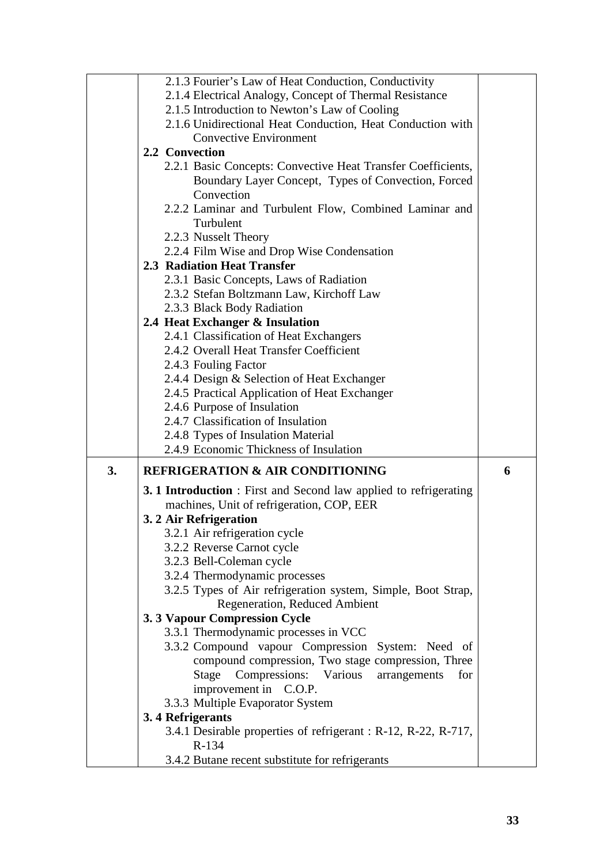|    | 2.1.3 Fourier's Law of Heat Conduction, Conductivity                      |   |
|----|---------------------------------------------------------------------------|---|
|    | 2.1.4 Electrical Analogy, Concept of Thermal Resistance                   |   |
|    | 2.1.5 Introduction to Newton's Law of Cooling                             |   |
|    | 2.1.6 Unidirectional Heat Conduction, Heat Conduction with                |   |
|    | <b>Convective Environment</b>                                             |   |
|    | 2.2 Convection                                                            |   |
|    | 2.2.1 Basic Concepts: Convective Heat Transfer Coefficients,              |   |
|    | Boundary Layer Concept, Types of Convection, Forced                       |   |
|    | Convection                                                                |   |
|    | 2.2.2 Laminar and Turbulent Flow, Combined Laminar and                    |   |
|    | Turbulent                                                                 |   |
|    | 2.2.3 Nusselt Theory                                                      |   |
|    | 2.2.4 Film Wise and Drop Wise Condensation                                |   |
|    | 2.3 Radiation Heat Transfer                                               |   |
|    | 2.3.1 Basic Concepts, Laws of Radiation                                   |   |
|    | 2.3.2 Stefan Boltzmann Law, Kirchoff Law                                  |   |
|    | 2.3.3 Black Body Radiation                                                |   |
|    | 2.4 Heat Exchanger & Insulation                                           |   |
|    | 2.4.1 Classification of Heat Exchangers                                   |   |
|    | 2.4.2 Overall Heat Transfer Coefficient                                   |   |
|    | 2.4.3 Fouling Factor<br>2.4.4 Design & Selection of Heat Exchanger        |   |
|    | 2.4.5 Practical Application of Heat Exchanger                             |   |
|    | 2.4.6 Purpose of Insulation                                               |   |
|    | 2.4.7 Classification of Insulation                                        |   |
|    | 2.4.8 Types of Insulation Material                                        |   |
|    | 2.4.9 Economic Thickness of Insulation                                    |   |
| 3. | <b>REFRIGERATION &amp; AIR CONDITIONING</b>                               | 6 |
|    | 3.1 Introduction : First and Second law applied to refrigerating          |   |
|    | machines, Unit of refrigeration, COP, EER                                 |   |
|    | 3. 2 Air Refrigeration                                                    |   |
|    | 3.2.1 Air refrigeration cycle                                             |   |
|    | 3.2.2 Reverse Carnot cycle                                                |   |
|    | 3.2.3 Bell-Coleman cycle                                                  |   |
|    | 3.2.4 Thermodynamic processes                                             |   |
|    | 3.2.5 Types of Air refrigeration system, Simple, Boot Strap,              |   |
|    | Regeneration, Reduced Ambient                                             |   |
|    | 3.3 Vapour Compression Cycle                                              |   |
|    | 3.3.1 Thermodynamic processes in VCC                                      |   |
|    | 3.3.2 Compound vapour Compression System: Need of                         |   |
|    | compound compression, Two stage compression, Three                        |   |
|    | Stage<br>Compressions: Various<br>arrangements<br>for                     |   |
|    | improvement in C.O.P.                                                     |   |
|    | 3.3.3 Multiple Evaporator System                                          |   |
|    | 3.4 Refrigerants                                                          |   |
|    | 3.4.1 Desirable properties of refrigerant : R-12, R-22, R-717,<br>$R-134$ |   |
|    | 3.4.2 Butane recent substitute for refrigerants                           |   |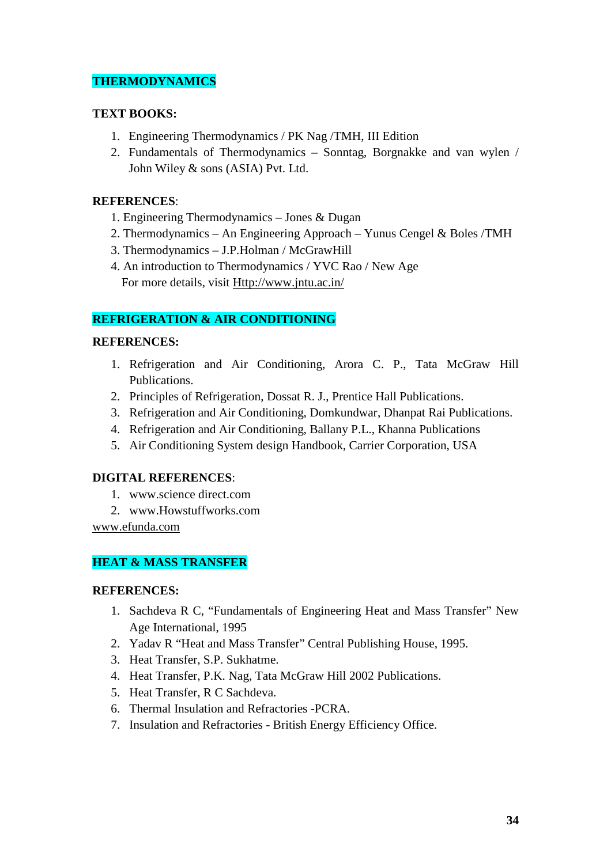# **THERMODYNAMICS**

# **TEXT BOOKS:**

- 1. Engineering Thermodynamics / PK Nag /TMH, III Edition
- 2. Fundamentals of Thermodynamics Sonntag, Borgnakke and van wylen / John Wiley & sons (ASIA) Pvt. Ltd.

### **REFERENCES**:

- 1. Engineering Thermodynamics Jones & Dugan
- 2. Thermodynamics An Engineering Approach Yunus Cengel & Boles /TMH
- 3. Thermodynamics J.P.Holman / McGrawHill
- 4. An introduction to Thermodynamics / YVC Rao / New Age For more details, visit Http://www.jntu.ac.in/

# **REFRIGERATION & AIR CONDITIONING**

# **REFERENCES:**

- 1. Refrigeration and Air Conditioning, Arora C. P., Tata McGraw Hill Publications.
- 2. Principles of Refrigeration, Dossat R. J., Prentice Hall Publications.
- 3. Refrigeration and Air Conditioning, Domkundwar, Dhanpat Rai Publications.
- 4. Refrigeration and Air Conditioning, Ballany P.L., Khanna Publications
- 5. Air Conditioning System design Handbook, Carrier Corporation, USA

# **DIGITAL REFERENCES**:

- 1. www.science direct.com
- 2. www.Howstuffworks.com

www.efunda.com

# **HEAT & MASS TRANSFER**

### **REFERENCES:**

- 1. Sachdeva R C, "Fundamentals of Engineering Heat and Mass Transfer" New Age International, 1995
- 2. Yadav R "Heat and Mass Transfer" Central Publishing House, 1995.
- 3. Heat Transfer, S.P. Sukhatme.
- 4. Heat Transfer, P.K. Nag, Tata McGraw Hill 2002 Publications.
- 5. Heat Transfer, R C Sachdeva.
- 6. Thermal Insulation and Refractories -PCRA.
- 7. Insulation and Refractories British Energy Efficiency Office.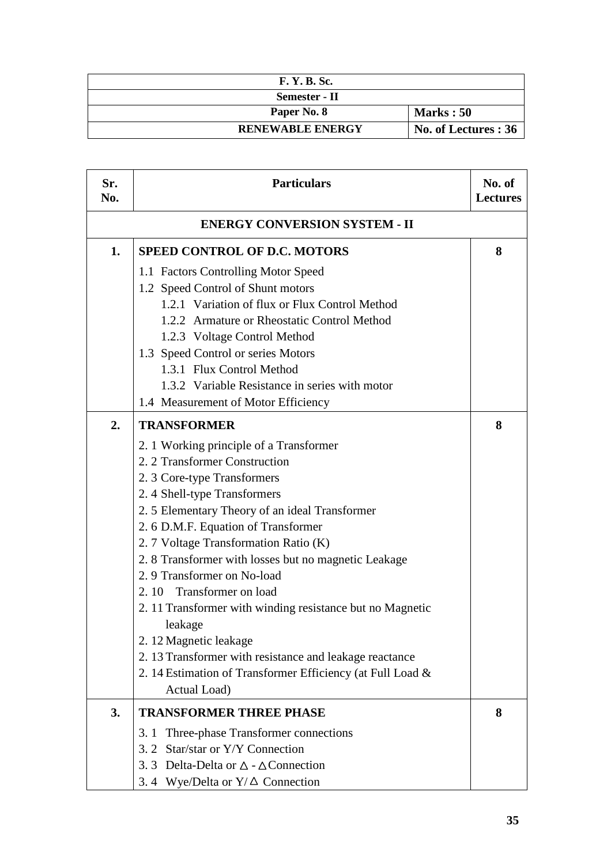| <b>F. Y. B. Sc.</b>     |                      |
|-------------------------|----------------------|
| Semester - II           |                      |
| Paper No. 8             | <b>Marks</b> : 50    |
| <b>RENEWABLE ENERGY</b> | No. of Lectures : 36 |

| Sr.<br>No.                           | <b>Particulars</b>                                         | No. of<br><b>Lectures</b> |
|--------------------------------------|------------------------------------------------------------|---------------------------|
| <b>ENERGY CONVERSION SYSTEM - II</b> |                                                            |                           |
| 1.                                   | <b>SPEED CONTROL OF D.C. MOTORS</b>                        | 8                         |
|                                      | 1.1 Factors Controlling Motor Speed                        |                           |
|                                      | 1.2 Speed Control of Shunt motors                          |                           |
|                                      | 1.2.1 Variation of flux or Flux Control Method             |                           |
|                                      | 1.2.2 Armature or Rheostatic Control Method                |                           |
|                                      | 1.2.3 Voltage Control Method                               |                           |
|                                      | 1.3 Speed Control or series Motors                         |                           |
|                                      | 1.3.1 Flux Control Method                                  |                           |
|                                      | 1.3.2 Variable Resistance in series with motor             |                           |
|                                      | 1.4 Measurement of Motor Efficiency                        |                           |
| 2.                                   | <b>TRANSFORMER</b>                                         | 8                         |
|                                      | 2. 1 Working principle of a Transformer                    |                           |
|                                      | 2. 2 Transformer Construction                              |                           |
|                                      | 2. 3 Core-type Transformers                                |                           |
|                                      | 2.4 Shell-type Transformers                                |                           |
|                                      | 2.5 Elementary Theory of an ideal Transformer              |                           |
|                                      | 2. 6 D.M.F. Equation of Transformer                        |                           |
|                                      | 2. 7 Voltage Transformation Ratio (K)                      |                           |
|                                      | 2.8 Transformer with losses but no magnetic Leakage        |                           |
|                                      | 2.9 Transformer on No-load                                 |                           |
|                                      | 2.10 Transformer on load                                   |                           |
|                                      | 2. 11 Transformer with winding resistance but no Magnetic  |                           |
|                                      | leakage                                                    |                           |
|                                      | 2. 12 Magnetic leakage                                     |                           |
|                                      | 2. 13 Transformer with resistance and leakage reactance    |                           |
|                                      | 2. 14 Estimation of Transformer Efficiency (at Full Load & |                           |
|                                      | Actual Load)                                               |                           |
| 3.                                   | <b>TRANSFORMER THREE PHASE</b>                             | 8                         |
|                                      | Three-phase Transformer connections<br>3.1                 |                           |
|                                      | 3. 2 Star/star or Y/Y Connection                           |                           |
|                                      | 3.3 Delta-Delta or $\triangle$ - $\triangle$ Connection    |                           |
|                                      | 3.4 Wye/Delta or $Y/\Delta$ Connection                     |                           |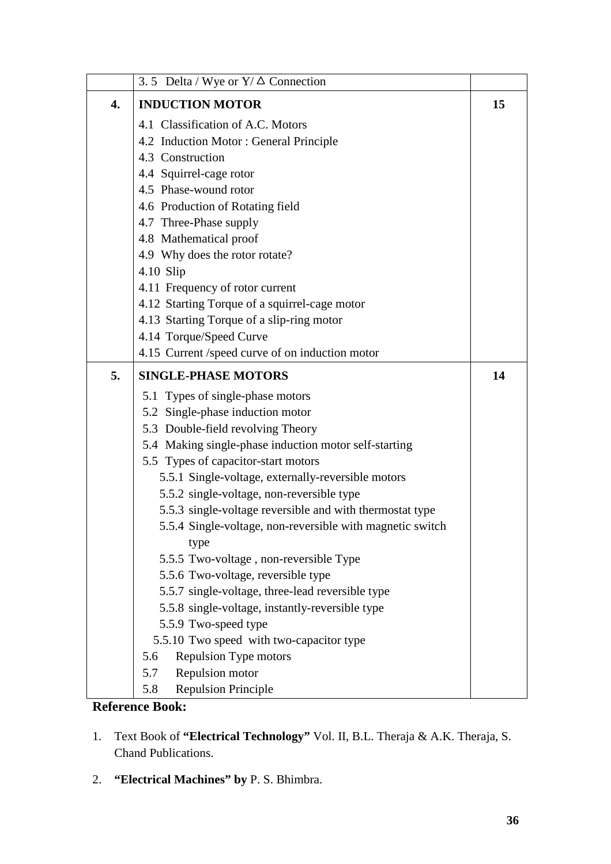|    | 3.5 Delta / Wye or $Y/\Delta$ Connection                                     |    |
|----|------------------------------------------------------------------------------|----|
| 4. | <b>INDUCTION MOTOR</b>                                                       | 15 |
|    | 4.1 Classification of A.C. Motors                                            |    |
|    | 4.2 Induction Motor: General Principle                                       |    |
|    | 4.3 Construction                                                             |    |
|    | 4.4 Squirrel-cage rotor                                                      |    |
|    | 4.5 Phase-wound rotor                                                        |    |
|    | 4.6 Production of Rotating field                                             |    |
|    | 4.7 Three-Phase supply                                                       |    |
|    | 4.8 Mathematical proof                                                       |    |
|    | 4.9 Why does the rotor rotate?                                               |    |
|    | $4.10$ Slip                                                                  |    |
|    | 4.11 Frequency of rotor current                                              |    |
|    | 4.12 Starting Torque of a squirrel-cage motor                                |    |
|    | 4.13 Starting Torque of a slip-ring motor                                    |    |
|    | 4.14 Torque/Speed Curve                                                      |    |
|    | 4.15 Current /speed curve of on induction motor                              |    |
| 5. | <b>SINGLE-PHASE MOTORS</b>                                                   | 14 |
|    | 5.1 Types of single-phase motors                                             |    |
|    | 5.2 Single-phase induction motor                                             |    |
|    | 5.3 Double-field revolving Theory                                            |    |
|    | 5.4 Making single-phase induction motor self-starting                        |    |
|    | 5.5 Types of capacitor-start motors                                          |    |
|    | 5.5.1 Single-voltage, externally-reversible motors                           |    |
|    | 5.5.2 single-voltage, non-reversible type                                    |    |
|    | 5.5.3 single-voltage reversible and with thermostat type                     |    |
|    | 5.5.4 Single-voltage, non-reversible with magnetic switch                    |    |
|    | type                                                                         |    |
|    | 5.5.5 Two-voltage, non-reversible Type<br>5.5.6 Two-voltage, reversible type |    |
|    | 5.5.7 single-voltage, three-lead reversible type                             |    |
|    | 5.5.8 single-voltage, instantly-reversible type                              |    |
|    | 5.5.9 Two-speed type                                                         |    |
|    | 5.5.10 Two speed with two-capacitor type                                     |    |
|    | <b>Repulsion Type motors</b><br>5.6                                          |    |
|    | Repulsion motor<br>5.7                                                       |    |
|    | <b>Repulsion Principle</b><br>5.8                                            |    |
|    |                                                                              |    |

### **Reference Book:**

- 1. Text Book of **"Electrical Technology"** Vol. II, B.L. Theraja & A.K. Theraja, S. Chand Publications.
- 2. **"Electrical Machines" by** P. S. Bhimbra.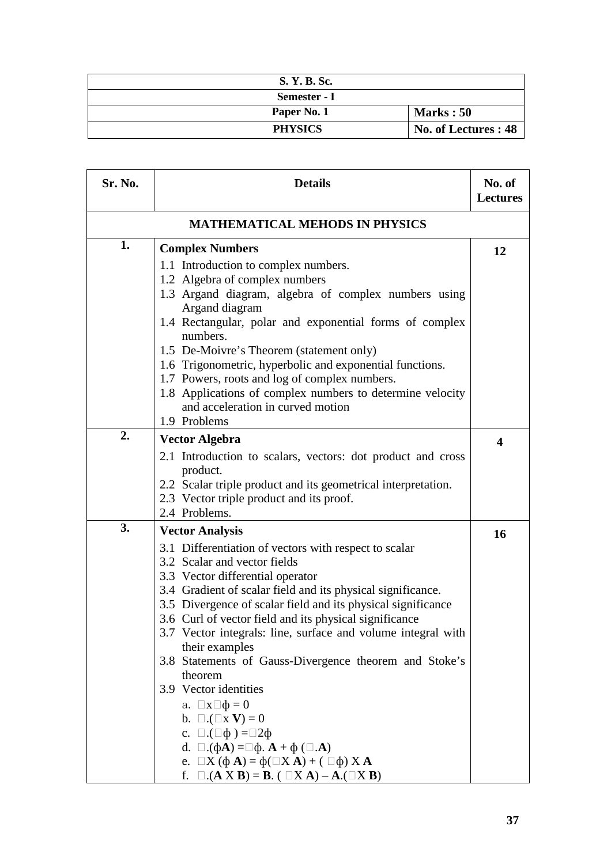| S. Y. B. Sc.   |                      |
|----------------|----------------------|
| Semester - I   |                      |
| Paper No. 1    | <b>Marks</b> : 50    |
| <b>PHYSICS</b> | No. of Lectures : 48 |

| Sr. No.                               | <b>Details</b>                                                                                                         | No. of<br><b>Lectures</b> |
|---------------------------------------|------------------------------------------------------------------------------------------------------------------------|---------------------------|
| <b>MATHEMATICAL MEHODS IN PHYSICS</b> |                                                                                                                        |                           |
| 1.                                    | <b>Complex Numbers</b>                                                                                                 | 12                        |
|                                       | 1.1 Introduction to complex numbers.                                                                                   |                           |
|                                       | 1.2 Algebra of complex numbers                                                                                         |                           |
|                                       | 1.3 Argand diagram, algebra of complex numbers using                                                                   |                           |
|                                       | Argand diagram                                                                                                         |                           |
|                                       | 1.4 Rectangular, polar and exponential forms of complex<br>numbers.                                                    |                           |
|                                       | 1.5 De-Moivre's Theorem (statement only)                                                                               |                           |
|                                       | 1.6 Trigonometric, hyperbolic and exponential functions.                                                               |                           |
|                                       | 1.7 Powers, roots and log of complex numbers.                                                                          |                           |
|                                       | 1.8 Applications of complex numbers to determine velocity                                                              |                           |
|                                       | and acceleration in curved motion                                                                                      |                           |
|                                       | 1.9 Problems                                                                                                           |                           |
| 2.                                    | <b>Vector Algebra</b>                                                                                                  | 4                         |
|                                       | 2.1 Introduction to scalars, vectors: dot product and cross                                                            |                           |
|                                       | product.                                                                                                               |                           |
|                                       | 2.2 Scalar triple product and its geometrical interpretation.                                                          |                           |
|                                       | 2.3 Vector triple product and its proof.                                                                               |                           |
|                                       | 2.4 Problems.                                                                                                          |                           |
| 3.                                    | <b>Vector Analysis</b>                                                                                                 | 16                        |
|                                       | 3.1 Differentiation of vectors with respect to scalar                                                                  |                           |
|                                       | 3.2 Scalar and vector fields                                                                                           |                           |
|                                       | 3.3 Vector differential operator                                                                                       |                           |
|                                       | 3.4 Gradient of scalar field and its physical significance.                                                            |                           |
|                                       | 3.5 Divergence of scalar field and its physical significance                                                           |                           |
|                                       | 3.6 Curl of vector field and its physical significance<br>3.7 Vector integrals: line, surface and volume integral with |                           |
|                                       | their examples                                                                                                         |                           |
|                                       | 3.8 Statements of Gauss-Divergence theorem and Stoke's                                                                 |                           |
|                                       | theorem                                                                                                                |                           |
|                                       | 3.9 Vector identities                                                                                                  |                           |
|                                       | a. $\Box x \Box \phi = 0$                                                                                              |                           |
|                                       | b. $\Box$ . $(\Box x \mathbf{V}) = 0$                                                                                  |                           |
|                                       | c. $\Box$ . $(\Box \phi) = \Box 2\phi$                                                                                 |                           |
|                                       | d. $\Box$ . $(\phi \mathbf{A}) = \Box \phi$ . $\mathbf{A} + \phi$ ( $\Box$ . $\mathbf{A}$ )                            |                           |
|                                       | e. $\Box X$ ( $\phi$ A) = $\phi$ ( $\Box X$ A) + ( $\Box \phi$ ) X A                                                   |                           |
|                                       | f. $\Box$ (A X B) = B. ( $\Box$ X A) – A.( $\Box$ X B)                                                                 |                           |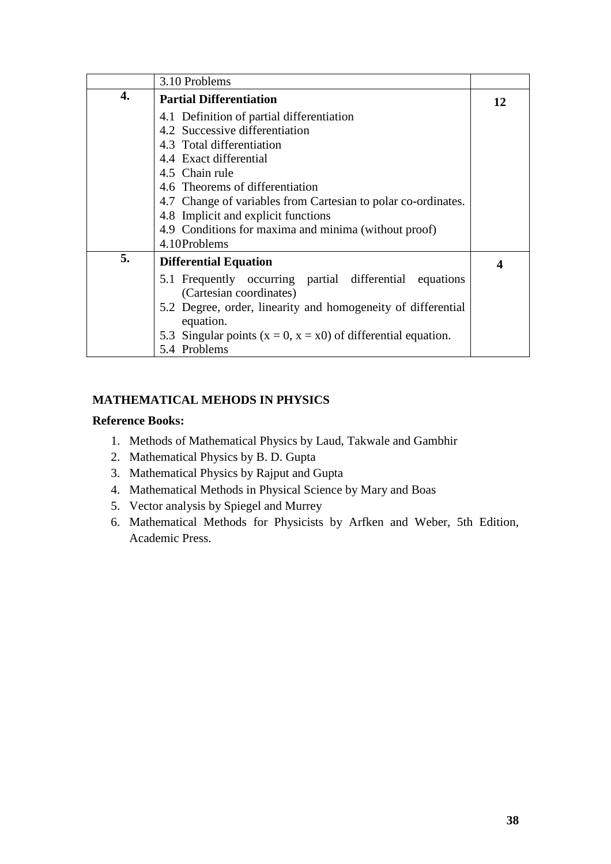|    | 3.10 Problems                                                                      |    |
|----|------------------------------------------------------------------------------------|----|
| 4. | <b>Partial Differentiation</b>                                                     | 12 |
|    | 4.1 Definition of partial differentiation                                          |    |
|    | 4.2 Successive differentiation                                                     |    |
|    | 4.3 Total differentiation                                                          |    |
|    | 4.4 Exact differential                                                             |    |
|    | 4.5 Chain rule                                                                     |    |
|    | 4.6 Theorems of differentiation                                                    |    |
|    | 4.7 Change of variables from Cartesian to polar co-ordinates.                      |    |
|    | 4.8 Implicit and explicit functions                                                |    |
|    | 4.9 Conditions for maxima and minima (without proof)                               |    |
|    | 4.10Problems                                                                       |    |
| 5. | <b>Differential Equation</b>                                                       | 4  |
|    | 5.1 Frequently occurring partial differential equations<br>(Cartesian coordinates) |    |
|    | 5.2 Degree, order, linearity and homogeneity of differential<br>equation.          |    |
|    | 5.3 Singular points $(x = 0, x = x0)$ of differential equation.                    |    |
|    | 5.4 Problems                                                                       |    |

# **MATHEMATICAL MEHODS IN PHYSICS**

- 1. Methods of Mathematical Physics by Laud, Takwale and Gambhir
- 2. Mathematical Physics by B. D. Gupta
- 3. Mathematical Physics by Rajput and Gupta
- 4. Mathematical Methods in Physical Science by Mary and Boas
- 5. Vector analysis by Spiegel and Murrey
- 6. Mathematical Methods for Physicists by Arfken and Weber, 5th Edition, Academic Press.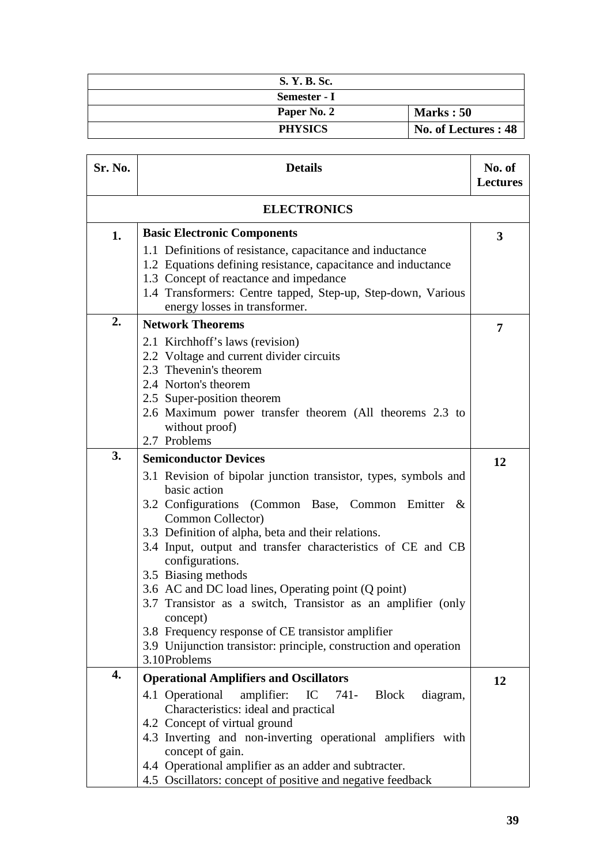| S. Y. B. Sc.   |                      |
|----------------|----------------------|
| Semester - I   |                      |
| Paper No. 2    | <b>Marks: 50</b>     |
| <b>PHYSICS</b> | No. of Lectures : 48 |

| Sr. No.            | <b>Details</b>                                                                                                                                                                                                                                                                                                                                                                                                                                                                                                                                                                                        | No. of<br><b>Lectures</b> |
|--------------------|-------------------------------------------------------------------------------------------------------------------------------------------------------------------------------------------------------------------------------------------------------------------------------------------------------------------------------------------------------------------------------------------------------------------------------------------------------------------------------------------------------------------------------------------------------------------------------------------------------|---------------------------|
| <b>ELECTRONICS</b> |                                                                                                                                                                                                                                                                                                                                                                                                                                                                                                                                                                                                       |                           |
| 1.                 | <b>Basic Electronic Components</b><br>1.1 Definitions of resistance, capacitance and inductance<br>1.2 Equations defining resistance, capacitance and inductance<br>1.3 Concept of reactance and impedance<br>1.4 Transformers: Centre tapped, Step-up, Step-down, Various<br>energy losses in transformer.                                                                                                                                                                                                                                                                                           | 3                         |
| 2.                 | <b>Network Theorems</b>                                                                                                                                                                                                                                                                                                                                                                                                                                                                                                                                                                               | 7                         |
|                    | 2.1 Kirchhoff's laws (revision)<br>2.2 Voltage and current divider circuits<br>2.3 Thevenin's theorem<br>2.4 Norton's theorem<br>2.5 Super-position theorem<br>2.6 Maximum power transfer theorem (All theorems 2.3 to<br>without proof)<br>2.7 Problems                                                                                                                                                                                                                                                                                                                                              |                           |
| 3.                 | <b>Semiconductor Devices</b>                                                                                                                                                                                                                                                                                                                                                                                                                                                                                                                                                                          | 12                        |
| 4.                 | 3.1 Revision of bipolar junction transistor, types, symbols and<br>basic action<br>3.2 Configurations (Common Base, Common Emitter &<br>Common Collector)<br>3.3 Definition of alpha, beta and their relations.<br>3.4 Input, output and transfer characteristics of CE and CB<br>configurations.<br>3.5 Biasing methods<br>3.6 AC and DC load lines, Operating point (Q point)<br>3.7 Transistor as a switch, Transistor as an amplifier (only<br>concept)<br>3.8 Frequency response of CE transistor amplifier<br>3.9 Unijunction transistor: principle, construction and operation<br>3.10Problems |                           |
|                    | <b>Operational Amplifiers and Oscillators</b><br>4.1 Operational<br>amplifier:<br>IC<br>741- Block<br>diagram,<br>Characteristics: ideal and practical<br>4.2 Concept of virtual ground<br>4.3 Inverting and non-inverting operational amplifiers with<br>concept of gain.                                                                                                                                                                                                                                                                                                                            | 12                        |
|                    | 4.4 Operational amplifier as an adder and subtracter.<br>4.5 Oscillators: concept of positive and negative feedback                                                                                                                                                                                                                                                                                                                                                                                                                                                                                   |                           |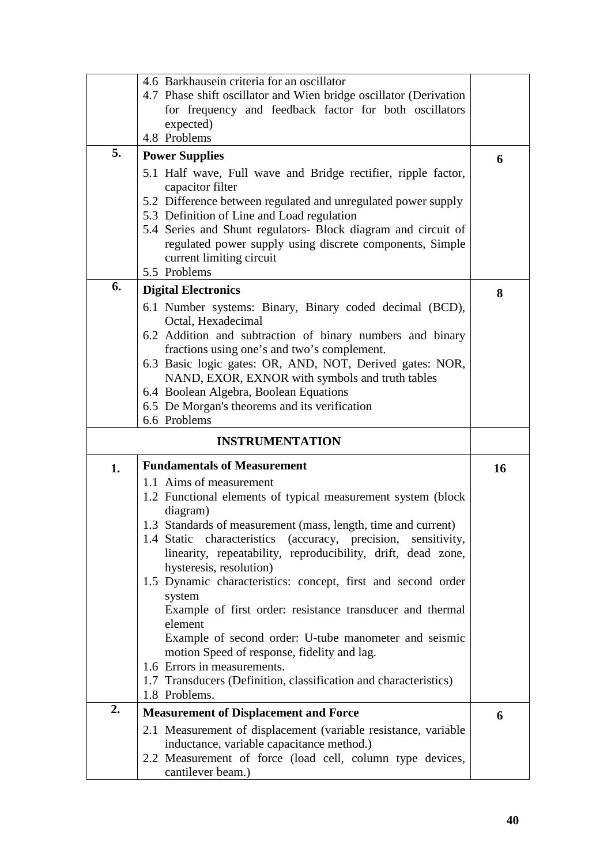|    | 4.6 Barkhausein criteria for an oscillator                                     |    |
|----|--------------------------------------------------------------------------------|----|
|    | 4.7 Phase shift oscillator and Wien bridge oscillator (Derivation              |    |
|    | for frequency and feedback factor for both oscillators                         |    |
|    | expected)                                                                      |    |
|    | 4.8 Problems                                                                   |    |
| 5. |                                                                                |    |
|    | <b>Power Supplies</b>                                                          | 6  |
|    | 5.1 Half wave, Full wave and Bridge rectifier, ripple factor,                  |    |
|    | capacitor filter                                                               |    |
|    | 5.2 Difference between regulated and unregulated power supply                  |    |
|    | 5.3 Definition of Line and Load regulation                                     |    |
|    | 5.4 Series and Shunt regulators- Block diagram and circuit of                  |    |
|    | regulated power supply using discrete components, Simple                       |    |
|    |                                                                                |    |
|    | current limiting circuit                                                       |    |
|    | 5.5 Problems                                                                   |    |
| 6. | <b>Digital Electronics</b>                                                     | 8  |
|    | 6.1 Number systems: Binary, Binary coded decimal (BCD),                        |    |
|    | Octal, Hexadecimal                                                             |    |
|    | 6.2 Addition and subtraction of binary numbers and binary                      |    |
|    | fractions using one's and two's complement.                                    |    |
|    | 6.3 Basic logic gates: OR, AND, NOT, Derived gates: NOR,                       |    |
|    | NAND, EXOR, EXNOR with symbols and truth tables                                |    |
|    |                                                                                |    |
|    | 6.4 Boolean Algebra, Boolean Equations                                         |    |
|    | 6.5 De Morgan's theorems and its verification                                  |    |
|    | 6.6 Problems                                                                   |    |
|    |                                                                                |    |
|    | <b>INSTRUMENTATION</b>                                                         |    |
|    | <b>Fundamentals of Measurement</b>                                             |    |
| 1. |                                                                                | 16 |
|    | 1.1 Aims of measurement                                                        |    |
|    | 1.2 Functional elements of typical measurement system (block                   |    |
|    | diagram)                                                                       |    |
|    | 1.3 Standards of measurement (mass, length, time and current)                  |    |
|    | (accuracy, precision, sensitivity,<br>1.4 Static characteristics               |    |
|    | linearity, repeatability, reproducibility, drift, dead zone,                   |    |
|    | hysteresis, resolution)                                                        |    |
|    | 1.5 Dynamic characteristics: concept, first and second order                   |    |
|    | system                                                                         |    |
|    | Example of first order: resistance transducer and thermal                      |    |
|    | element                                                                        |    |
|    | Example of second order: U-tube manometer and seismic                          |    |
|    | motion Speed of response, fidelity and lag.                                    |    |
|    | 1.6 Errors in measurements.                                                    |    |
|    | 1.7 Transducers (Definition, classification and characteristics)               |    |
|    | 1.8 Problems.                                                                  |    |
| 2. | <b>Measurement of Displacement and Force</b>                                   | 6  |
|    |                                                                                |    |
|    | 2.1 Measurement of displacement (variable resistance, variable                 |    |
|    | inductance, variable capacitance method.)                                      |    |
|    | 2.2 Measurement of force (load cell, column type devices,<br>cantilever beam.) |    |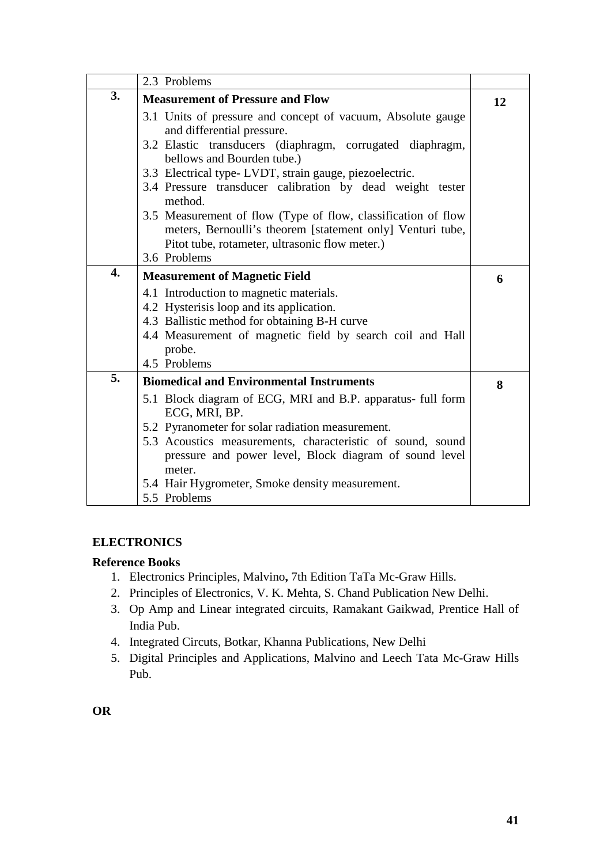|                  | 2.3 Problems                                                                                                                                                                  |    |
|------------------|-------------------------------------------------------------------------------------------------------------------------------------------------------------------------------|----|
| 3.               | <b>Measurement of Pressure and Flow</b>                                                                                                                                       | 12 |
|                  | 3.1 Units of pressure and concept of vacuum, Absolute gauge<br>and differential pressure.                                                                                     |    |
|                  | 3.2 Elastic transducers (diaphragm, corrugated diaphragm,<br>bellows and Bourden tube.)                                                                                       |    |
|                  | 3.3 Electrical type-LVDT, strain gauge, piezoelectric.                                                                                                                        |    |
|                  | 3.4 Pressure transducer calibration by dead weight tester<br>method.                                                                                                          |    |
|                  | 3.5 Measurement of flow (Type of flow, classification of flow<br>meters, Bernoulli's theorem [statement only] Venturi tube,<br>Pitot tube, rotameter, ultrasonic flow meter.) |    |
|                  | 3.6 Problems                                                                                                                                                                  |    |
| $\overline{4}$ . | <b>Measurement of Magnetic Field</b>                                                                                                                                          | 6  |
|                  | 4.1 Introduction to magnetic materials.                                                                                                                                       |    |
|                  | 4.2 Hysterisis loop and its application.                                                                                                                                      |    |
|                  | 4.3 Ballistic method for obtaining B-H curve                                                                                                                                  |    |
|                  | 4.4 Measurement of magnetic field by search coil and Hall<br>probe.                                                                                                           |    |
|                  | 4.5 Problems                                                                                                                                                                  |    |
| 5.               | <b>Biomedical and Environmental Instruments</b>                                                                                                                               | 8  |
|                  | 5.1 Block diagram of ECG, MRI and B.P. apparatus- full form<br>ECG, MRI, BP.                                                                                                  |    |
|                  | 5.2 Pyranometer for solar radiation measurement.                                                                                                                              |    |
|                  | 5.3 Acoustics measurements, characteristic of sound, sound                                                                                                                    |    |
|                  | pressure and power level, Block diagram of sound level                                                                                                                        |    |
|                  | meter.                                                                                                                                                                        |    |
|                  | 5.4 Hair Hygrometer, Smoke density measurement.                                                                                                                               |    |
|                  | 5.5 Problems                                                                                                                                                                  |    |

## **ELECTRONICS**

# **Reference Books**

- 1. Electronics Principles, Malvino**,** 7th Edition TaTa Mc-Graw Hills.
- 2. Principles of Electronics, V. K. Mehta, S. Chand Publication New Delhi.
- 3. Op Amp and Linear integrated circuits, Ramakant Gaikwad, Prentice Hall of India Pub.
- 4. Integrated Circuts, Botkar, Khanna Publications, New Delhi
- 5. Digital Principles and Applications, Malvino and Leech Tata Mc-Graw Hills Pub.

**OR**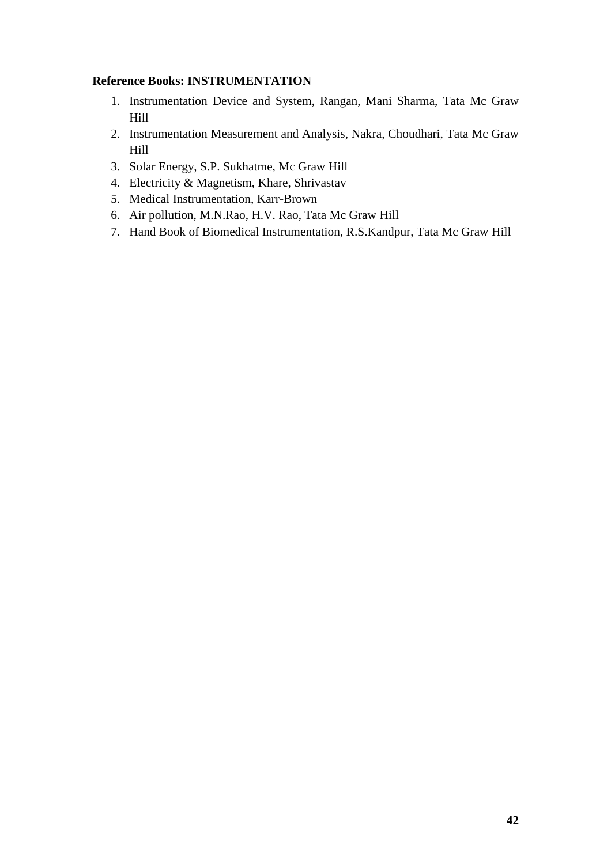## **Reference Books: INSTRUMENTATION**

- 1. Instrumentation Device and System, Rangan, Mani Sharma, Tata Mc Graw Hill
- 2. Instrumentation Measurement and Analysis, Nakra, Choudhari, Tata Mc Graw Hill
- 3. Solar Energy, S.P. Sukhatme, Mc Graw Hill
- 4. Electricity & Magnetism, Khare, Shrivastav
- 5. Medical Instrumentation, Karr-Brown
- 6. Air pollution, M.N.Rao, H.V. Rao, Tata Mc Graw Hill
- 7. Hand Book of Biomedical Instrumentation, R.S.Kandpur, Tata Mc Graw Hill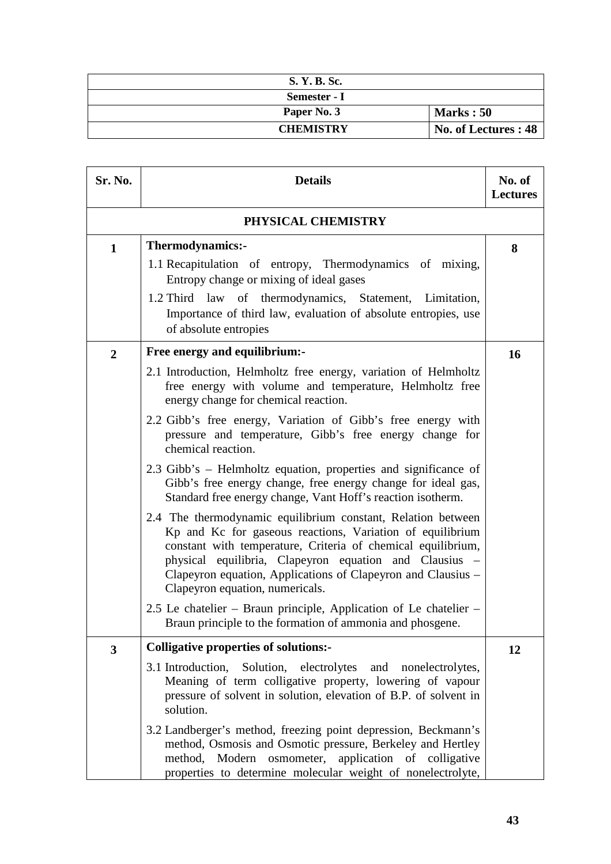| S. Y. B. Sc.     |                      |
|------------------|----------------------|
| Semester - I     |                      |
| Paper No. 3      | Marks: 50            |
| <b>CHEMISTRY</b> | No. of Lectures : 48 |

| Sr. No.        | <b>Details</b>                                                                                                                                                                                                                                                                                                                                                                                                                                                                                                                                                                                                                                                                                                                                                                                                                                                                                                                                                                        | No. of<br><b>Lectures</b> |
|----------------|---------------------------------------------------------------------------------------------------------------------------------------------------------------------------------------------------------------------------------------------------------------------------------------------------------------------------------------------------------------------------------------------------------------------------------------------------------------------------------------------------------------------------------------------------------------------------------------------------------------------------------------------------------------------------------------------------------------------------------------------------------------------------------------------------------------------------------------------------------------------------------------------------------------------------------------------------------------------------------------|---------------------------|
|                | PHYSICAL CHEMISTRY                                                                                                                                                                                                                                                                                                                                                                                                                                                                                                                                                                                                                                                                                                                                                                                                                                                                                                                                                                    |                           |
| $\mathbf{1}$   | Thermodynamics:-<br>1.1 Recapitulation of entropy, Thermodynamics of mixing,<br>Entropy change or mixing of ideal gases<br>1.2 Third law of thermodynamics, Statement, Limitation,<br>Importance of third law, evaluation of absolute entropies, use<br>of absolute entropies                                                                                                                                                                                                                                                                                                                                                                                                                                                                                                                                                                                                                                                                                                         | 8                         |
| $\overline{2}$ | Free energy and equilibrium:-<br>2.1 Introduction, Helmholtz free energy, variation of Helmholtz<br>free energy with volume and temperature, Helmholtz free<br>energy change for chemical reaction.<br>2.2 Gibb's free energy, Variation of Gibb's free energy with<br>pressure and temperature, Gibb's free energy change for<br>chemical reaction.<br>2.3 Gibb's – Helmholtz equation, properties and significance of<br>Gibb's free energy change, free energy change for ideal gas,<br>Standard free energy change, Vant Hoff's reaction isotherm.<br>2.4 The thermodynamic equilibrium constant, Relation between<br>Kp and Kc for gaseous reactions, Variation of equilibrium<br>constant with temperature, Criteria of chemical equilibrium,<br>physical equilibria, Clapeyron equation and Clausius -<br>Clapeyron equation, Applications of Clapeyron and Clausius –<br>Clapeyron equation, numericals.<br>2.5 Le chatelier – Braun principle, Application of Le chatelier – | 16                        |
|                | Braun principle to the formation of ammonia and phosgene.                                                                                                                                                                                                                                                                                                                                                                                                                                                                                                                                                                                                                                                                                                                                                                                                                                                                                                                             |                           |
| 3              | <b>Colligative properties of solutions:-</b><br>3.1 Introduction, Solution, electrolytes and nonelectrolytes,<br>Meaning of term colligative property, lowering of vapour<br>pressure of solvent in solution, elevation of B.P. of solvent in<br>solution.                                                                                                                                                                                                                                                                                                                                                                                                                                                                                                                                                                                                                                                                                                                            | 12                        |
|                | 3.2 Landberger's method, freezing point depression, Beckmann's<br>method, Osmosis and Osmotic pressure, Berkeley and Hertley<br>method, Modern osmometer, application of colligative<br>properties to determine molecular weight of nonelectrolyte,                                                                                                                                                                                                                                                                                                                                                                                                                                                                                                                                                                                                                                                                                                                                   |                           |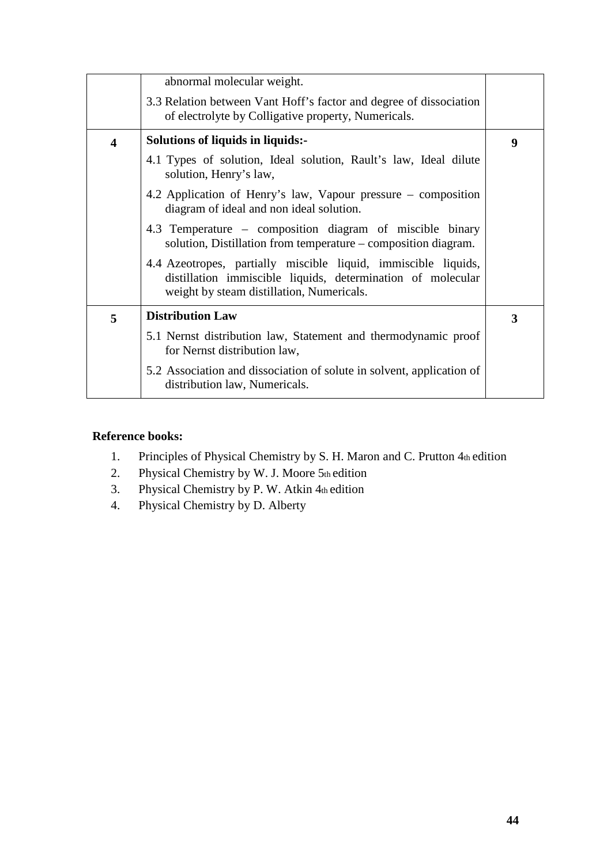|                         | abnormal molecular weight.                                                                                                                                                 |   |
|-------------------------|----------------------------------------------------------------------------------------------------------------------------------------------------------------------------|---|
|                         | 3.3 Relation between Vant Hoff's factor and degree of dissociation<br>of electrolyte by Colligative property, Numericals.                                                  |   |
| $\overline{\mathbf{4}}$ | Solutions of liquids in liquids:-                                                                                                                                          | 9 |
|                         | 4.1 Types of solution, Ideal solution, Rault's law, Ideal dilute<br>solution, Henry's law,                                                                                 |   |
|                         | 4.2 Application of Henry's law, Vapour pressure – composition<br>diagram of ideal and non ideal solution.                                                                  |   |
|                         | 4.3 Temperature – composition diagram of miscible binary<br>solution, Distillation from temperature – composition diagram.                                                 |   |
|                         | 4.4 Azeotropes, partially miscible liquid, immiscible liquids,<br>distillation immiscible liquids, determination of molecular<br>weight by steam distillation, Numericals. |   |
| 5                       | <b>Distribution Law</b>                                                                                                                                                    | 3 |
|                         | 5.1 Nernst distribution law, Statement and thermodynamic proof<br>for Nernst distribution law,                                                                             |   |
|                         | 5.2 Association and dissociation of solute in solvent, application of<br>distribution law, Numericals.                                                                     |   |

- 1. Principles of Physical Chemistry by S. H. Maron and C. Prutton 4th edition
- 2. Physical Chemistry by W. J. Moore  $5<sub>th</sub>$  edition
- 3. Physical Chemistry by P. W. Atkin 4th edition
- 4. Physical Chemistry by D. Alberty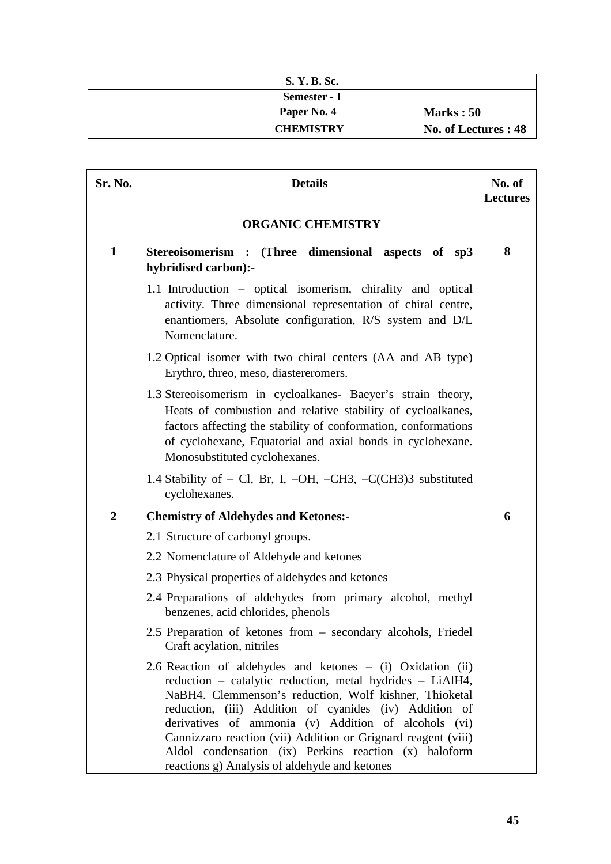| S. Y. B. Sc.     |                      |
|------------------|----------------------|
| Semester - I     |                      |
| Paper No. 4      | <b>Marks: 50</b>     |
| <b>CHEMISTRY</b> | No. of Lectures : 48 |

| Sr. No.        | <b>Details</b>                                                                                                                                                                                                                                                                                                                                                                                                                                                                 | No. of<br><b>Lectures</b> |
|----------------|--------------------------------------------------------------------------------------------------------------------------------------------------------------------------------------------------------------------------------------------------------------------------------------------------------------------------------------------------------------------------------------------------------------------------------------------------------------------------------|---------------------------|
|                | <b>ORGANIC CHEMISTRY</b>                                                                                                                                                                                                                                                                                                                                                                                                                                                       |                           |
| $\mathbf{1}$   | Stereoisomerism : (Three dimensional aspects of sp3<br>hybridised carbon):-                                                                                                                                                                                                                                                                                                                                                                                                    | 8                         |
|                | 1.1 Introduction – optical isomerism, chirality and optical<br>activity. Three dimensional representation of chiral centre,<br>enantiomers, Absolute configuration, R/S system and D/L<br>Nomenclature.                                                                                                                                                                                                                                                                        |                           |
|                | 1.2 Optical isomer with two chiral centers (AA and AB type)<br>Erythro, threo, meso, diastereromers.                                                                                                                                                                                                                                                                                                                                                                           |                           |
|                | 1.3 Stereoisomerism in cycloalkanes- Baeyer's strain theory,<br>Heats of combustion and relative stability of cycloalkanes,<br>factors affecting the stability of conformation, conformations<br>of cyclohexane, Equatorial and axial bonds in cyclohexane.<br>Monosubstituted cyclohexanes.                                                                                                                                                                                   |                           |
|                | 1.4 Stability of $-$ Cl, Br, I, $-OH$ , $-CH3$ , $-C(CH3)3$ substituted<br>cyclohexanes.                                                                                                                                                                                                                                                                                                                                                                                       |                           |
| $\overline{2}$ | <b>Chemistry of Aldehydes and Ketones:-</b>                                                                                                                                                                                                                                                                                                                                                                                                                                    | 6                         |
|                | 2.1 Structure of carbonyl groups.                                                                                                                                                                                                                                                                                                                                                                                                                                              |                           |
|                | 2.2 Nomenclature of Aldehyde and ketones                                                                                                                                                                                                                                                                                                                                                                                                                                       |                           |
|                | 2.3 Physical properties of aldehydes and ketones                                                                                                                                                                                                                                                                                                                                                                                                                               |                           |
|                | 2.4 Preparations of aldehydes from primary alcohol, methyl<br>benzenes, acid chlorides, phenols                                                                                                                                                                                                                                                                                                                                                                                |                           |
|                | 2.5 Preparation of ketones from – secondary alcohols, Friedel<br>Craft acylation, nitriles                                                                                                                                                                                                                                                                                                                                                                                     |                           |
|                | 2.6 Reaction of aldehydes and ketones – (i) Oxidation (ii)<br>reduction - catalytic reduction, metal hydrides - LiAlH4,<br>NaBH4. Clemmenson's reduction, Wolf kishner, Thioketal<br>reduction, (iii) Addition of cyanides (iv) Addition of<br>derivatives of ammonia (v) Addition of alcohols (vi)<br>Cannizzaro reaction (vii) Addition or Grignard reagent (viii)<br>Aldol condensation (ix) Perkins reaction (x) haloform<br>reactions g) Analysis of aldehyde and ketones |                           |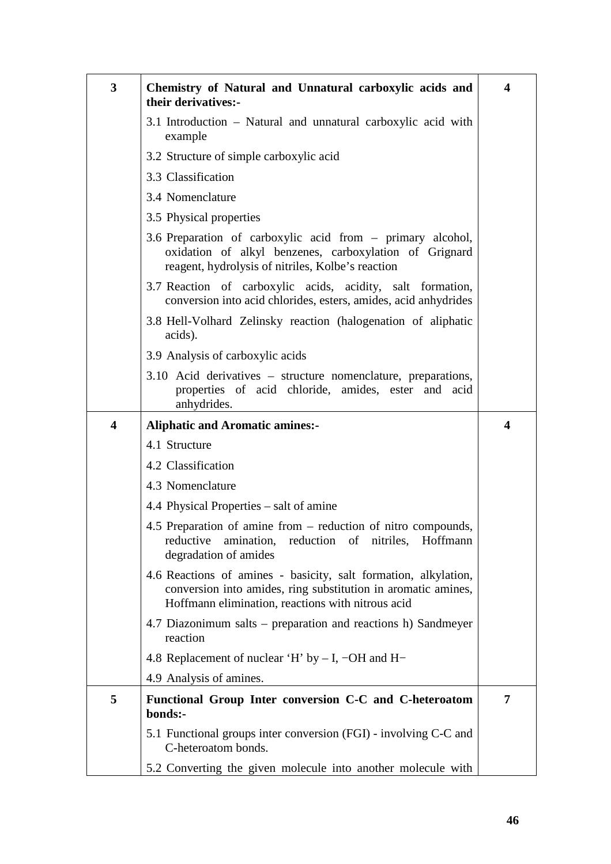| 3 | Chemistry of Natural and Unnatural carboxylic acids and<br>their derivatives:-                                                                                                        | 4                       |
|---|---------------------------------------------------------------------------------------------------------------------------------------------------------------------------------------|-------------------------|
|   | 3.1 Introduction – Natural and unnatural carboxylic acid with<br>example                                                                                                              |                         |
|   | 3.2 Structure of simple carboxylic acid                                                                                                                                               |                         |
|   | 3.3 Classification                                                                                                                                                                    |                         |
|   | 3.4 Nomenclature                                                                                                                                                                      |                         |
|   | 3.5 Physical properties                                                                                                                                                               |                         |
|   | 3.6 Preparation of carboxylic acid from – primary alcohol,<br>oxidation of alkyl benzenes, carboxylation of Grignard<br>reagent, hydrolysis of nitriles, Kolbe's reaction             |                         |
|   | 3.7 Reaction of carboxylic acids, acidity, salt formation,<br>conversion into acid chlorides, esters, amides, acid anhydrides                                                         |                         |
|   | 3.8 Hell-Volhard Zelinsky reaction (halogenation of aliphatic<br>acids).                                                                                                              |                         |
|   | 3.9 Analysis of carboxylic acids                                                                                                                                                      |                         |
|   | 3.10 Acid derivatives - structure nomenclature, preparations,<br>properties of acid chloride, amides, ester and acid<br>anhydrides.                                                   |                         |
| 4 | <b>Aliphatic and Aromatic amines:-</b>                                                                                                                                                | $\overline{\mathbf{4}}$ |
|   | 4.1 Structure                                                                                                                                                                         |                         |
|   | 4.2 Classification                                                                                                                                                                    |                         |
|   | 4.3 Nomenclature                                                                                                                                                                      |                         |
|   | 4.4 Physical Properties – salt of amine                                                                                                                                               |                         |
|   | 4.5 Preparation of amine from – reduction of nitro compounds,<br>reduction of nitriles, Hoffmann<br>reductive<br>amination,<br>degradation of amides                                  |                         |
|   | 4.6 Reactions of amines - basicity, salt formation, alkylation,<br>conversion into amides, ring substitution in aromatic amines,<br>Hoffmann elimination, reactions with nitrous acid |                         |
|   | 4.7 Diazonimum salts – preparation and reactions h) Sandmeyer<br>reaction                                                                                                             |                         |
|   | 4.8 Replacement of nuclear 'H' by $- I$ , $- OH$ and H-                                                                                                                               |                         |
|   | 4.9 Analysis of amines.                                                                                                                                                               |                         |
| 5 | Functional Group Inter conversion C-C and C-heteroatom<br>bonds:-                                                                                                                     | 7                       |
|   | 5.1 Functional groups inter conversion (FGI) - involving C-C and<br>C-heteroatom bonds.                                                                                               |                         |
|   | 5.2 Converting the given molecule into another molecule with                                                                                                                          |                         |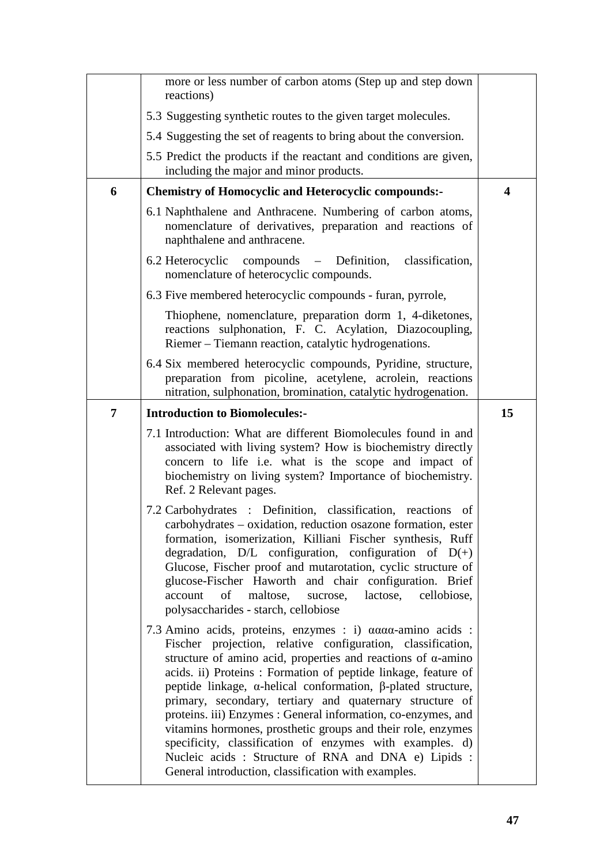|                | more or less number of carbon atoms (Step up and step down<br>reactions)                                                                                                                                                                                                                                                                                                                                                                                                                       |                         |
|----------------|------------------------------------------------------------------------------------------------------------------------------------------------------------------------------------------------------------------------------------------------------------------------------------------------------------------------------------------------------------------------------------------------------------------------------------------------------------------------------------------------|-------------------------|
|                | 5.3 Suggesting synthetic routes to the given target molecules.                                                                                                                                                                                                                                                                                                                                                                                                                                 |                         |
|                | 5.4 Suggesting the set of reagents to bring about the conversion.                                                                                                                                                                                                                                                                                                                                                                                                                              |                         |
|                | 5.5 Predict the products if the reactant and conditions are given,<br>including the major and minor products.                                                                                                                                                                                                                                                                                                                                                                                  |                         |
| 6              | <b>Chemistry of Homocyclic and Heterocyclic compounds:-</b>                                                                                                                                                                                                                                                                                                                                                                                                                                    | $\overline{\mathbf{4}}$ |
|                | 6.1 Naphthalene and Anthracene. Numbering of carbon atoms,<br>nomenclature of derivatives, preparation and reactions of<br>naphthalene and anthracene.                                                                                                                                                                                                                                                                                                                                         |                         |
|                | 6.2 Heterocyclic compounds – Definition,<br>classification,<br>nomenclature of heterocyclic compounds.                                                                                                                                                                                                                                                                                                                                                                                         |                         |
|                | 6.3 Five membered heterocyclic compounds - furan, pyrrole,                                                                                                                                                                                                                                                                                                                                                                                                                                     |                         |
|                | Thiophene, nomenclature, preparation dorm 1, 4-diketones,<br>reactions sulphonation, F. C. Acylation, Diazocoupling,<br>Riemer – Tiemann reaction, catalytic hydrogenations.                                                                                                                                                                                                                                                                                                                   |                         |
|                | 6.4 Six membered heterocyclic compounds, Pyridine, structure,<br>preparation from picoline, acetylene, acrolein, reactions<br>nitration, sulphonation, bromination, catalytic hydrogenation.                                                                                                                                                                                                                                                                                                   |                         |
| $\overline{7}$ | <b>Introduction to Biomolecules:-</b>                                                                                                                                                                                                                                                                                                                                                                                                                                                          | 15                      |
|                |                                                                                                                                                                                                                                                                                                                                                                                                                                                                                                |                         |
|                | 7.1 Introduction: What are different Biomolecules found in and<br>associated with living system? How is biochemistry directly<br>concern to life i.e. what is the scope and impact of<br>biochemistry on living system? Importance of biochemistry.<br>Ref. 2 Relevant pages.                                                                                                                                                                                                                  |                         |
|                | 7.2 Carbohydrates : Definition, classification, reactions of<br>carbohydrates – oxidation, reduction osazone formation, ester<br>formation, isomerization, Killiani Fischer synthesis, Ruff<br>degradation, $D/L$ configuration, configuration of $D(+)$<br>Glucose, Fischer proof and mutarotation, cyclic structure of<br>glucose-Fischer Haworth and chair configuration. Brief<br>of<br>maltose,<br>lactose,<br>cellobiose,<br>account<br>sucrose,<br>polysaccharides - starch, cellobiose |                         |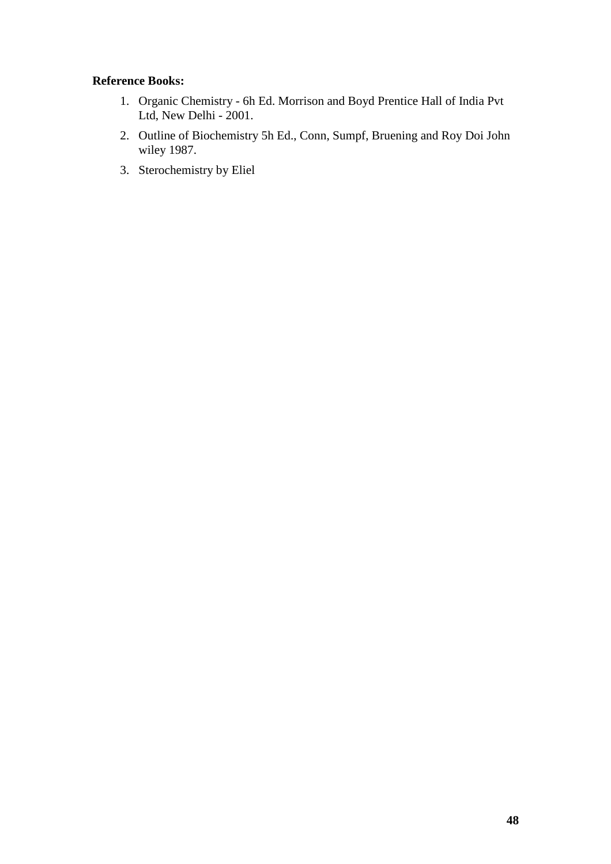- 1. Organic Chemistry 6h Ed. Morrison and Boyd Prentice Hall of India Pvt Ltd, New Delhi - 2001.
- 2. Outline of Biochemistry 5h Ed., Conn, Sumpf, Bruening and Roy Doi John wiley 1987.
- 3. Sterochemistry by Eliel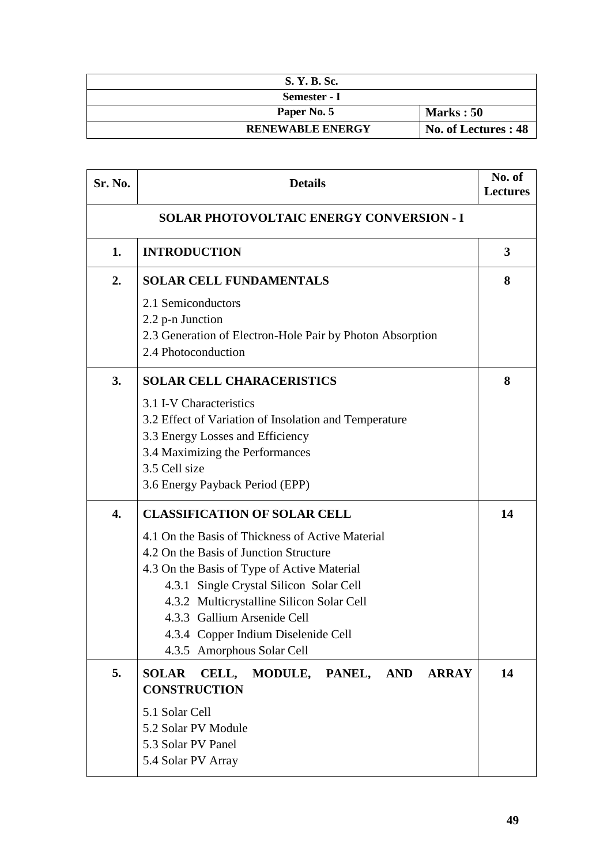| S. Y. B. Sc.            |                      |
|-------------------------|----------------------|
| Semester - I            |                      |
| Paper No. 5             | Marks: 50            |
| <b>RENEWABLE ENERGY</b> | No. of Lectures : 48 |

| Sr. No. | <b>Details</b>                                                                                                                                                                                                                                                                                                                                                               | No. of<br><b>Lectures</b> |
|---------|------------------------------------------------------------------------------------------------------------------------------------------------------------------------------------------------------------------------------------------------------------------------------------------------------------------------------------------------------------------------------|---------------------------|
|         | <b>SOLAR PHOTOVOLTAIC ENERGY CONVERSION - I</b>                                                                                                                                                                                                                                                                                                                              |                           |
| 1.      | <b>INTRODUCTION</b>                                                                                                                                                                                                                                                                                                                                                          | 3                         |
| 2.      | <b>SOLAR CELL FUNDAMENTALS</b>                                                                                                                                                                                                                                                                                                                                               | 8                         |
|         | 2.1 Semiconductors<br>2.2 p-n Junction<br>2.3 Generation of Electron-Hole Pair by Photon Absorption<br>2.4 Photoconduction                                                                                                                                                                                                                                                   |                           |
| 3.      | <b>SOLAR CELL CHARACERISTICS</b>                                                                                                                                                                                                                                                                                                                                             | 8                         |
|         | 3.1 I-V Characteristics<br>3.2 Effect of Variation of Insolation and Temperature<br>3.3 Energy Losses and Efficiency<br>3.4 Maximizing the Performances<br>3.5 Cell size<br>3.6 Energy Payback Period (EPP)                                                                                                                                                                  |                           |
| 4.      | <b>CLASSIFICATION OF SOLAR CELL</b><br>4.1 On the Basis of Thickness of Active Material<br>4.2 On the Basis of Junction Structure<br>4.3 On the Basis of Type of Active Material<br>4.3.1 Single Crystal Silicon Solar Cell<br>4.3.2 Multicrystalline Silicon Solar Cell<br>4.3.3 Gallium Arsenide Cell<br>4.3.4 Copper Indium Diselenide Cell<br>4.3.5 Amorphous Solar Cell | 14                        |
| 5.      | <b>SOLAR</b><br>CELL,<br>MODULE,<br>PANEL,<br><b>AND</b><br><b>ARRAY</b><br><b>CONSTRUCTION</b><br>5.1 Solar Cell<br>5.2 Solar PV Module<br>5.3 Solar PV Panel<br>5.4 Solar PV Array                                                                                                                                                                                         | 14                        |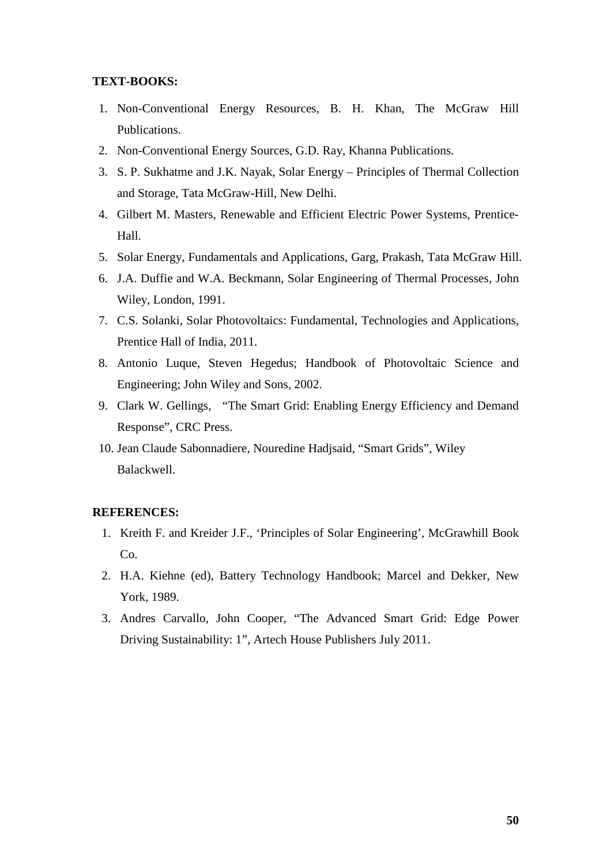#### **TEXT-BOOKS:**

- 1. Non-Conventional Energy Resources, B. H. Khan, The McGraw Hill Publications.
- 2. Non-Conventional Energy Sources, G.D. Ray, Khanna Publications.
- 3. S. P. Sukhatme and J.K. Nayak, Solar Energy Principles of Thermal Collection and Storage, Tata McGraw-Hill, New Delhi.
- 4. Gilbert M. Masters, Renewable and Efficient Electric Power Systems, Prentice-Hall.
- 5. Solar Energy, Fundamentals and Applications, Garg, Prakash, Tata McGraw Hill.
- 6. J.A. Duffie and W.A. Beckmann, Solar Engineering of Thermal Processes, John Wiley, London, 1991.
- 7. C.S. Solanki, Solar Photovoltaics: Fundamental, Technologies and Applications, Prentice Hall of India, 2011.
- 8. Antonio Luque, Steven Hegedus; Handbook of Photovoltaic Science and Engineering; John Wiley and Sons, 2002.
- 9. Clark W. Gellings, "The Smart Grid: Enabling Energy Efficiency and Demand Response", CRC Press.
- 10. Jean Claude Sabonnadiere, Nouredine Hadjsaid, "Smart Grids", Wiley Balackwell.

#### **REFERENCES:**

- 1. Kreith F. and Kreider J.F., 'Principles of Solar Engineering', McGrawhill Book Co.
- 2. H.A. Kiehne (ed), Battery Technology Handbook; Marcel and Dekker, New York, 1989.
- 3. Andres Carvallo, John Cooper, "The Advanced Smart Grid: Edge Power Driving Sustainability: 1", Artech House Publishers July 2011.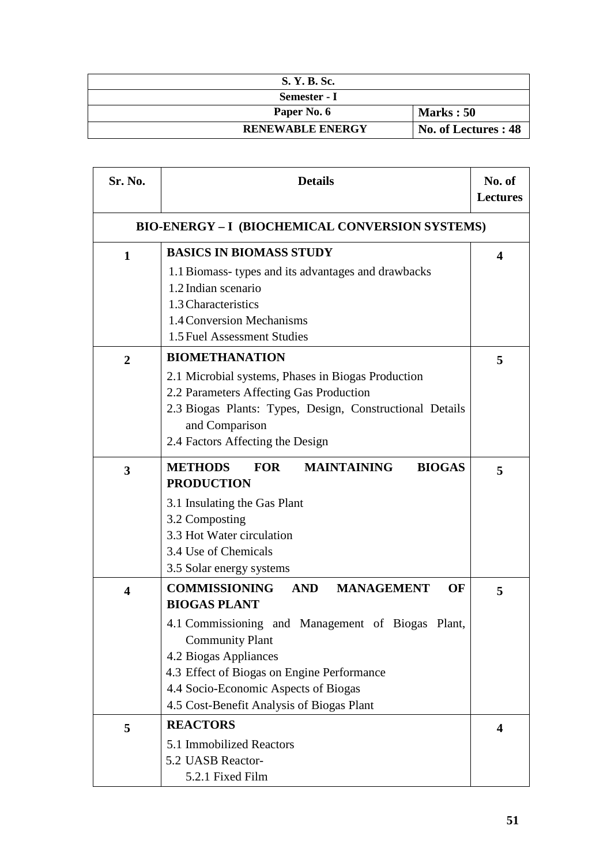| S. Y. B. Sc.            |                      |
|-------------------------|----------------------|
| Semester - I            |                      |
| Paper No. 6             | Marks: 50            |
| <b>RENEWABLE ENERGY</b> | No. of Lectures : 48 |

| Sr. No.                 | <b>Details</b>                                                                                                                                                                                                                                                                                                                  | No. of<br><b>Lectures</b> |
|-------------------------|---------------------------------------------------------------------------------------------------------------------------------------------------------------------------------------------------------------------------------------------------------------------------------------------------------------------------------|---------------------------|
|                         | <b>BIO-ENERGY - I (BIOCHEMICAL CONVERSION SYSTEMS)</b>                                                                                                                                                                                                                                                                          |                           |
| $\mathbf 1$             | <b>BASICS IN BIOMASS STUDY</b><br>1.1 Biomass-types and its advantages and drawbacks<br>1.2 Indian scenario<br>1.3 Characteristics<br>1.4 Conversion Mechanisms<br>1.5 Fuel Assessment Studies                                                                                                                                  | 4                         |
| $\overline{2}$          | <b>BIOMETHANATION</b><br>2.1 Microbial systems, Phases in Biogas Production<br>2.2 Parameters Affecting Gas Production<br>2.3 Biogas Plants: Types, Design, Constructional Details<br>and Comparison<br>2.4 Factors Affecting the Design                                                                                        | 5                         |
| 3                       | <b>METHODS</b><br><b>FOR</b><br><b>MAINTAINING</b><br><b>BIOGAS</b><br><b>PRODUCTION</b><br>3.1 Insulating the Gas Plant<br>3.2 Composting<br>3.3 Hot Water circulation<br>3.4 Use of Chemicals<br>3.5 Solar energy systems                                                                                                     | 5                         |
| $\overline{\mathbf{4}}$ | <b>COMMISSIONING</b><br><b>AND</b><br><b>MANAGEMENT</b><br>OF<br><b>BIOGAS PLANT</b><br>4.1 Commissioning and Management of Biogas Plant,<br><b>Community Plant</b><br>4.2 Biogas Appliances<br>4.3 Effect of Biogas on Engine Performance<br>4.4 Socio-Economic Aspects of Biogas<br>4.5 Cost-Benefit Analysis of Biogas Plant | 5                         |
| 5                       | <b>REACTORS</b><br>5.1 Immobilized Reactors<br>5.2 UASB Reactor-<br>5.2.1 Fixed Film                                                                                                                                                                                                                                            | 4                         |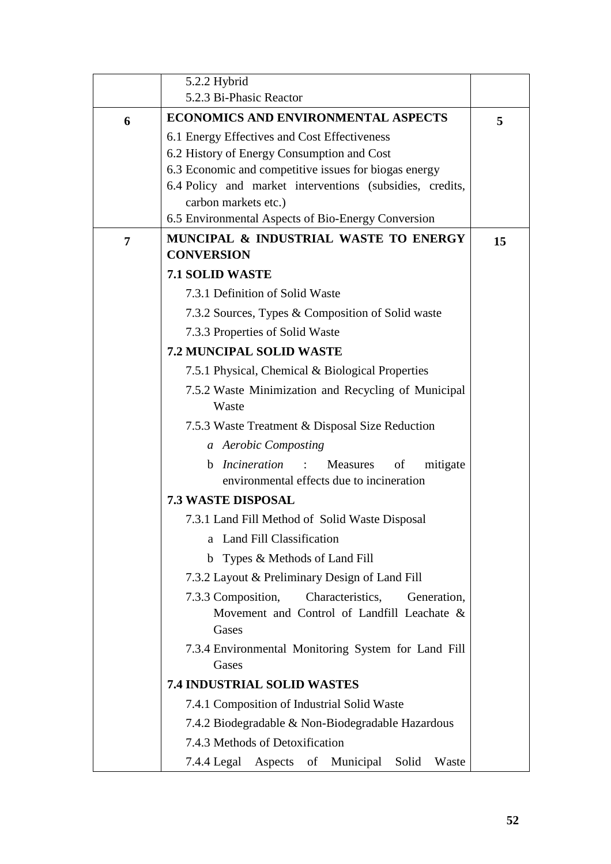|   | 5.2.2 Hybrid                                                                                                  |    |
|---|---------------------------------------------------------------------------------------------------------------|----|
|   | 5.2.3 Bi-Phasic Reactor                                                                                       |    |
| 6 | <b>ECONOMICS AND ENVIRONMENTAL ASPECTS</b>                                                                    | 5  |
|   | 6.1 Energy Effectives and Cost Effectiveness                                                                  |    |
|   | 6.2 History of Energy Consumption and Cost                                                                    |    |
|   | 6.3 Economic and competitive issues for biogas energy                                                         |    |
|   | 6.4 Policy and market interventions (subsidies, credits,                                                      |    |
|   | carbon markets etc.)                                                                                          |    |
|   | 6.5 Environmental Aspects of Bio-Energy Conversion                                                            |    |
| 7 | MUNCIPAL & INDUSTRIAL WASTE TO ENERGY<br><b>CONVERSION</b>                                                    | 15 |
|   | <b>7.1 SOLID WASTE</b>                                                                                        |    |
|   | 7.3.1 Definition of Solid Waste                                                                               |    |
|   | 7.3.2 Sources, Types & Composition of Solid waste                                                             |    |
|   | 7.3.3 Properties of Solid Waste                                                                               |    |
|   | <b>7.2 MUNCIPAL SOLID WASTE</b>                                                                               |    |
|   | 7.5.1 Physical, Chemical & Biological Properties                                                              |    |
|   | 7.5.2 Waste Minimization and Recycling of Municipal                                                           |    |
|   | Waste                                                                                                         |    |
|   | 7.5.3 Waste Treatment & Disposal Size Reduction                                                               |    |
|   | a Aerobic Composting                                                                                          |    |
|   | Measures<br>Incineration<br>of<br>mitigate<br>b.                                                              |    |
|   | environmental effects due to incineration                                                                     |    |
|   | <b>7.3 WASTE DISPOSAL</b>                                                                                     |    |
|   | 7.3.1 Land Fill Method of Solid Waste Disposal                                                                |    |
|   | Land Fill Classification<br>a                                                                                 |    |
|   | b Types & Methods of Land Fill                                                                                |    |
|   | 7.3.2 Layout & Preliminary Design of Land Fill                                                                |    |
|   | Characteristics,<br>7.3.3 Composition,<br>Generation,<br>Movement and Control of Landfill Leachate &<br>Gases |    |
|   | 7.3.4 Environmental Monitoring System for Land Fill<br>Gases                                                  |    |
|   | <b>7.4 INDUSTRIAL SOLID WASTES</b>                                                                            |    |
|   | 7.4.1 Composition of Industrial Solid Waste                                                                   |    |
|   | 7.4.2 Biodegradable & Non-Biodegradable Hazardous                                                             |    |
|   | 7.4.3 Methods of Detoxification                                                                               |    |
|   | 7.4.4 Legal Aspects<br>of<br>Municipal<br>Solid<br>Waste                                                      |    |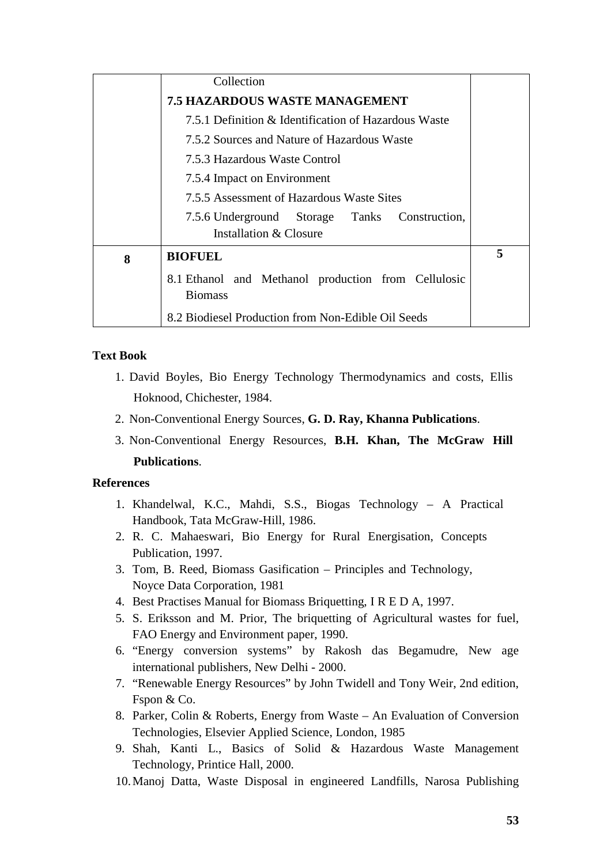|   | Collection                                                                            |   |
|---|---------------------------------------------------------------------------------------|---|
|   | <b>7.5 HAZARDOUS WASTE MANAGEMENT</b>                                                 |   |
|   | 7.5.1 Definition & Identification of Hazardous Waste                                  |   |
|   | 7.5.2 Sources and Nature of Hazardous Waste                                           |   |
|   | 7.5.3 Hazardous Waste Control                                                         |   |
|   | 7.5.4 Impact on Environment                                                           |   |
|   | 7.5.5 Assessment of Hazardous Waste Sites                                             |   |
|   | 7.5.6 Underground Storage Tanks<br>Construction,<br><b>Installation &amp; Closure</b> |   |
| 8 | <b>BIOFUEL</b>                                                                        | 5 |
|   | 8.1 Ethanol and Methanol production from Cellulosic<br><b>Biomass</b>                 |   |
|   | 8.2 Biodiesel Production from Non-Edible Oil Seeds                                    |   |

# **Text Book**

- 1. David Boyles, Bio Energy Technology Thermodynamics and costs, Ellis Hoknood, Chichester, 1984.
- 2. Non-Conventional Energy Sources, **G. D. Ray, Khanna Publications**.
- 3. Non-Conventional Energy Resources, **B.H. Khan, The McGraw Hill Publications**.

# **References**

- 1. Khandelwal, K.C., Mahdi, S.S., Biogas Technology A Practical Handbook, Tata McGraw-Hill, 1986.
- 2. R. C. Mahaeswari, Bio Energy for Rural Energisation, Concepts Publication, 1997.
- 3. Tom, B. Reed, Biomass Gasification Principles and Technology, Noyce Data Corporation, 1981
- 4. Best Practises Manual for Biomass Briquetting, I R E D A, 1997.
- 5. S. Eriksson and M. Prior, The briquetting of Agricultural wastes for fuel, FAO Energy and Environment paper, 1990.
- 6. "Energy conversion systems" by Rakosh das Begamudre, New age international publishers, New Delhi - 2000.
- 7. "Renewable Energy Resources" by John Twidell and Tony Weir, 2nd edition, Fspon & Co.
- 8. Parker, Colin & Roberts, Energy from Waste An Evaluation of Conversion Technologies, Elsevier Applied Science, London, 1985
- 9. Shah, Kanti L., Basics of Solid & Hazardous Waste Management Technology, Printice Hall, 2000.
- 10.Manoj Datta, Waste Disposal in engineered Landfills, Narosa Publishing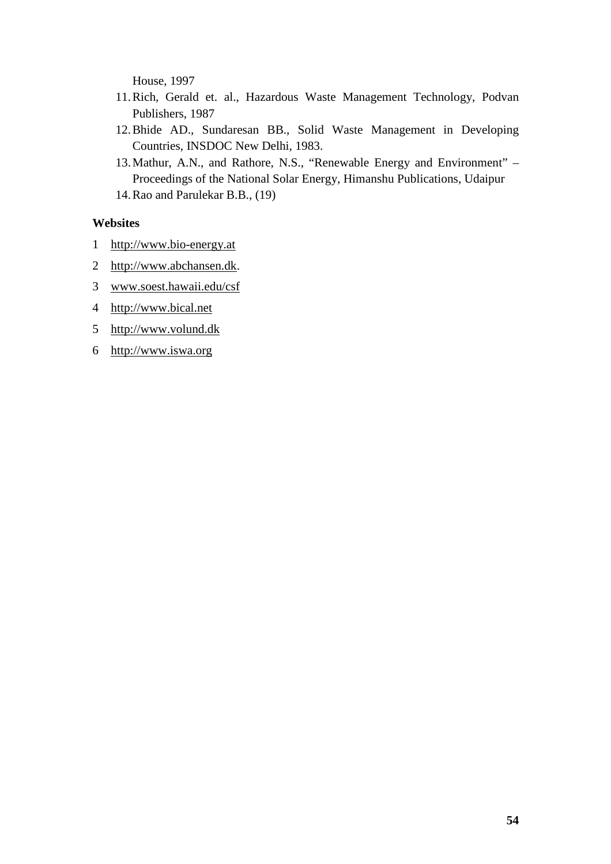House, 1997

- 11.Rich, Gerald et. al., Hazardous Waste Management Technology, Podvan Publishers, 1987
- 12.Bhide AD., Sundaresan BB., Solid Waste Management in Developing Countries, INSDOC New Delhi, 1983.
- 13.Mathur, A.N., and Rathore, N.S., "Renewable Energy and Environment" Proceedings of the National Solar Energy, Himanshu Publications, Udaipur 14.Rao and Parulekar B.B., (19)

## **Websites**

- 1 http://www.bio-energy.at
- 2 http://www.abchansen.dk.
- 3 www.soest.hawaii.edu/csf
- 4 http://www.bical.net
- 5 http://www.volund.dk
- 6 http://www.iswa.org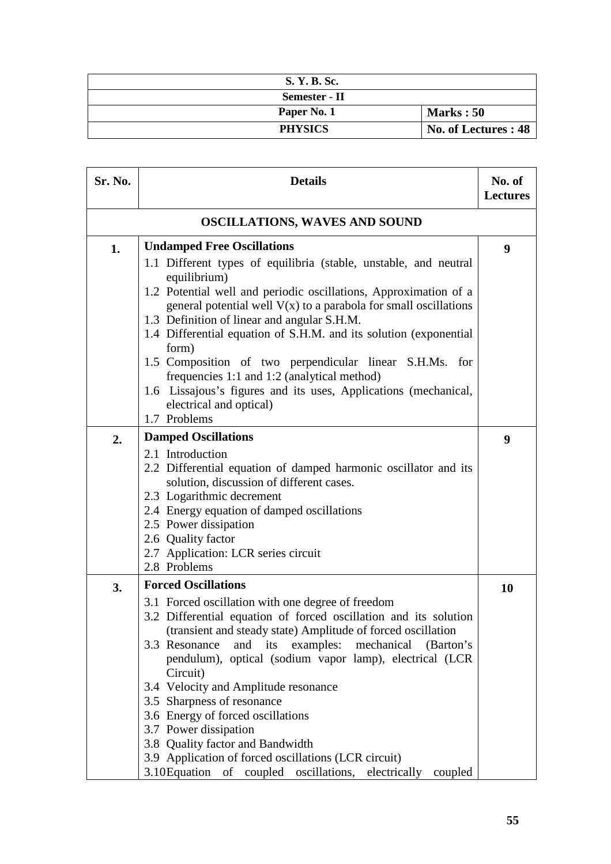| S. Y. B. Sc.   |                      |
|----------------|----------------------|
| Semester - II  |                      |
| Paper No. 1    | Marks: 50            |
| <b>PHYSICS</b> | No. of Lectures : 48 |

| Sr. No. | <b>Details</b>                                                                                                                                                                                                                                                                                                                                                                                                                                                                                                                                                                                                                                       | No. of<br><b>Lectures</b> |
|---------|------------------------------------------------------------------------------------------------------------------------------------------------------------------------------------------------------------------------------------------------------------------------------------------------------------------------------------------------------------------------------------------------------------------------------------------------------------------------------------------------------------------------------------------------------------------------------------------------------------------------------------------------------|---------------------------|
|         | <b>OSCILLATIONS, WAVES AND SOUND</b>                                                                                                                                                                                                                                                                                                                                                                                                                                                                                                                                                                                                                 |                           |
| 1.      | <b>Undamped Free Oscillations</b><br>1.1 Different types of equilibria (stable, unstable, and neutral<br>equilibrium)<br>1.2 Potential well and periodic oscillations, Approximation of a<br>general potential well $V(x)$ to a parabola for small oscillations<br>1.3 Definition of linear and angular S.H.M.<br>1.4 Differential equation of S.H.M. and its solution (exponential<br>form)<br>1.5 Composition of two perpendicular linear S.H.Ms. for<br>frequencies 1:1 and 1:2 (analytical method)<br>1.6 Lissajous's figures and its uses, Applications (mechanical,<br>electrical and optical)<br>1.7 Problems                                 | 9                         |
| 2.      | <b>Damped Oscillations</b><br>2.1 Introduction<br>2.2 Differential equation of damped harmonic oscillator and its<br>solution, discussion of different cases.<br>2.3 Logarithmic decrement<br>2.4 Energy equation of damped oscillations<br>2.5 Power dissipation<br>2.6 Quality factor<br>2.7 Application: LCR series circuit<br>2.8 Problems                                                                                                                                                                                                                                                                                                       | 9                         |
| 3.      | <b>Forced Oscillations</b><br>3.1 Forced oscillation with one degree of freedom<br>3.2 Differential equation of forced oscillation and its solution<br>(transient and steady state) Amplitude of forced oscillation<br>3.3 Resonance<br>and its examples: mechanical (Barton's<br>pendulum), optical (sodium vapor lamp), electrical (LCR<br>Circuit)<br>3.4 Velocity and Amplitude resonance<br>3.5 Sharpness of resonance<br>3.6 Energy of forced oscillations<br>3.7 Power dissipation<br>3.8 Quality factor and Bandwidth<br>3.9 Application of forced oscillations (LCR circuit)<br>3.10 Equation of coupled oscillations, electrically coupled | 10                        |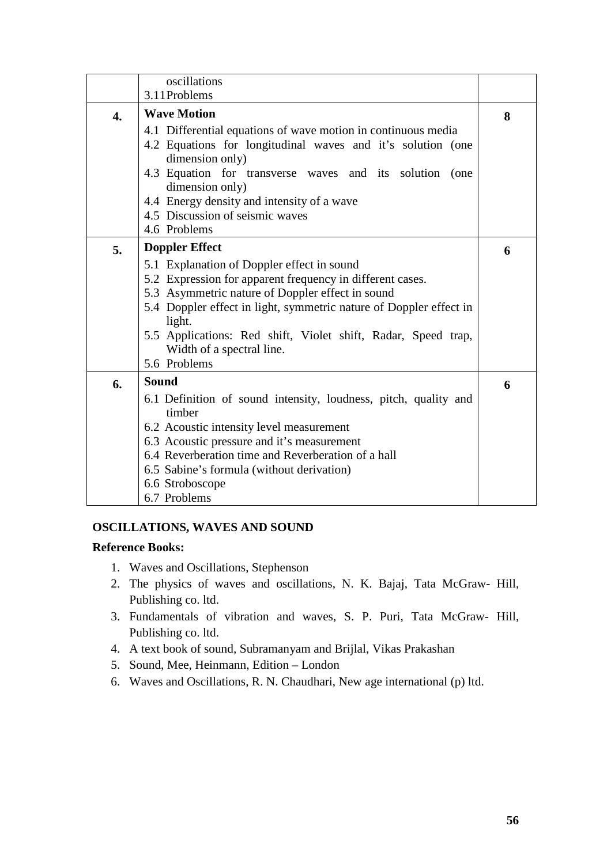|                  | oscillations                                                       |   |
|------------------|--------------------------------------------------------------------|---|
|                  | 3.11 Problems                                                      |   |
| $\overline{4}$ . | <b>Wave Motion</b>                                                 | 8 |
|                  | 4.1 Differential equations of wave motion in continuous media      |   |
|                  | 4.2 Equations for longitudinal waves and it's solution (one        |   |
|                  | dimension only)                                                    |   |
|                  | 4.3 Equation for transverse waves and its solution<br>(one         |   |
|                  | dimension only)                                                    |   |
|                  | 4.4 Energy density and intensity of a wave                         |   |
|                  | 4.5 Discussion of seismic waves                                    |   |
|                  | 4.6 Problems                                                       |   |
| 5.               | <b>Doppler Effect</b>                                              | 6 |
|                  | 5.1 Explanation of Doppler effect in sound                         |   |
|                  | 5.2 Expression for apparent frequency in different cases.          |   |
|                  | 5.3 Asymmetric nature of Doppler effect in sound                   |   |
|                  | 5.4 Doppler effect in light, symmetric nature of Doppler effect in |   |
|                  | light.                                                             |   |
|                  | 5.5 Applications: Red shift, Violet shift, Radar, Speed trap,      |   |
|                  | Width of a spectral line.                                          |   |
|                  | 5.6 Problems                                                       |   |
| 6.               | <b>Sound</b>                                                       | 6 |
|                  | 6.1 Definition of sound intensity, loudness, pitch, quality and    |   |
|                  | timber                                                             |   |
|                  | 6.2 Acoustic intensity level measurement                           |   |
|                  | 6.3 Acoustic pressure and it's measurement                         |   |
|                  | 6.4 Reverberation time and Reverberation of a hall                 |   |
|                  | 6.5 Sabine's formula (without derivation)                          |   |
|                  | 6.6 Stroboscope                                                    |   |
|                  | 6.7 Problems                                                       |   |

## **OSCILLATIONS, WAVES AND SOUND**

- 1. Waves and Oscillations, Stephenson
- 2. The physics of waves and oscillations, N. K. Bajaj, Tata McGraw- Hill, Publishing co. ltd.
- 3. Fundamentals of vibration and waves, S. P. Puri, Tata McGraw- Hill, Publishing co. ltd.
- 4. A text book of sound, Subramanyam and Brijlal, Vikas Prakashan
- 5. Sound, Mee, Heinmann, Edition London
- 6. Waves and Oscillations, R. N. Chaudhari, New age international (p) ltd.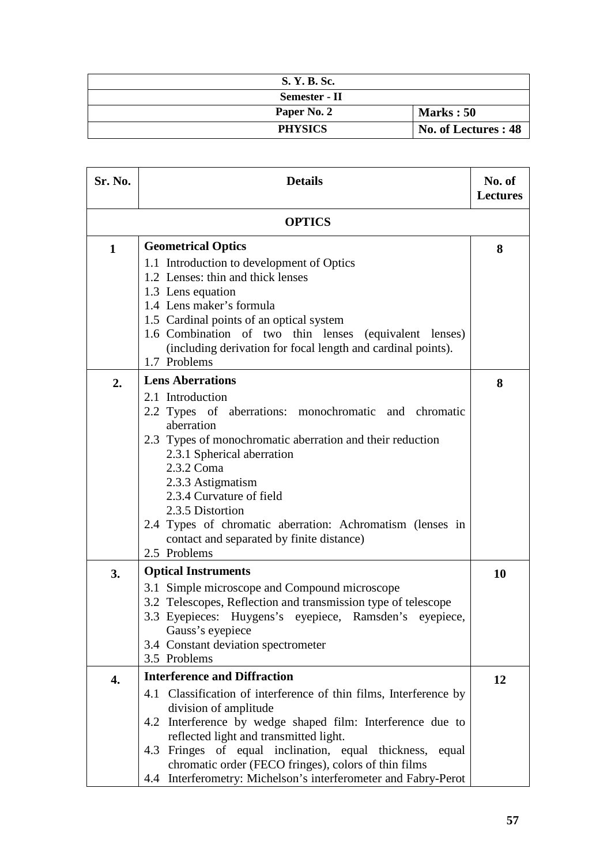| S. Y. B. Sc.   |                      |
|----------------|----------------------|
| Semester - II  |                      |
| Paper No. 2    | Marks: 50            |
| <b>PHYSICS</b> | No. of Lectures : 48 |

| Sr. No.      | <b>Details</b>                                                                                                                                                                                                                                                                                                                                                                                                                     | No. of<br><b>Lectures</b> |
|--------------|------------------------------------------------------------------------------------------------------------------------------------------------------------------------------------------------------------------------------------------------------------------------------------------------------------------------------------------------------------------------------------------------------------------------------------|---------------------------|
|              | <b>OPTICS</b>                                                                                                                                                                                                                                                                                                                                                                                                                      |                           |
| $\mathbf{1}$ | <b>Geometrical Optics</b><br>1.1 Introduction to development of Optics<br>1.2 Lenses: thin and thick lenses                                                                                                                                                                                                                                                                                                                        | 8                         |
|              | 1.3 Lens equation<br>1.4 Lens maker's formula<br>1.5 Cardinal points of an optical system<br>1.6 Combination of two thin lenses (equivalent lenses)<br>(including derivation for focal length and cardinal points).<br>1.7 Problems                                                                                                                                                                                                |                           |
| 2.           | <b>Lens Aberrations</b><br>2.1 Introduction<br>2.2 Types of aberrations: monochromatic and chromatic<br>aberration<br>2.3 Types of monochromatic aberration and their reduction<br>2.3.1 Spherical aberration<br>2.3.2 Coma<br>2.3.3 Astigmatism<br>2.3.4 Curvature of field<br>2.3.5 Distortion<br>2.4 Types of chromatic aberration: Achromatism (lenses in<br>contact and separated by finite distance)<br>2.5 Problems         | 8                         |
| 3.           | <b>Optical Instruments</b><br>3.1 Simple microscope and Compound microscope<br>3.2 Telescopes, Reflection and transmission type of telescope<br>3.3 Eyepieces: Huygens's eyepiece, Ramsden's eyepiece,<br>Gauss's eyepiece<br>3.4 Constant deviation spectrometer<br>3.5 Problems                                                                                                                                                  | 10                        |
| 4.           | <b>Interference and Diffraction</b><br>4.1 Classification of interference of thin films, Interference by<br>division of amplitude<br>4.2 Interference by wedge shaped film: Interference due to<br>reflected light and transmitted light.<br>4.3 Fringes of equal inclination, equal thickness,<br>equal<br>chromatic order (FECO fringes), colors of thin films<br>4.4 Interferometry: Michelson's interferometer and Fabry-Perot | 12                        |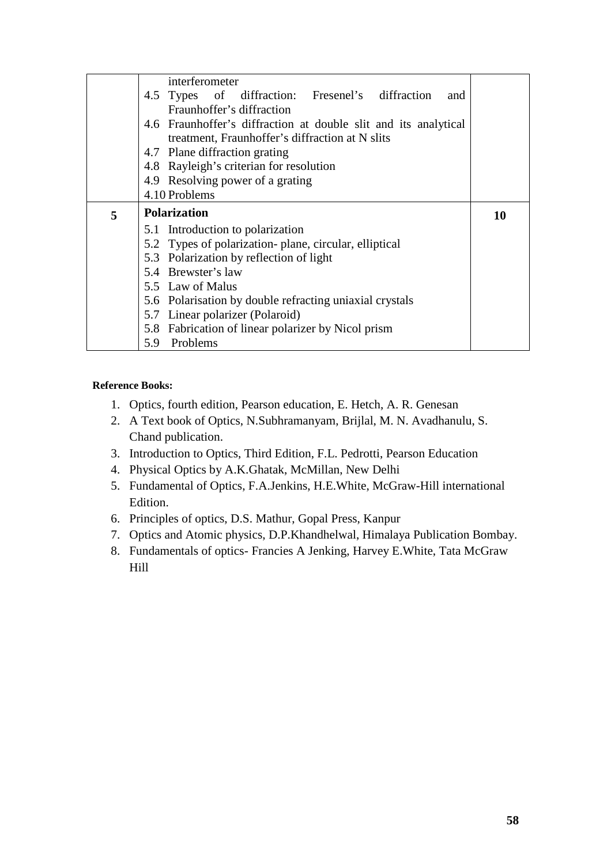|   | interferometer                                                  |           |
|---|-----------------------------------------------------------------|-----------|
|   | 4.5 Types of diffraction: Fresenel's diffraction<br>and         |           |
|   | Fraunhoffer's diffraction                                       |           |
|   | 4.6 Fraunhoffer's diffraction at double slit and its analytical |           |
|   | treatment, Fraunhoffer's diffraction at N slits                 |           |
|   | 4.7 Plane diffraction grating                                   |           |
|   | 4.8 Rayleigh's criterian for resolution                         |           |
|   | 4.9 Resolving power of a grating                                |           |
|   | 4.10 Problems                                                   |           |
|   |                                                                 |           |
| 5 | <b>Polarization</b>                                             | <b>10</b> |
|   | 5.1 Introduction to polarization                                |           |
|   | 5.2 Types of polarization-plane, circular, elliptical           |           |
|   | 5.3 Polarization by reflection of light                         |           |
|   | 5.4 Brewster's law                                              |           |
|   | 5.5 Law of Malus                                                |           |
|   | 5.6 Polarisation by double refracting uniaxial crystals         |           |
|   | 5.7 Linear polarizer (Polaroid)                                 |           |
|   | 5.8 Fabrication of linear polarizer by Nicol prism              |           |

- 1. Optics, fourth edition, Pearson education, E. Hetch, A. R. Genesan
- 2. A Text book of Optics, N.Subhramanyam, Brijlal, M. N. Avadhanulu, S. Chand publication.
- 3. Introduction to Optics, Third Edition, F.L. Pedrotti, Pearson Education
- 4. Physical Optics by A.K.Ghatak, McMillan, New Delhi
- 5. Fundamental of Optics, F.A.Jenkins, H.E.White, McGraw-Hill international Edition.
- 6. Principles of optics, D.S. Mathur, Gopal Press, Kanpur
- 7. Optics and Atomic physics, D.P.Khandhelwal, Himalaya Publication Bombay.
- 8. Fundamentals of optics- Francies A Jenking, Harvey E.White, Tata McGraw Hill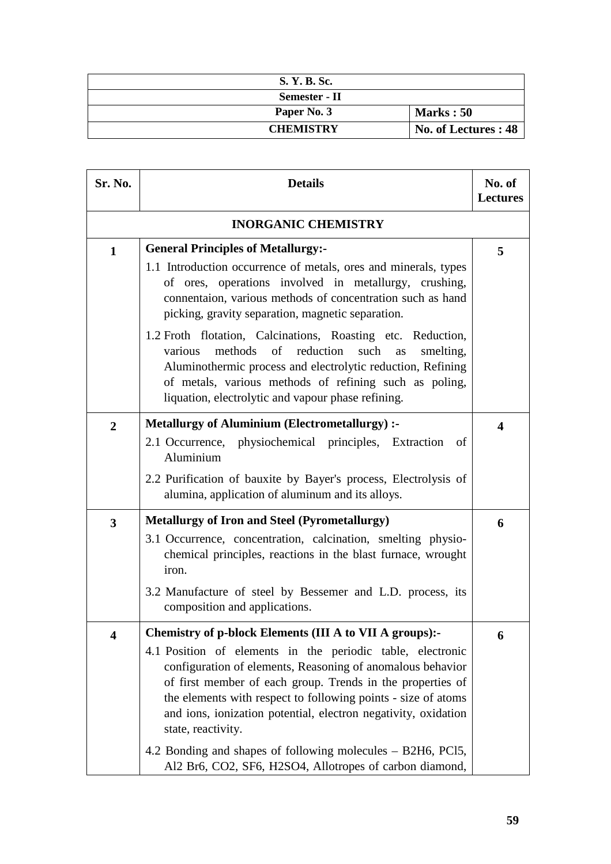| S. Y. B. Sc.     |                      |
|------------------|----------------------|
| Semester - II    |                      |
| Paper No. 3      | <b>Marks: 50</b>     |
| <b>CHEMISTRY</b> | No. of Lectures : 48 |

| Sr. No.                 | <b>Details</b>                                                                                                                                                                                                                                                                                                                                                                                                                                                                                                                                                                                              |   |
|-------------------------|-------------------------------------------------------------------------------------------------------------------------------------------------------------------------------------------------------------------------------------------------------------------------------------------------------------------------------------------------------------------------------------------------------------------------------------------------------------------------------------------------------------------------------------------------------------------------------------------------------------|---|
|                         | <b>INORGANIC CHEMISTRY</b>                                                                                                                                                                                                                                                                                                                                                                                                                                                                                                                                                                                  |   |
| $\mathbf{1}$            | <b>General Principles of Metallurgy:-</b><br>1.1 Introduction occurrence of metals, ores and minerals, types<br>of ores, operations involved in metallurgy, crushing,<br>connentaion, various methods of concentration such as hand<br>picking, gravity separation, magnetic separation.<br>1.2 Froth flotation, Calcinations, Roasting etc. Reduction,<br>methods of reduction<br>various<br>such<br>smelting,<br><b>as</b><br>Aluminothermic process and electrolytic reduction, Refining<br>of metals, various methods of refining such as poling,<br>liquation, electrolytic and vapour phase refining. | 5 |
| $\overline{2}$          | <b>Metallurgy of Aluminium (Electrometallurgy) :-</b><br>2.1 Occurrence, physiochemical principles, Extraction<br>of<br>Aluminium<br>2.2 Purification of bauxite by Bayer's process, Electrolysis of<br>alumina, application of aluminum and its alloys.                                                                                                                                                                                                                                                                                                                                                    | 4 |
| $\overline{\mathbf{3}}$ | <b>Metallurgy of Iron and Steel (Pyrometallurgy)</b><br>3.1 Occurrence, concentration, calcination, smelting physio-<br>chemical principles, reactions in the blast furnace, wrought<br>iron.<br>3.2 Manufacture of steel by Bessemer and L.D. process, its<br>composition and applications.                                                                                                                                                                                                                                                                                                                | 6 |
| $\overline{\mathbf{4}}$ | Chemistry of p-block Elements (III A to VII A groups):-<br>4.1 Position of elements in the periodic table, electronic<br>configuration of elements, Reasoning of anomalous behavior<br>of first member of each group. Trends in the properties of<br>the elements with respect to following points - size of atoms<br>and ions, ionization potential, electron negativity, oxidation<br>state, reactivity.<br>4.2 Bonding and shapes of following molecules – B2H6, PCl5,<br>Al2 Br6, CO2, SF6, H2SO4, Allotropes of carbon diamond,                                                                        | 6 |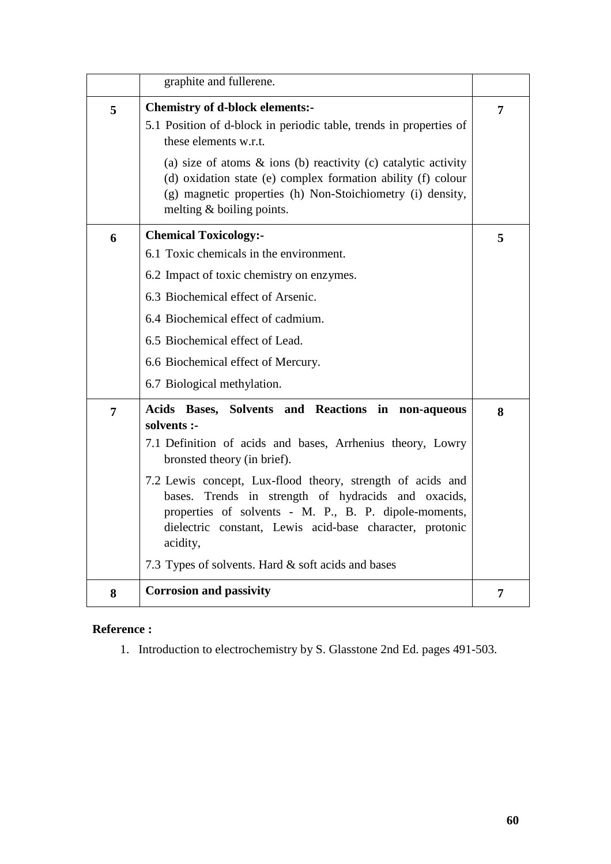|                | graphite and fullerene.                                                                                                                                                                                                                                                                                                                                                                                                                                                       |   |
|----------------|-------------------------------------------------------------------------------------------------------------------------------------------------------------------------------------------------------------------------------------------------------------------------------------------------------------------------------------------------------------------------------------------------------------------------------------------------------------------------------|---|
| 5              | <b>Chemistry of d-block elements:-</b><br>5.1 Position of d-block in periodic table, trends in properties of<br>these elements w.r.t.                                                                                                                                                                                                                                                                                                                                         | 7 |
|                | (a) size of atoms $\&$ ions (b) reactivity (c) catalytic activity<br>(d) oxidation state (e) complex formation ability (f) colour<br>(g) magnetic properties (h) Non-Stoichiometry (i) density,<br>melting $&$ boiling points.                                                                                                                                                                                                                                                |   |
| 6              | <b>Chemical Toxicology:-</b><br>6.1 Toxic chemicals in the environment.<br>6.2 Impact of toxic chemistry on enzymes.<br>6.3 Biochemical effect of Arsenic.<br>6.4 Biochemical effect of cadmium.<br>6.5 Biochemical effect of Lead.<br>6.6 Biochemical effect of Mercury.<br>6.7 Biological methylation.                                                                                                                                                                      | 5 |
| $\overline{7}$ | Acids Bases, Solvents and Reactions in non-aqueous<br>solvents :-<br>7.1 Definition of acids and bases, Arrhenius theory, Lowry<br>bronsted theory (in brief).<br>7.2 Lewis concept, Lux-flood theory, strength of acids and<br>Trends in strength of hydracids and oxacids,<br>bases.<br>properties of solvents - M. P., B. P. dipole-moments,<br>dielectric constant, Lewis acid-base character, protonic<br>acidity,<br>7.3 Types of solvents. Hard & soft acids and bases | 8 |
| 8              | <b>Corrosion and passivity</b>                                                                                                                                                                                                                                                                                                                                                                                                                                                | 7 |

# **Reference :**

1. Introduction to electrochemistry by S. Glasstone 2nd Ed. pages 491-503.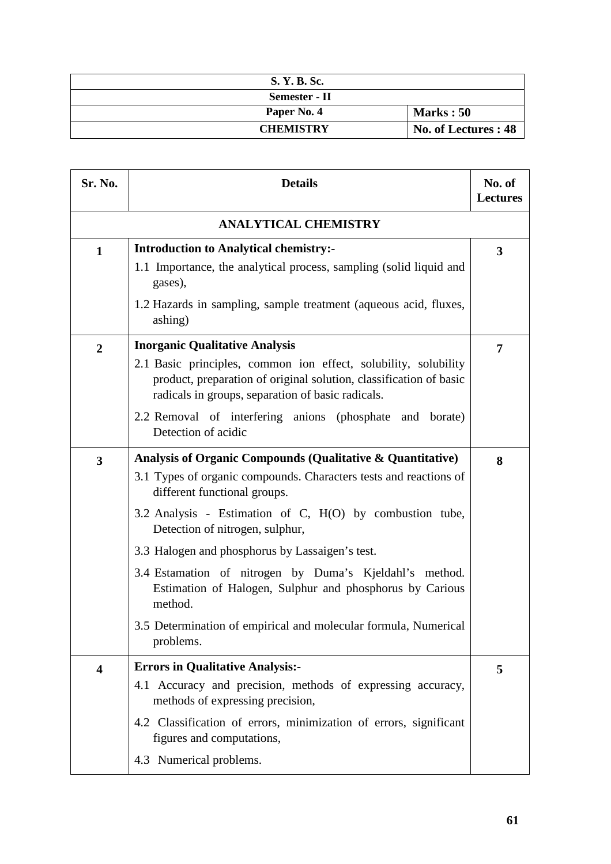| S. Y. B. Sc.     |                      |
|------------------|----------------------|
| Semester - II    |                      |
| Paper No. 4      | Marks: 50            |
| <b>CHEMISTRY</b> | No. of Lectures : 48 |

| Sr. No.                 | <b>Details</b>                                                                                                                                                                                                                                                                                  |   |
|-------------------------|-------------------------------------------------------------------------------------------------------------------------------------------------------------------------------------------------------------------------------------------------------------------------------------------------|---|
|                         | <b>ANALYTICAL CHEMISTRY</b>                                                                                                                                                                                                                                                                     |   |
| $\mathbf{1}$            | <b>Introduction to Analytical chemistry:-</b><br>1.1 Importance, the analytical process, sampling (solid liquid and<br>gases),                                                                                                                                                                  | 3 |
|                         | 1.2 Hazards in sampling, sample treatment (aqueous acid, fluxes,<br>ashing)                                                                                                                                                                                                                     |   |
| $\overline{2}$          | <b>Inorganic Qualitative Analysis</b><br>2.1 Basic principles, common ion effect, solubility, solubility<br>product, preparation of original solution, classification of basic<br>radicals in groups, separation of basic radicals.<br>2.2 Removal of interfering anions (phosphate and borate) | 7 |
|                         | Detection of acidic                                                                                                                                                                                                                                                                             |   |
| 3                       | Analysis of Organic Compounds (Qualitative & Quantitative)<br>3.1 Types of organic compounds. Characters tests and reactions of<br>different functional groups.<br>3.2 Analysis - Estimation of C, H(O) by combustion tube,                                                                     | 8 |
|                         | Detection of nitrogen, sulphur,<br>3.3 Halogen and phosphorus by Lassaigen's test.                                                                                                                                                                                                              |   |
|                         | 3.4 Estamation of nitrogen by Duma's Kjeldahl's method.<br>Estimation of Halogen, Sulphur and phosphorus by Carious<br>method.                                                                                                                                                                  |   |
|                         | 3.5 Determination of empirical and molecular formula, Numerical<br>problems.                                                                                                                                                                                                                    |   |
| $\overline{\mathbf{4}}$ | <b>Errors in Qualitative Analysis:-</b>                                                                                                                                                                                                                                                         | 5 |
|                         | 4.1 Accuracy and precision, methods of expressing accuracy,<br>methods of expressing precision,                                                                                                                                                                                                 |   |
|                         | 4.2 Classification of errors, minimization of errors, significant<br>figures and computations,                                                                                                                                                                                                  |   |
|                         | 4.3 Numerical problems.                                                                                                                                                                                                                                                                         |   |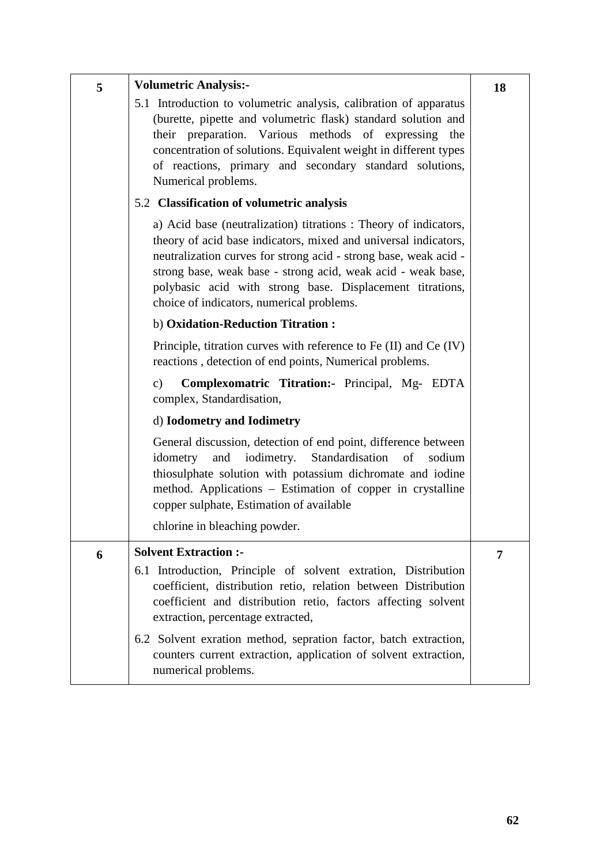| 5 | <b>Volumetric Analysis:-</b>                                                                                                                                                                                                                                                                                                                                                                  | 18 |
|---|-----------------------------------------------------------------------------------------------------------------------------------------------------------------------------------------------------------------------------------------------------------------------------------------------------------------------------------------------------------------------------------------------|----|
|   | 5.1 Introduction to volumetric analysis, calibration of apparatus<br>(burette, pipette and volumetric flask) standard solution and<br>their preparation. Various methods of expressing the<br>concentration of solutions. Equivalent weight in different types<br>of reactions, primary and secondary standard solutions,<br>Numerical problems.<br>5.2 Classification of volumetric analysis |    |
|   |                                                                                                                                                                                                                                                                                                                                                                                               |    |
|   | a) Acid base (neutralization) titrations : Theory of indicators,<br>theory of acid base indicators, mixed and universal indicators,<br>neutralization curves for strong acid - strong base, weak acid -<br>strong base, weak base - strong acid, weak acid - weak base,<br>polybasic acid with strong base. Displacement titrations,<br>choice of indicators, numerical problems.             |    |
|   | b) Oxidation-Reduction Titration:                                                                                                                                                                                                                                                                                                                                                             |    |
|   | Principle, titration curves with reference to Fe (II) and Ce (IV)<br>reactions, detection of end points, Numerical problems.                                                                                                                                                                                                                                                                  |    |
|   | Complexomatric Titration: Principal, Mg- EDTA<br>$\mathbf{c})$<br>complex, Standardisation,                                                                                                                                                                                                                                                                                                   |    |
|   | d) <b>Iodometry</b> and <b>Iodimetry</b>                                                                                                                                                                                                                                                                                                                                                      |    |
|   | General discussion, detection of end point, difference between<br>iodimetry.<br>Standardisation<br>and<br>of<br>sodium<br>idometry<br>thiosulphate solution with potassium dichromate and iodine<br>method. Applications – Estimation of copper in crystalline<br>copper sulphate, Estimation of available                                                                                    |    |
|   | chlorine in bleaching powder.                                                                                                                                                                                                                                                                                                                                                                 |    |
| 6 | <b>Solvent Extraction :-</b>                                                                                                                                                                                                                                                                                                                                                                  | 7  |
|   | 6.1 Introduction, Principle of solvent extration, Distribution<br>coefficient, distribution retio, relation between Distribution<br>coefficient and distribution retio, factors affecting solvent<br>extraction, percentage extracted,                                                                                                                                                        |    |
|   | 6.2 Solvent exration method, sepration factor, batch extraction,<br>counters current extraction, application of solvent extraction,<br>numerical problems.                                                                                                                                                                                                                                    |    |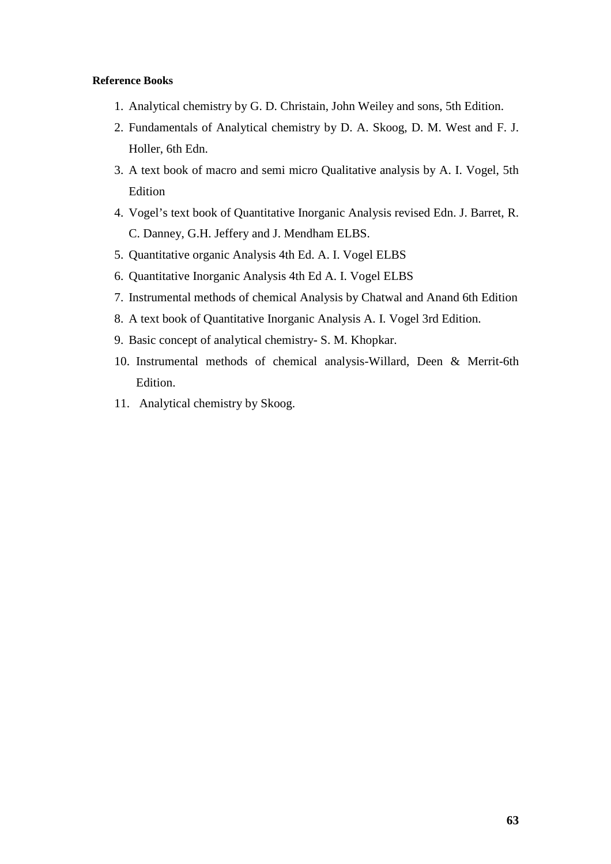- 1. Analytical chemistry by G. D. Christain, John Weiley and sons, 5th Edition.
- 2. Fundamentals of Analytical chemistry by D. A. Skoog, D. M. West and F. J. Holler, 6th Edn.
- 3. A text book of macro and semi micro Qualitative analysis by A. I. Vogel, 5th Edition
- 4. Vogel's text book of Quantitative Inorganic Analysis revised Edn. J. Barret, R. C. Danney, G.H. Jeffery and J. Mendham ELBS.
- 5. Quantitative organic Analysis 4th Ed. A. I. Vogel ELBS
- 6. Quantitative Inorganic Analysis 4th Ed A. I. Vogel ELBS
- 7. Instrumental methods of chemical Analysis by Chatwal and Anand 6th Edition
- 8. A text book of Quantitative Inorganic Analysis A. I. Vogel 3rd Edition.
- 9. Basic concept of analytical chemistry- S. M. Khopkar.
- 10. Instrumental methods of chemical analysis-Willard, Deen & Merrit-6th Edition.
- 11. Analytical chemistry by Skoog.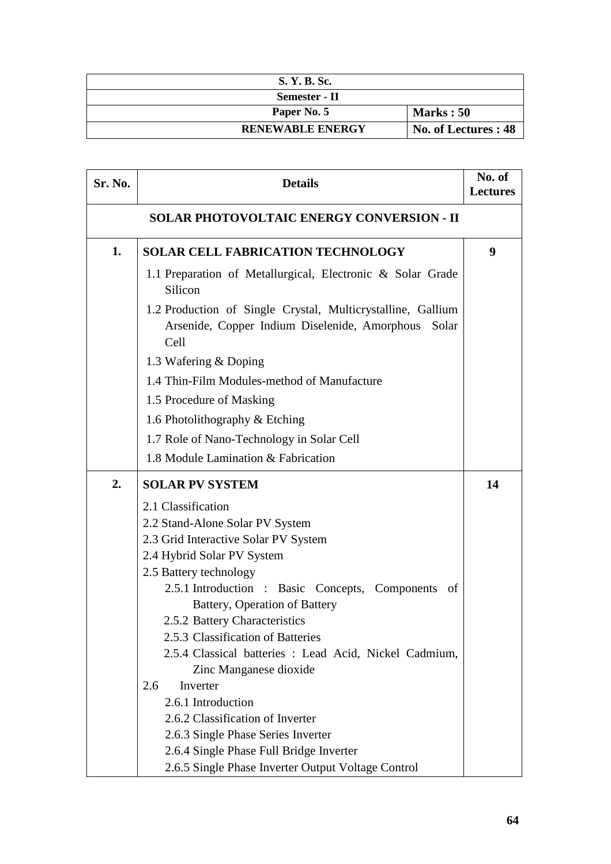| S. Y. B. Sc.            |                      |
|-------------------------|----------------------|
| Semester - II           |                      |
| Paper No. 5             | Marks: 50            |
| <b>RENEWABLE ENERGY</b> | No. of Lectures : 48 |

| Sr. No.                                          | <b>Details</b>                                                                                                                | No. of<br><b>Lectures</b> |
|--------------------------------------------------|-------------------------------------------------------------------------------------------------------------------------------|---------------------------|
| <b>SOLAR PHOTOVOLTAIC ENERGY CONVERSION - II</b> |                                                                                                                               |                           |
| 1.                                               | <b>SOLAR CELL FABRICATION TECHNOLOGY</b>                                                                                      | 9                         |
|                                                  | 1.1 Preparation of Metallurgical, Electronic & Solar Grade<br>Silicon                                                         |                           |
|                                                  | 1.2 Production of Single Crystal, Multicrystalline, Gallium<br>Arsenide, Copper Indium Diselenide, Amorphous<br>Solar<br>Cell |                           |
|                                                  | 1.3 Wafering & Doping                                                                                                         |                           |
|                                                  | 1.4 Thin-Film Modules-method of Manufacture                                                                                   |                           |
|                                                  | 1.5 Procedure of Masking                                                                                                      |                           |
|                                                  | 1.6 Photolithography & Etching                                                                                                |                           |
|                                                  | 1.7 Role of Nano-Technology in Solar Cell                                                                                     |                           |
|                                                  | 1.8 Module Lamination & Fabrication                                                                                           |                           |
| 2.                                               | <b>SOLAR PV SYSTEM</b>                                                                                                        | 14                        |
|                                                  | 2.1 Classification                                                                                                            |                           |
|                                                  | 2.2 Stand-Alone Solar PV System                                                                                               |                           |
|                                                  | 2.3 Grid Interactive Solar PV System                                                                                          |                           |
|                                                  | 2.4 Hybrid Solar PV System                                                                                                    |                           |
|                                                  | 2.5 Battery technology                                                                                                        |                           |
|                                                  | 2.5.1 Introduction : Basic Concepts, Components<br>of                                                                         |                           |
|                                                  | Battery, Operation of Battery<br>2.5.2 Battery Characteristics                                                                |                           |
|                                                  | 2.5.3 Classification of Batteries                                                                                             |                           |
|                                                  | 2.5.4 Classical batteries : Lead Acid, Nickel Cadmium,                                                                        |                           |
|                                                  | Zinc Manganese dioxide                                                                                                        |                           |
|                                                  | Inverter<br>2.6                                                                                                               |                           |
|                                                  | 2.6.1 Introduction                                                                                                            |                           |
|                                                  | 2.6.2 Classification of Inverter                                                                                              |                           |
|                                                  | 2.6.3 Single Phase Series Inverter                                                                                            |                           |
|                                                  | 2.6.4 Single Phase Full Bridge Inverter                                                                                       |                           |
|                                                  | 2.6.5 Single Phase Inverter Output Voltage Control                                                                            |                           |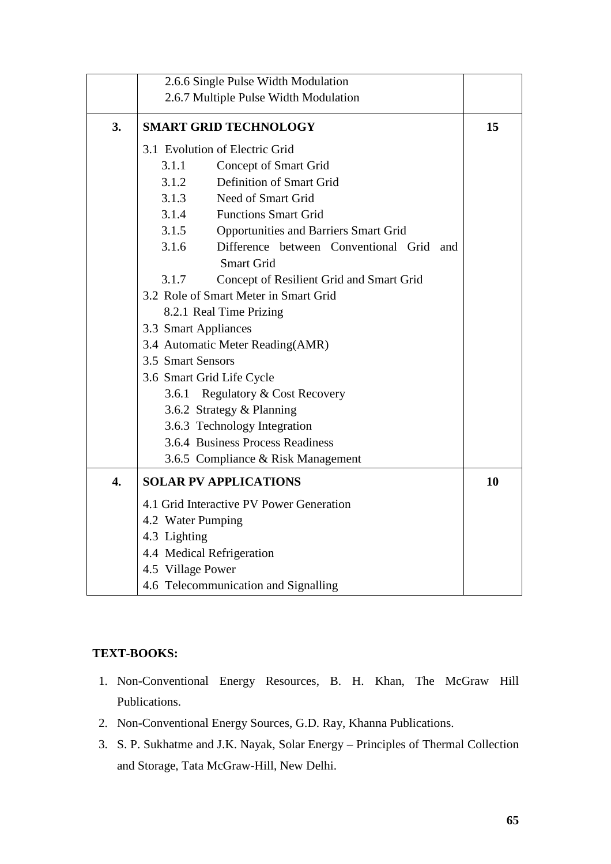|                  | 2.6.6 Single Pulse Width Modulation                                    |    |
|------------------|------------------------------------------------------------------------|----|
|                  | 2.6.7 Multiple Pulse Width Modulation                                  |    |
| 3.               | <b>SMART GRID TECHNOLOGY</b>                                           | 15 |
|                  | 3.1 Evolution of Electric Grid                                         |    |
|                  | 3.1.1<br>Concept of Smart Grid                                         |    |
|                  | Definition of Smart Grid<br>3.1.2                                      |    |
|                  | Need of Smart Grid<br>3.1.3                                            |    |
|                  | <b>Functions Smart Grid</b><br>3.1.4                                   |    |
|                  | 3.1.5<br><b>Opportunities and Barriers Smart Grid</b>                  |    |
|                  | Difference between Conventional Grid and<br>3.1.6<br><b>Smart Grid</b> |    |
|                  | Concept of Resilient Grid and Smart Grid<br>3.1.7                      |    |
|                  | 3.2 Role of Smart Meter in Smart Grid                                  |    |
|                  | 8.2.1 Real Time Prizing                                                |    |
|                  | 3.3 Smart Appliances                                                   |    |
|                  | 3.4 Automatic Meter Reading(AMR)                                       |    |
|                  | 3.5 Smart Sensors                                                      |    |
|                  | 3.6 Smart Grid Life Cycle                                              |    |
|                  | Regulatory & Cost Recovery<br>3.6.1                                    |    |
|                  | 3.6.2 Strategy & Planning                                              |    |
|                  | 3.6.3 Technology Integration                                           |    |
|                  | 3.6.4 Business Process Readiness                                       |    |
|                  | 3.6.5 Compliance & Risk Management                                     |    |
| $\overline{4}$ . | <b>SOLAR PV APPLICATIONS</b>                                           | 10 |
|                  | 4.1 Grid Interactive PV Power Generation                               |    |
|                  | 4.2 Water Pumping                                                      |    |
|                  | 4.3 Lighting                                                           |    |
|                  | 4.4 Medical Refrigeration                                              |    |
|                  | 4.5 Village Power                                                      |    |
|                  | 4.6 Telecommunication and Signalling                                   |    |

# **TEXT-BOOKS:**

- 1. Non-Conventional Energy Resources, B. H. Khan, The McGraw Hill Publications.
- 2. Non-Conventional Energy Sources, G.D. Ray, Khanna Publications.
- 3. S. P. Sukhatme and J.K. Nayak, Solar Energy Principles of Thermal Collection and Storage, Tata McGraw-Hill, New Delhi.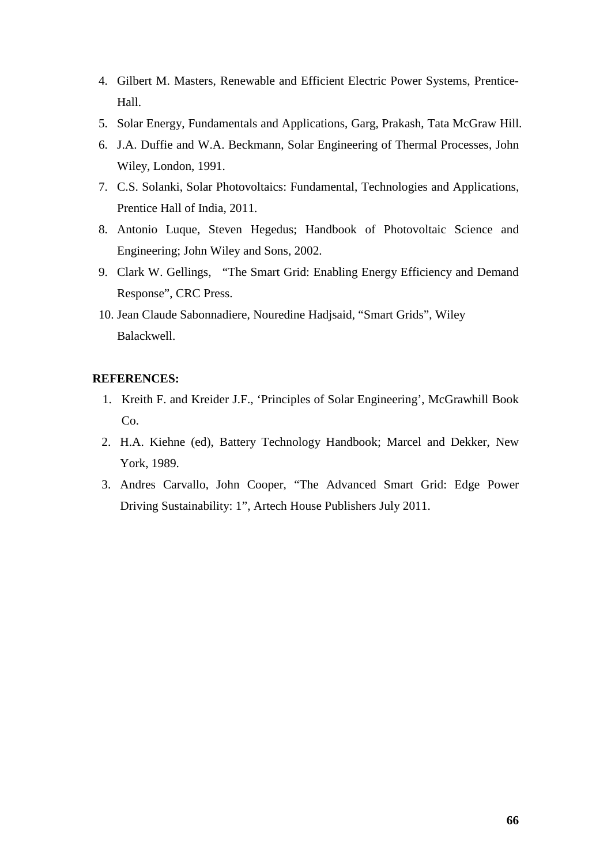- 4. Gilbert M. Masters, Renewable and Efficient Electric Power Systems, Prentice-Hall.
- 5. Solar Energy, Fundamentals and Applications, Garg, Prakash, Tata McGraw Hill.
- 6. J.A. Duffie and W.A. Beckmann, Solar Engineering of Thermal Processes, John Wiley, London, 1991.
- 7. C.S. Solanki, Solar Photovoltaics: Fundamental, Technologies and Applications, Prentice Hall of India, 2011.
- 8. Antonio Luque, Steven Hegedus; Handbook of Photovoltaic Science and Engineering; John Wiley and Sons, 2002.
- 9. Clark W. Gellings, "The Smart Grid: Enabling Energy Efficiency and Demand Response", CRC Press.
- 10. Jean Claude Sabonnadiere, Nouredine Hadjsaid, "Smart Grids", Wiley Balackwell.

## **REFERENCES:**

- 1. Kreith F. and Kreider J.F., 'Principles of Solar Engineering', McGrawhill Book  $Co.$
- 2. H.A. Kiehne (ed), Battery Technology Handbook; Marcel and Dekker, New York, 1989.
- 3. Andres Carvallo, John Cooper, "The Advanced Smart Grid: Edge Power Driving Sustainability: 1", Artech House Publishers July 2011.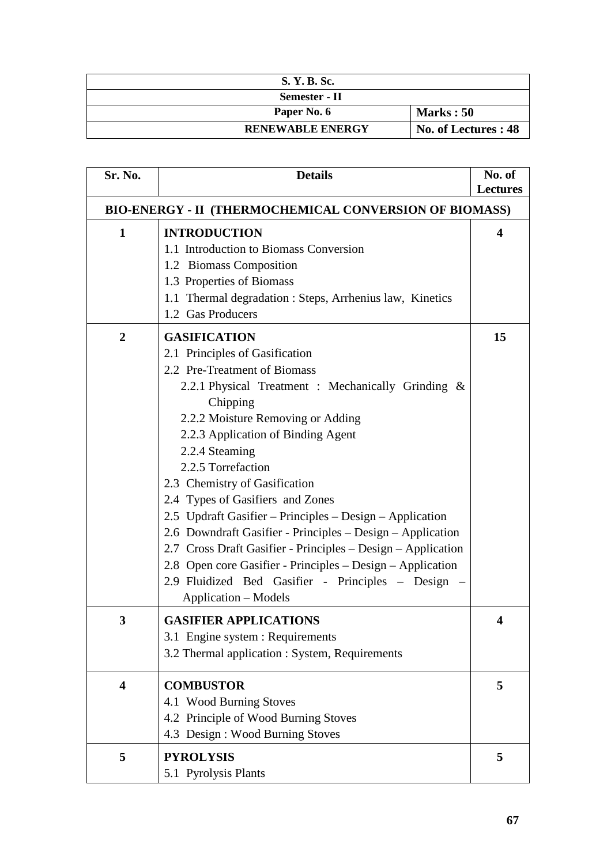| S. Y. B. Sc.            |                      |
|-------------------------|----------------------|
| Semester - II           |                      |
| Paper No. 6             | <b>Marks</b> : 50    |
| <b>RENEWABLE ENERGY</b> | No. of Lectures : 48 |

| Sr. No.                 | <b>Details</b>                                                | No. of          |  |  |  |
|-------------------------|---------------------------------------------------------------|-----------------|--|--|--|
|                         |                                                               | <b>Lectures</b> |  |  |  |
|                         | <b>BIO-ENERGY - II (THERMOCHEMICAL CONVERSION OF BIOMASS)</b> |                 |  |  |  |
| $\mathbf{1}$            | <b>INTRODUCTION</b>                                           | 4               |  |  |  |
|                         | 1.1 Introduction to Biomass Conversion                        |                 |  |  |  |
|                         | 1.2 Biomass Composition                                       |                 |  |  |  |
|                         | 1.3 Properties of Biomass                                     |                 |  |  |  |
|                         | 1.1 Thermal degradation : Steps, Arrhenius law, Kinetics      |                 |  |  |  |
|                         | 1.2 Gas Producers                                             |                 |  |  |  |
| $\overline{2}$          | <b>GASIFICATION</b>                                           | 15              |  |  |  |
|                         | 2.1 Principles of Gasification                                |                 |  |  |  |
|                         | 2.2 Pre-Treatment of Biomass                                  |                 |  |  |  |
|                         | 2.2.1 Physical Treatment : Mechanically Grinding &            |                 |  |  |  |
|                         | Chipping                                                      |                 |  |  |  |
|                         | 2.2.2 Moisture Removing or Adding                             |                 |  |  |  |
|                         | 2.2.3 Application of Binding Agent                            |                 |  |  |  |
|                         | 2.2.4 Steaming                                                |                 |  |  |  |
|                         | 2.2.5 Torrefaction                                            |                 |  |  |  |
|                         | 2.3 Chemistry of Gasification                                 |                 |  |  |  |
|                         | 2.4 Types of Gasifiers and Zones                              |                 |  |  |  |
|                         | 2.5 Updraft Gasifier - Principles - Design - Application      |                 |  |  |  |
|                         | 2.6 Downdraft Gasifier - Principles – Design – Application    |                 |  |  |  |
|                         | 2.7 Cross Draft Gasifier - Principles – Design – Application  |                 |  |  |  |
|                         | 2.8 Open core Gasifier - Principles – Design – Application    |                 |  |  |  |
|                         | 2.9 Fluidized Bed Gasifier - Principles - Design -            |                 |  |  |  |
|                         | Application – Models                                          |                 |  |  |  |
| 3                       | <b>GASIFIER APPLICATIONS</b>                                  | 4               |  |  |  |
|                         | 3.1 Engine system : Requirements                              |                 |  |  |  |
|                         | 3.2 Thermal application : System, Requirements                |                 |  |  |  |
|                         |                                                               |                 |  |  |  |
| $\overline{\mathbf{4}}$ | <b>COMBUSTOR</b>                                              | 5               |  |  |  |
|                         | 4.1 Wood Burning Stoves                                       |                 |  |  |  |
|                         | 4.2 Principle of Wood Burning Stoves                          |                 |  |  |  |
|                         | 4.3 Design : Wood Burning Stoves                              |                 |  |  |  |
| 5                       | <b>PYROLYSIS</b>                                              | 5               |  |  |  |
|                         |                                                               |                 |  |  |  |
|                         | 5.1 Pyrolysis Plants                                          |                 |  |  |  |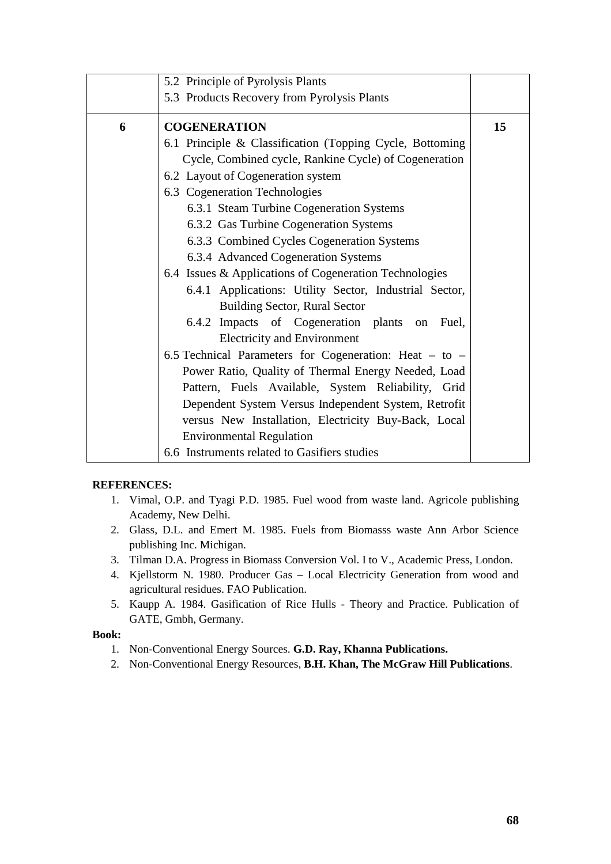|   | 5.2 Principle of Pyrolysis Plants                          |    |
|---|------------------------------------------------------------|----|
|   | 5.3 Products Recovery from Pyrolysis Plants                |    |
| 6 | <b>COGENERATION</b>                                        | 15 |
|   | 6.1 Principle & Classification (Topping Cycle, Bottoming   |    |
|   | Cycle, Combined cycle, Rankine Cycle) of Cogeneration      |    |
|   | 6.2 Layout of Cogeneration system                          |    |
|   | 6.3 Cogeneration Technologies                              |    |
|   | 6.3.1 Steam Turbine Cogeneration Systems                   |    |
|   | 6.3.2 Gas Turbine Cogeneration Systems                     |    |
|   | 6.3.3 Combined Cycles Cogeneration Systems                 |    |
|   | 6.3.4 Advanced Cogeneration Systems                        |    |
|   | 6.4 Issues & Applications of Cogeneration Technologies     |    |
|   | 6.4.1 Applications: Utility Sector, Industrial Sector,     |    |
|   | <b>Building Sector, Rural Sector</b>                       |    |
|   | 6.4.2 Impacts of Cogeneration plants on<br>Fuel,           |    |
|   | <b>Electricity and Environment</b>                         |    |
|   | 6.5 Technical Parameters for Cogeneration: Heat $-$ to $-$ |    |
|   | Power Ratio, Quality of Thermal Energy Needed, Load        |    |
|   | Pattern, Fuels Available, System Reliability, Grid         |    |
|   | Dependent System Versus Independent System, Retrofit       |    |
|   | versus New Installation, Electricity Buy-Back, Local       |    |
|   | <b>Environmental Regulation</b>                            |    |
|   | 6.6 Instruments related to Gasifiers studies               |    |

#### **REFERENCES:**

- 1. Vimal, O.P. and Tyagi P.D. 1985. Fuel wood from waste land. Agricole publishing Academy, New Delhi.
- 2. Glass, D.L. and Emert M. 1985. Fuels from Biomasss waste Ann Arbor Science publishing Inc. Michigan.
- 3. Tilman D.A. Progress in Biomass Conversion Vol. I to V., Academic Press, London.
- 4. Kjellstorm N. 1980. Producer Gas Local Electricity Generation from wood and agricultural residues. FAO Publication.
- 5. Kaupp A. 1984. Gasification of Rice Hulls Theory and Practice. Publication of GATE, Gmbh, Germany.

## **Book:**

- 1. Non-Conventional Energy Sources. **G.D. Ray, Khanna Publications.**
- 2. Non-Conventional Energy Resources, **B.H. Khan, The McGraw Hill Publications**.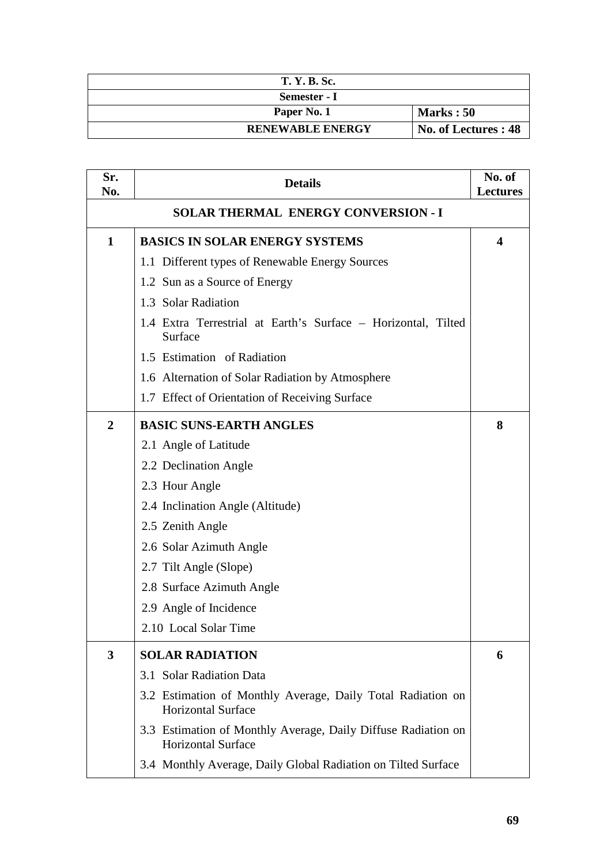| <b>T. Y. B. Sc.</b>     |                      |
|-------------------------|----------------------|
| Semester - I            |                      |
| Paper No. 1             | <b>Marks</b> : 50    |
| <b>RENEWABLE ENERGY</b> | No. of Lectures : 48 |

| Sr.<br>No.                                 | <b>Details</b>                                                                             | No. of<br><b>Lectures</b> |
|--------------------------------------------|--------------------------------------------------------------------------------------------|---------------------------|
| <b>SOLAR THERMAL ENERGY CONVERSION - I</b> |                                                                                            |                           |
| $\mathbf{1}$                               | <b>BASICS IN SOLAR ENERGY SYSTEMS</b>                                                      | 4                         |
|                                            | 1.1 Different types of Renewable Energy Sources                                            |                           |
|                                            | 1.2 Sun as a Source of Energy                                                              |                           |
|                                            | 1.3 Solar Radiation                                                                        |                           |
|                                            | 1.4 Extra Terrestrial at Earth's Surface - Horizontal, Tilted<br>Surface                   |                           |
|                                            | 1.5 Estimation of Radiation                                                                |                           |
|                                            | 1.6 Alternation of Solar Radiation by Atmosphere                                           |                           |
|                                            | 1.7 Effect of Orientation of Receiving Surface                                             |                           |
| $\overline{2}$                             | <b>BASIC SUNS-EARTH ANGLES</b>                                                             | 8                         |
|                                            | 2.1 Angle of Latitude                                                                      |                           |
|                                            | 2.2 Declination Angle                                                                      |                           |
|                                            | 2.3 Hour Angle                                                                             |                           |
|                                            | 2.4 Inclination Angle (Altitude)                                                           |                           |
|                                            | 2.5 Zenith Angle                                                                           |                           |
|                                            | 2.6 Solar Azimuth Angle                                                                    |                           |
|                                            | 2.7 Tilt Angle (Slope)                                                                     |                           |
|                                            | 2.8 Surface Azimuth Angle                                                                  |                           |
|                                            | 2.9 Angle of Incidence                                                                     |                           |
|                                            | 2.10 Local Solar Time                                                                      |                           |
| 3                                          | <b>SOLAR RADIATION</b>                                                                     | 6                         |
|                                            | 3.1 Solar Radiation Data                                                                   |                           |
|                                            | 3.2 Estimation of Monthly Average, Daily Total Radiation on<br><b>Horizontal Surface</b>   |                           |
|                                            | 3.3 Estimation of Monthly Average, Daily Diffuse Radiation on<br><b>Horizontal Surface</b> |                           |
|                                            | 3.4 Monthly Average, Daily Global Radiation on Tilted Surface                              |                           |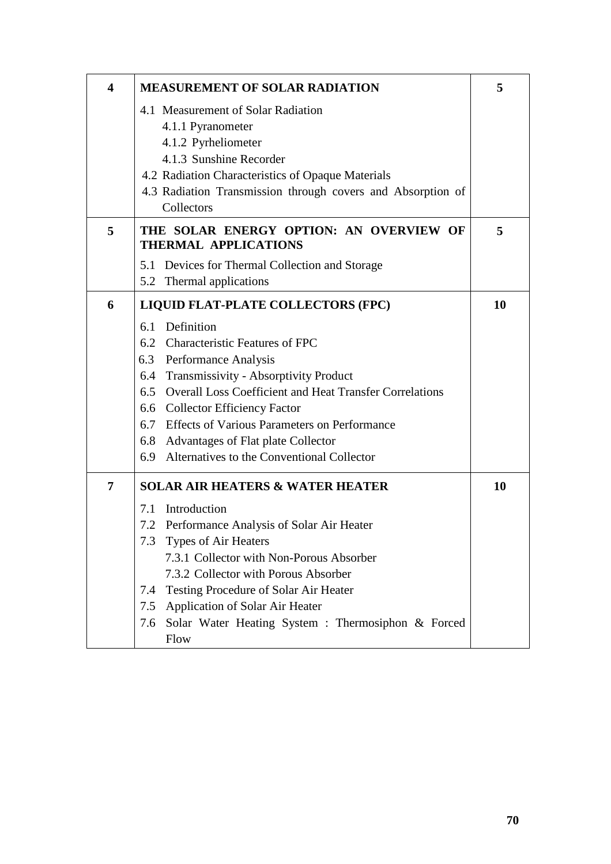| $\overline{\mathbf{4}}$ | <b>MEASUREMENT OF SOLAR RADIATION</b>                                  | 5  |
|-------------------------|------------------------------------------------------------------------|----|
|                         | 4.1 Measurement of Solar Radiation                                     |    |
|                         | 4.1.1 Pyranometer                                                      |    |
|                         | 4.1.2 Pyrheliometer                                                    |    |
|                         | 4.1.3 Sunshine Recorder                                                |    |
|                         | 4.2 Radiation Characteristics of Opaque Materials                      |    |
|                         | 4.3 Radiation Transmission through covers and Absorption of            |    |
|                         | Collectors                                                             |    |
| 5                       | THE SOLAR ENERGY OPTION: AN OVERVIEW OF<br><b>THERMAL APPLICATIONS</b> | 5  |
|                         | 5.1 Devices for Thermal Collection and Storage                         |    |
|                         | 5.2 Thermal applications                                               |    |
| 6                       | LIQUID FLAT-PLATE COLLECTORS (FPC)                                     | 10 |
|                         | 6.1 Definition                                                         |    |
|                         | 6.2 Characteristic Features of FPC                                     |    |
|                         | 6.3 Performance Analysis                                               |    |
|                         | 6.4 Transmissivity - Absorptivity Product                              |    |
|                         | 6.5 Overall Loss Coefficient and Heat Transfer Correlations            |    |
|                         | 6.6 Collector Efficiency Factor                                        |    |
|                         | 6.7 Effects of Various Parameters on Performance                       |    |
|                         | 6.8 Advantages of Flat plate Collector                                 |    |
|                         | 6.9 Alternatives to the Conventional Collector                         |    |
| 7                       | <b>SOLAR AIR HEATERS &amp; WATER HEATER</b>                            | 10 |
|                         | 7.1 Introduction                                                       |    |
|                         | 7.2 Performance Analysis of Solar Air Heater                           |    |
|                         | Types of Air Heaters<br>7.3                                            |    |
|                         | 7.3.1 Collector with Non-Porous Absorber                               |    |
|                         | 7.3.2 Collector with Porous Absorber                                   |    |
|                         | Testing Procedure of Solar Air Heater<br>7.4                           |    |
|                         | Application of Solar Air Heater<br>7.5                                 |    |
|                         | Solar Water Heating System : Thermosiphon & Forced<br>7.6              |    |
|                         | Flow                                                                   |    |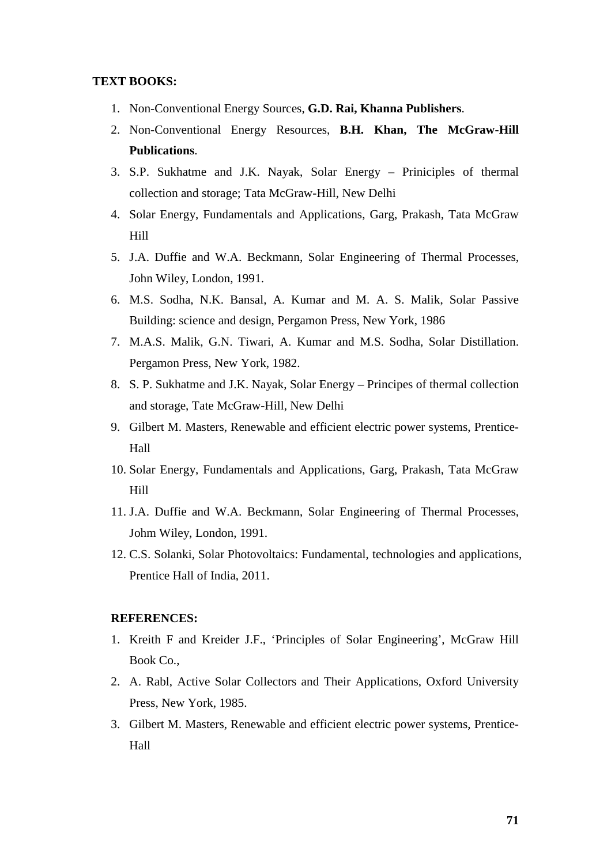#### **TEXT BOOKS:**

- 1. Non-Conventional Energy Sources, **G.D. Rai, Khanna Publishers**.
- 2. Non-Conventional Energy Resources, **B.H. Khan, The McGraw-Hill Publications**.
- 3. S.P. Sukhatme and J.K. Nayak, Solar Energy Priniciples of thermal collection and storage; Tata McGraw-Hill, New Delhi
- 4. Solar Energy, Fundamentals and Applications, Garg, Prakash, Tata McGraw Hill
- 5. J.A. Duffie and W.A. Beckmann, Solar Engineering of Thermal Processes, John Wiley, London, 1991.
- 6. M.S. Sodha, N.K. Bansal, A. Kumar and M. A. S. Malik, Solar Passive Building: science and design, Pergamon Press, New York, 1986
- 7. M.A.S. Malik, G.N. Tiwari, A. Kumar and M.S. Sodha, Solar Distillation. Pergamon Press, New York, 1982.
- 8. S. P. Sukhatme and J.K. Nayak, Solar Energy Principes of thermal collection and storage, Tate McGraw-Hill, New Delhi
- 9. Gilbert M. Masters, Renewable and efficient electric power systems, Prentice-Hall
- 10. Solar Energy, Fundamentals and Applications, Garg, Prakash, Tata McGraw Hill
- 11. J.A. Duffie and W.A. Beckmann, Solar Engineering of Thermal Processes, Johm Wiley, London, 1991.
- 12. C.S. Solanki, Solar Photovoltaics: Fundamental, technologies and applications, Prentice Hall of India, 2011.

#### **REFERENCES:**

- 1. Kreith F and Kreider J.F., 'Principles of Solar Engineering', McGraw Hill Book Co.,
- 2. A. Rabl, Active Solar Collectors and Their Applications, Oxford University Press, New York, 1985.
- 3. Gilbert M. Masters, Renewable and efficient electric power systems, Prentice-Hall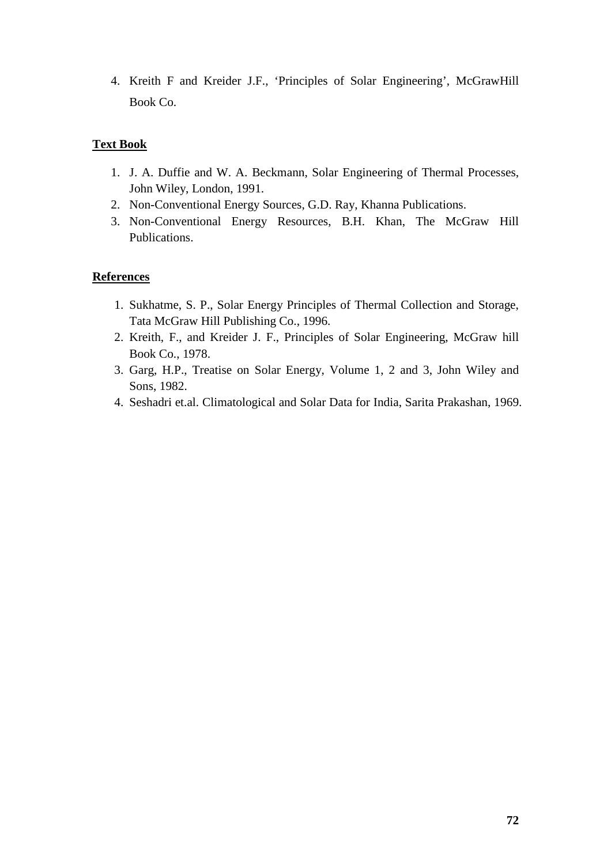4. Kreith F and Kreider J.F., 'Principles of Solar Engineering', McGrawHill Book Co.

# **Text Book**

- 1. J. A. Duffie and W. A. Beckmann, Solar Engineering of Thermal Processes, John Wiley, London, 1991.
- 2. Non-Conventional Energy Sources, G.D. Ray, Khanna Publications.
- 3. Non-Conventional Energy Resources, B.H. Khan, The McGraw Hill Publications.

# **References**

- 1. Sukhatme, S. P., Solar Energy Principles of Thermal Collection and Storage, Tata McGraw Hill Publishing Co., 1996.
- 2. Kreith, F., and Kreider J. F., Principles of Solar Engineering, McGraw hill Book Co., 1978.
- 3. Garg, H.P., Treatise on Solar Energy, Volume 1, 2 and 3, John Wiley and Sons, 1982.
- 4. Seshadri et.al. Climatological and Solar Data for India, Sarita Prakashan, 1969.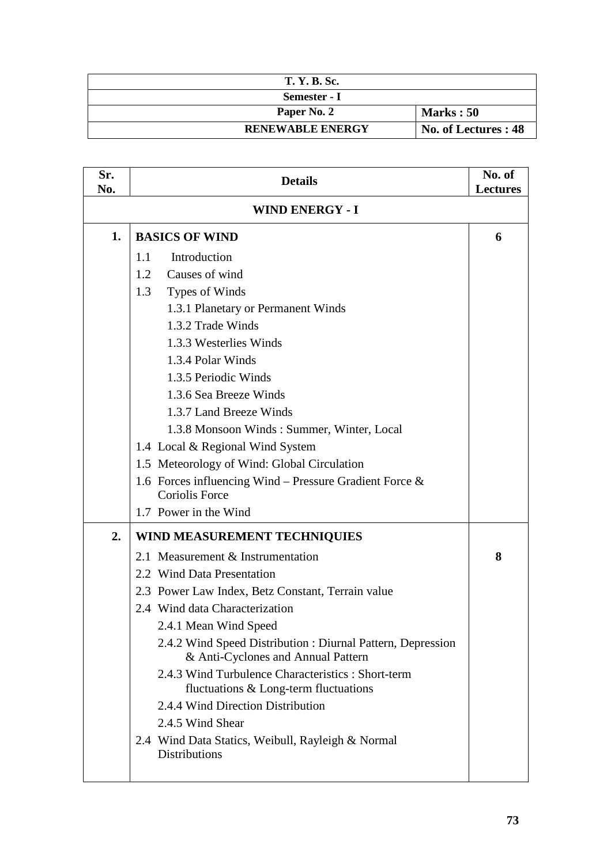| <b>T. Y. B. Sc.</b>     |                      |
|-------------------------|----------------------|
| Semester - I            |                      |
| Paper No. 2             | Marks: 50            |
| <b>RENEWABLE ENERGY</b> | No. of Lectures : 48 |

| Sr.<br>No. | <b>Details</b>                                                                                    | No. of<br><b>Lectures</b> |
|------------|---------------------------------------------------------------------------------------------------|---------------------------|
|            | <b>WIND ENERGY - I</b>                                                                            |                           |
| 1.         | <b>BASICS OF WIND</b>                                                                             | 6                         |
|            | Introduction<br>1.1                                                                               |                           |
|            | Causes of wind<br>1.2                                                                             |                           |
|            | Types of Winds<br>1.3                                                                             |                           |
|            | 1.3.1 Planetary or Permanent Winds                                                                |                           |
|            | 1.3.2 Trade Winds                                                                                 |                           |
|            | 1.3.3 Westerlies Winds                                                                            |                           |
|            | 1.3.4 Polar Winds                                                                                 |                           |
|            | 1.3.5 Periodic Winds                                                                              |                           |
|            | 1.3.6 Sea Breeze Winds                                                                            |                           |
|            | 1.3.7 Land Breeze Winds                                                                           |                           |
|            | 1.3.8 Monsoon Winds: Summer, Winter, Local                                                        |                           |
|            | 1.4 Local & Regional Wind System                                                                  |                           |
|            | 1.5 Meteorology of Wind: Global Circulation                                                       |                           |
|            | 1.6 Forces influencing Wind - Pressure Gradient Force $\&$<br><b>Coriolis Force</b>               |                           |
|            | 1.7 Power in the Wind                                                                             |                           |
| 2.         | <b>WIND MEASUREMENT TECHNIQUIES</b>                                                               |                           |
|            | 2.1 Measurement & Instrumentation                                                                 | 8                         |
|            | 2.2 Wind Data Presentation                                                                        |                           |
|            | 2.3 Power Law Index, Betz Constant, Terrain value                                                 |                           |
|            | 2.4 Wind data Characterization                                                                    |                           |
|            | 2.4.1 Mean Wind Speed                                                                             |                           |
|            | 2.4.2 Wind Speed Distribution : Diurnal Pattern, Depression<br>& Anti-Cyclones and Annual Pattern |                           |
|            | 2.4.3 Wind Turbulence Characteristics : Short-term<br>fluctuations & Long-term fluctuations       |                           |
|            | 2.4.4 Wind Direction Distribution                                                                 |                           |
|            | 2.4.5 Wind Shear                                                                                  |                           |
|            | 2.4 Wind Data Statics, Weibull, Rayleigh & Normal<br><b>Distributions</b>                         |                           |
|            |                                                                                                   |                           |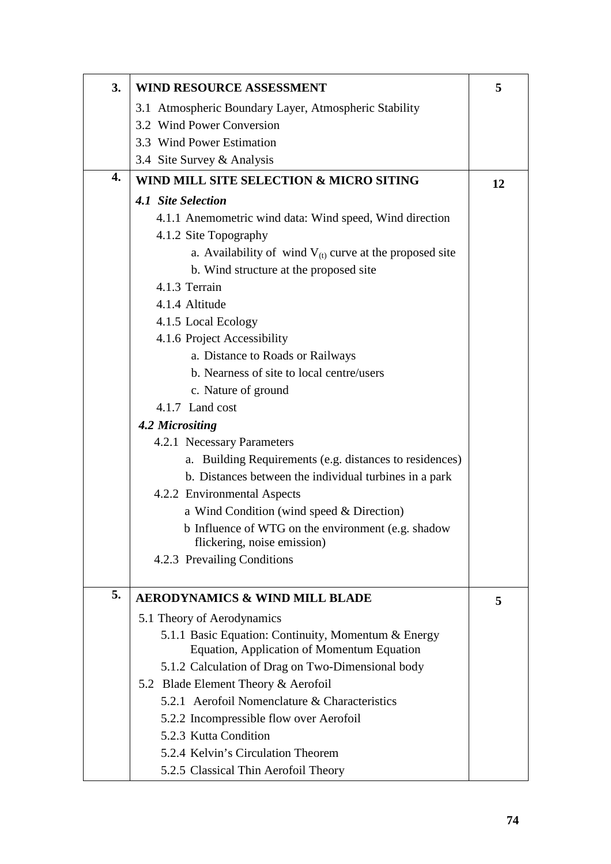| 3. | <b>WIND RESOURCE ASSESSMENT</b>                              | 5  |
|----|--------------------------------------------------------------|----|
|    | 3.1 Atmospheric Boundary Layer, Atmospheric Stability        |    |
|    | 3.2 Wind Power Conversion                                    |    |
|    | 3.3 Wind Power Estimation                                    |    |
|    | 3.4 Site Survey & Analysis                                   |    |
| 4. | WIND MILL SITE SELECTION & MICRO SITING                      | 12 |
|    | 4.1 Site Selection                                           |    |
|    | 4.1.1 Anemometric wind data: Wind speed, Wind direction      |    |
|    | 4.1.2 Site Topography                                        |    |
|    | a. Availability of wind $V_{(t)}$ curve at the proposed site |    |
|    | b. Wind structure at the proposed site                       |    |
|    | 4.1.3 Terrain                                                |    |
|    | 4.1.4 Altitude                                               |    |
|    | 4.1.5 Local Ecology                                          |    |
|    | 4.1.6 Project Accessibility                                  |    |
|    | a. Distance to Roads or Railways                             |    |
|    | b. Nearness of site to local centre/users                    |    |
|    | c. Nature of ground                                          |    |
|    | 4.1.7 Land cost                                              |    |
|    | 4.2 Micrositing                                              |    |
|    | 4.2.1 Necessary Parameters                                   |    |
|    | a. Building Requirements (e.g. distances to residences)      |    |
|    | b. Distances between the individual turbines in a park       |    |
|    | 4.2.2 Environmental Aspects                                  |    |
|    | a Wind Condition (wind speed & Direction)                    |    |
|    | b Influence of WTG on the environment (e.g. shadow           |    |
|    | flickering, noise emission)                                  |    |
|    | 4.2.3 Prevailing Conditions                                  |    |
| 5. | <b>AERODYNAMICS &amp; WIND MILL BLADE</b>                    | 5  |
|    | 5.1 Theory of Aerodynamics                                   |    |
|    | 5.1.1 Basic Equation: Continuity, Momentum & Energy          |    |
|    | Equation, Application of Momentum Equation                   |    |
|    | 5.1.2 Calculation of Drag on Two-Dimensional body            |    |
|    | 5.2 Blade Element Theory & Aerofoil                          |    |
|    | 5.2.1 Aerofoil Nomenclature & Characteristics                |    |
|    | 5.2.2 Incompressible flow over Aerofoil                      |    |
|    | 5.2.3 Kutta Condition                                        |    |
|    | 5.2.4 Kelvin's Circulation Theorem                           |    |
|    | 5.2.5 Classical Thin Aerofoil Theory                         |    |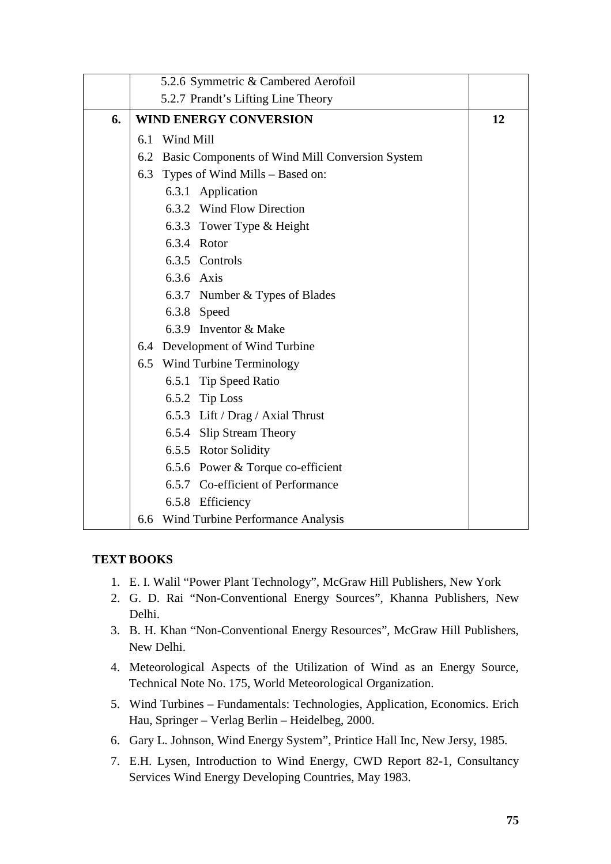|    |     | 5.2.6 Symmetric & Cambered Aerofoil                 |    |
|----|-----|-----------------------------------------------------|----|
|    |     | 5.2.7 Prandt's Lifting Line Theory                  |    |
| 6. |     | <b>WIND ENERGY CONVERSION</b>                       | 12 |
|    |     | 6.1 Wind Mill                                       |    |
|    |     | 6.2 Basic Components of Wind Mill Conversion System |    |
|    | 6.3 | Types of Wind Mills - Based on:                     |    |
|    |     | 6.3.1 Application                                   |    |
|    |     | 6.3.2 Wind Flow Direction                           |    |
|    |     | 6.3.3 Tower Type & Height                           |    |
|    |     | 6.3.4 Rotor                                         |    |
|    |     | 6.3.5 Controls                                      |    |
|    |     | 6.3.6 Axis                                          |    |
|    |     | 6.3.7 Number & Types of Blades                      |    |
|    |     | 6.3.8 Speed                                         |    |
|    |     | 6.3.9 Inventor & Make                               |    |
|    |     | 6.4 Development of Wind Turbine                     |    |
|    |     | 6.5 Wind Turbine Terminology                        |    |
|    |     | 6.5.1 Tip Speed Ratio                               |    |
|    |     | 6.5.2 Tip Loss                                      |    |
|    |     | 6.5.3 Lift / Drag / Axial Thrust                    |    |
|    |     | 6.5.4 Slip Stream Theory                            |    |
|    |     | 6.5.5 Rotor Solidity                                |    |
|    |     | 6.5.6 Power & Torque co-efficient                   |    |
|    |     | 6.5.7 Co-efficient of Performance                   |    |
|    |     | 6.5.8 Efficiency                                    |    |
|    |     | 6.6 Wind Turbine Performance Analysis               |    |

# **TEXT BOOKS**

- 1. E. I. Walil "Power Plant Technology", McGraw Hill Publishers, New York
- 2. G. D. Rai "Non-Conventional Energy Sources", Khanna Publishers, New Delhi.
- 3. B. H. Khan "Non-Conventional Energy Resources", McGraw Hill Publishers, New Delhi.
- 4. Meteorological Aspects of the Utilization of Wind as an Energy Source, Technical Note No. 175, World Meteorological Organization.
- 5. Wind Turbines Fundamentals: Technologies, Application, Economics. Erich Hau, Springer – Verlag Berlin – Heidelbeg, 2000.
- 6. Gary L. Johnson, Wind Energy System", Printice Hall Inc, New Jersy, 1985.
- 7. E.H. Lysen, Introduction to Wind Energy, CWD Report 82-1, Consultancy Services Wind Energy Developing Countries, May 1983.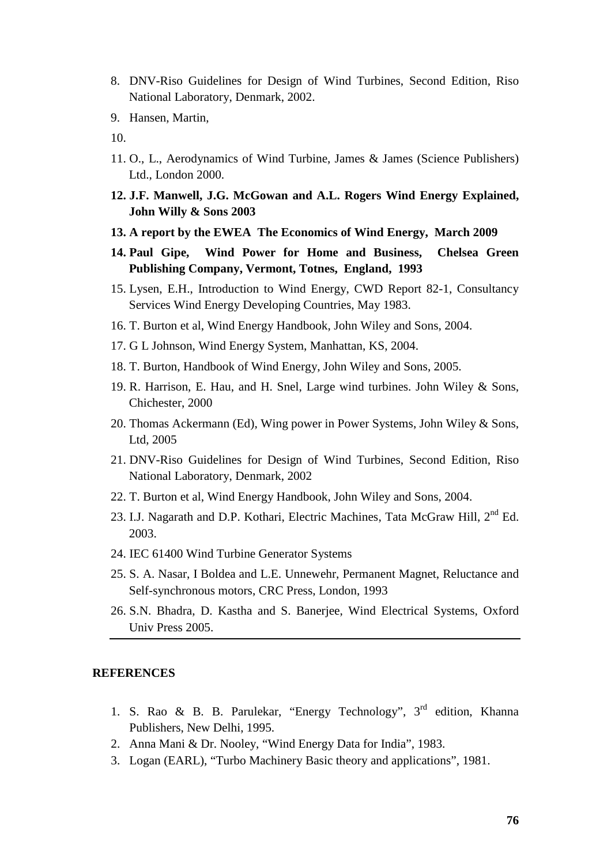- 8. DNV-Riso Guidelines for Design of Wind Turbines, Second Edition, Riso National Laboratory, Denmark, 2002.
- 9. Hansen, Martin,
- 10.
- 11. O., L., Aerodynamics of Wind Turbine, James & James (Science Publishers) Ltd., London 2000.
- **12. J.F. Manwell, J.G. McGowan and A.L. Rogers Wind Energy Explained, John Willy & Sons 2003**
- **13. A report by the EWEA The Economics of Wind Energy, March 2009**
- **14. Paul Gipe, Wind Power for Home and Business, Chelsea Green Publishing Company, Vermont, Totnes, England, 1993**
- 15. Lysen, E.H., Introduction to Wind Energy, CWD Report 82-1, Consultancy Services Wind Energy Developing Countries, May 1983.
- 16. T. Burton et al, Wind Energy Handbook, John Wiley and Sons, 2004.
- 17. G L Johnson, Wind Energy System, Manhattan, KS, 2004.
- 18. T. Burton, Handbook of Wind Energy, John Wiley and Sons, 2005.
- 19. R. Harrison, E. Hau, and H. Snel, Large wind turbines. John Wiley & Sons, Chichester, 2000
- 20. Thomas Ackermann (Ed), Wing power in Power Systems, John Wiley & Sons, Ltd, 2005
- 21. DNV-Riso Guidelines for Design of Wind Turbines, Second Edition, Riso National Laboratory, Denmark, 2002
- 22. T. Burton et al, Wind Energy Handbook, John Wiley and Sons, 2004.
- 23. I.J. Nagarath and D.P. Kothari, Electric Machines, Tata McGraw Hill, 2<sup>nd</sup> Ed. 2003.
- 24. IEC 61400 Wind Turbine Generator Systems
- 25. S. A. Nasar, I Boldea and L.E. Unnewehr, Permanent Magnet, Reluctance and Self-synchronous motors, CRC Press, London, 1993
- 26. S.N. Bhadra, D. Kastha and S. Banerjee, Wind Electrical Systems, Oxford Univ Press 2005.

#### **REFERENCES**

- 1. S. Rao & B. B. Parulekar, "Energy Technology",  $3<sup>rd</sup>$  edition, Khanna Publishers, New Delhi, 1995.
- 2. Anna Mani & Dr. Nooley, "Wind Energy Data for India", 1983.
- 3. Logan (EARL), "Turbo Machinery Basic theory and applications", 1981.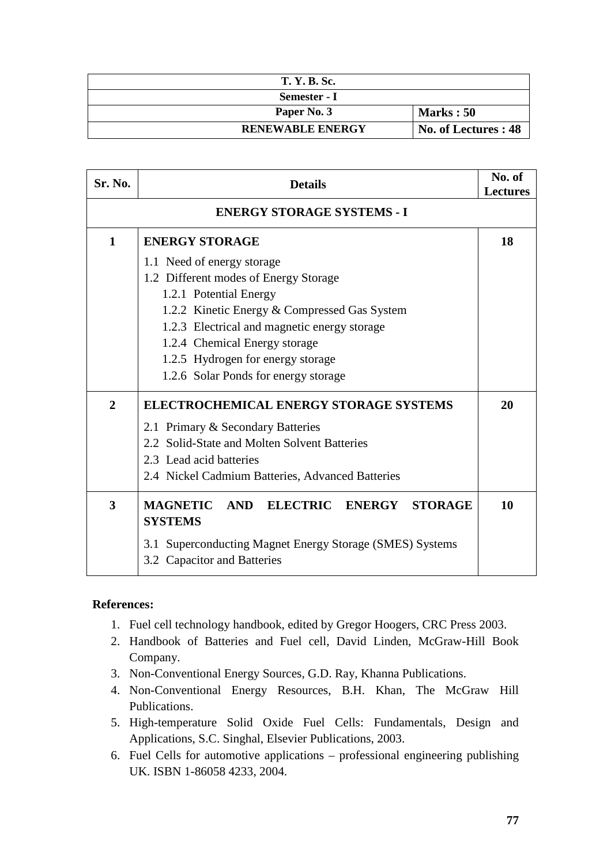| <b>T. Y. B. Sc.</b>     |                      |
|-------------------------|----------------------|
| Semester - I            |                      |
| Paper No. 3             | Marks: 50            |
| <b>RENEWABLE ENERGY</b> | No. of Lectures : 48 |

| Sr. No.        | <b>Details</b>                                              | No. of<br><b>Lectures</b> |
|----------------|-------------------------------------------------------------|---------------------------|
|                | <b>ENERGY STORAGE SYSTEMS - I</b>                           |                           |
| $\mathbf{1}$   | <b>ENERGY STORAGE</b>                                       | 18                        |
|                | 1.1 Need of energy storage                                  |                           |
|                | 1.2 Different modes of Energy Storage                       |                           |
|                | 1.2.1 Potential Energy                                      |                           |
|                | 1.2.2 Kinetic Energy & Compressed Gas System                |                           |
|                | 1.2.3 Electrical and magnetic energy storage                |                           |
|                | 1.2.4 Chemical Energy storage                               |                           |
|                | 1.2.5 Hydrogen for energy storage                           |                           |
|                | 1.2.6 Solar Ponds for energy storage                        |                           |
| $\overline{2}$ | <b>ELECTROCHEMICAL ENERGY STORAGE SYSTEMS</b>               | 20                        |
|                | 2.1 Primary & Secondary Batteries                           |                           |
|                | 2.2 Solid-State and Molten Solvent Batteries                |                           |
|                | 2.3 Lead acid batteries                                     |                           |
|                | 2.4 Nickel Cadmium Batteries, Advanced Batteries            |                           |
| 3              | <b>MAGNETIC</b><br>ELECTRIC ENERGY<br>AND<br><b>STORAGE</b> | 10                        |
|                | <b>SYSTEMS</b>                                              |                           |
|                | 3.1 Superconducting Magnet Energy Storage (SMES) Systems    |                           |
|                | 3.2 Capacitor and Batteries                                 |                           |
|                |                                                             |                           |

### **References:**

- 1. Fuel cell technology handbook, edited by Gregor Hoogers, CRC Press 2003.
- 2. Handbook of Batteries and Fuel cell, David Linden, McGraw-Hill Book Company.
- 3. Non-Conventional Energy Sources, G.D. Ray, Khanna Publications.
- 4. Non-Conventional Energy Resources, B.H. Khan, The McGraw Hill Publications.
- 5. High-temperature Solid Oxide Fuel Cells: Fundamentals, Design and Applications, S.C. Singhal, Elsevier Publications, 2003.
- 6. Fuel Cells for automotive applications professional engineering publishing UK. ISBN 1-86058 4233, 2004.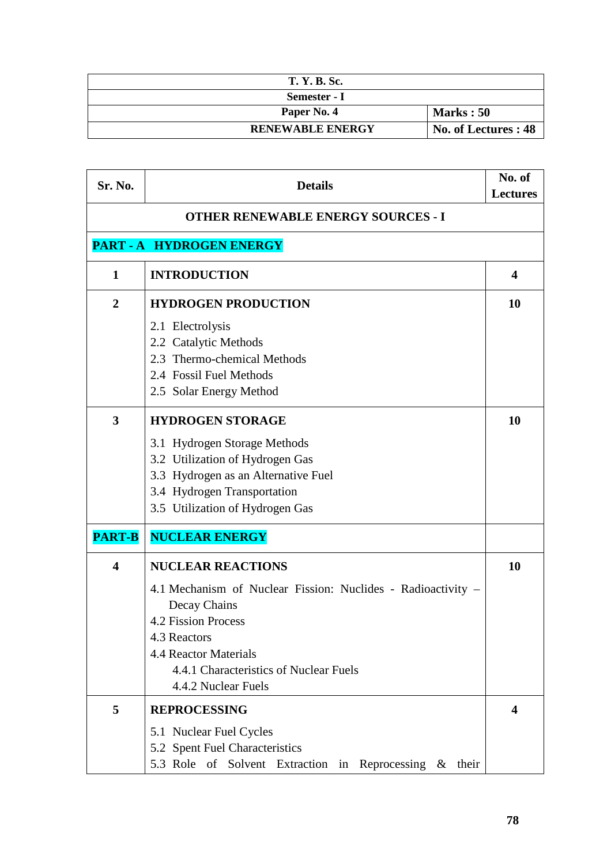| <b>T. Y. B. Sc.</b>     |                      |
|-------------------------|----------------------|
| Semester - I            |                      |
| Paper No. 4             | <b>Marks</b> : 50    |
| <b>RENEWABLE ENERGY</b> | No. of Lectures : 48 |

| Sr. No.                 | <b>Details</b>                                                 | No. of<br><b>Lectures</b> |
|-------------------------|----------------------------------------------------------------|---------------------------|
|                         | <b>OTHER RENEWABLE ENERGY SOURCES - I</b>                      |                           |
|                         | PART - A HYDROGEN ENERGY                                       |                           |
| $\mathbf{1}$            | <b>INTRODUCTION</b>                                            | 4                         |
| $\overline{2}$          | <b>HYDROGEN PRODUCTION</b>                                     | 10                        |
|                         | 2.1 Electrolysis                                               |                           |
|                         | 2.2 Catalytic Methods<br>2.3 Thermo-chemical Methods           |                           |
|                         | 2.4 Fossil Fuel Methods                                        |                           |
|                         | 2.5 Solar Energy Method                                        |                           |
| 3                       | <b>HYDROGEN STORAGE</b>                                        | 10                        |
|                         | 3.1 Hydrogen Storage Methods                                   |                           |
|                         | 3.2 Utilization of Hydrogen Gas                                |                           |
|                         | 3.3 Hydrogen as an Alternative Fuel                            |                           |
|                         | 3.4 Hydrogen Transportation<br>3.5 Utilization of Hydrogen Gas |                           |
|                         |                                                                |                           |
| <b>PART-B</b>           | <b>NUCLEAR ENERGY</b>                                          |                           |
| $\overline{\mathbf{4}}$ | <b>NUCLEAR REACTIONS</b>                                       | 10                        |
|                         | 4.1 Mechanism of Nuclear Fission: Nuclides - Radioactivity –   |                           |
|                         | Decay Chains                                                   |                           |
|                         | 4.2 Fission Process<br>4.3 Reactors                            |                           |
|                         | <b>4.4 Reactor Materials</b>                                   |                           |
|                         | 4.4.1 Characteristics of Nuclear Fuels                         |                           |
|                         | 4.4.2 Nuclear Fuels                                            |                           |
| 5                       | <b>REPROCESSING</b>                                            | 4                         |
|                         | 5.1 Nuclear Fuel Cycles                                        |                           |
|                         | 5.2 Spent Fuel Characteristics                                 |                           |
|                         | 5.3 Role of Solvent Extraction in Reprocessing &<br>their      |                           |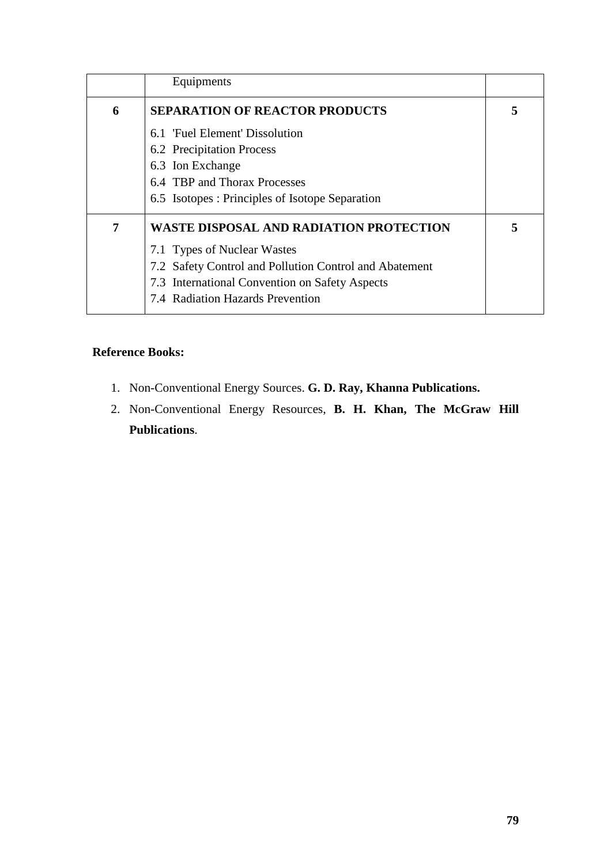|   | Equipments                                             |   |
|---|--------------------------------------------------------|---|
| 6 | <b>SEPARATION OF REACTOR PRODUCTS</b>                  | 5 |
|   | 6.1 'Fuel Element' Dissolution                         |   |
|   | 6.2 Precipitation Process                              |   |
|   | 6.3 Ion Exchange                                       |   |
|   | 6.4 TBP and Thorax Processes                           |   |
|   | 6.5 Isotopes : Principles of Isotope Separation        |   |
| 7 | WASTE DISPOSAL AND RADIATION PROTECTION                | 5 |
|   | 7.1 Types of Nuclear Wastes                            |   |
|   | 7.2 Safety Control and Pollution Control and Abatement |   |
|   | 7.3 International Convention on Safety Aspects         |   |
|   | 7.4 Radiation Hazards Prevention                       |   |

# **Reference Books:**

- 1. Non-Conventional Energy Sources. **G. D. Ray, Khanna Publications.**
- 2. Non-Conventional Energy Resources, **B. H. Khan, The McGraw Hill Publications**.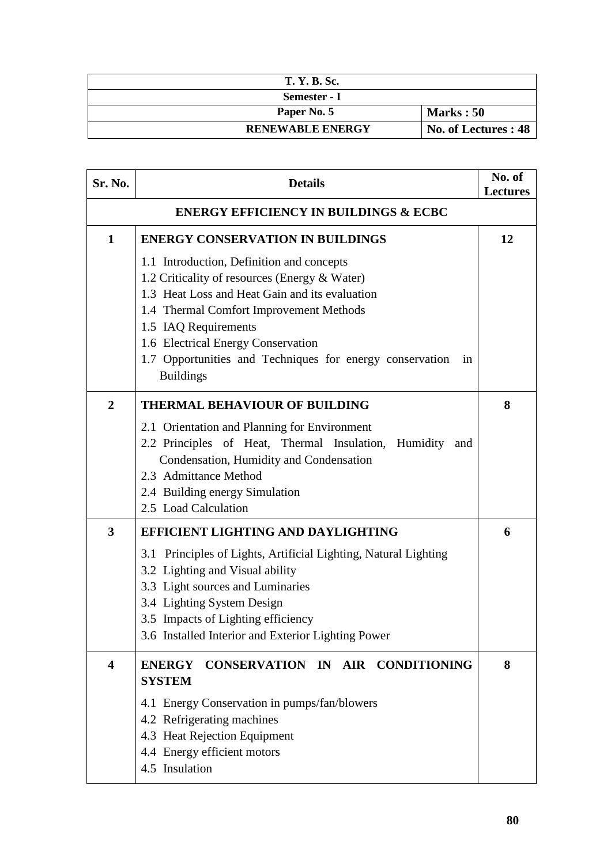| <b>T. Y. B. Sc.</b>     |                      |
|-------------------------|----------------------|
| Semester - I            |                      |
| Paper No. 5             | Marks: 50            |
| <b>RENEWABLE ENERGY</b> | No. of Lectures : 48 |

| Sr. No.                                          | <b>Details</b>                                                                                  | No. of<br><b>Lectures</b> |
|--------------------------------------------------|-------------------------------------------------------------------------------------------------|---------------------------|
| <b>ENERGY EFFICIENCY IN BUILDINGS &amp; ECBC</b> |                                                                                                 |                           |
| $\mathbf{1}$                                     | <b>ENERGY CONSERVATION IN BUILDINGS</b>                                                         | 12                        |
|                                                  | 1.1 Introduction, Definition and concepts                                                       |                           |
|                                                  | 1.2 Criticality of resources (Energy & Water)<br>1.3 Heat Loss and Heat Gain and its evaluation |                           |
|                                                  | 1.4 Thermal Comfort Improvement Methods                                                         |                           |
|                                                  | 1.5 IAQ Requirements                                                                            |                           |
|                                                  | 1.6 Electrical Energy Conservation                                                              |                           |
|                                                  | 1.7 Opportunities and Techniques for energy conservation<br>1n<br><b>Buildings</b>              |                           |
| $\overline{2}$                                   | <b>THERMAL BEHAVIOUR OF BUILDING</b>                                                            | 8                         |
|                                                  | 2.1 Orientation and Planning for Environment                                                    |                           |
|                                                  | 2.2 Principles of Heat, Thermal Insulation, Humidity<br>and                                     |                           |
|                                                  | Condensation, Humidity and Condensation<br>2.3 Admittance Method                                |                           |
|                                                  | 2.4 Building energy Simulation                                                                  |                           |
|                                                  | 2.5 Load Calculation                                                                            |                           |
| 3                                                | <b>EFFICIENT LIGHTING AND DAYLIGHTING</b>                                                       | 6                         |
|                                                  | 3.1 Principles of Lights, Artificial Lighting, Natural Lighting                                 |                           |
|                                                  | 3.2 Lighting and Visual ability                                                                 |                           |
|                                                  | 3.3 Light sources and Luminaries<br>3.4 Lighting System Design                                  |                           |
|                                                  | 3.5 Impacts of Lighting efficiency                                                              |                           |
|                                                  | 3.6 Installed Interior and Exterior Lighting Power                                              |                           |
| $\overline{\mathbf{4}}$                          | <b>ENERGY</b><br>CONSERVATION IN AIR CONDITIONING                                               | 8                         |
|                                                  | <b>SYSTEM</b>                                                                                   |                           |
|                                                  | 4.1 Energy Conservation in pumps/fan/blowers                                                    |                           |
|                                                  | 4.2 Refrigerating machines<br>4.3 Heat Rejection Equipment                                      |                           |
|                                                  | 4.4 Energy efficient motors                                                                     |                           |
|                                                  | 4.5 Insulation                                                                                  |                           |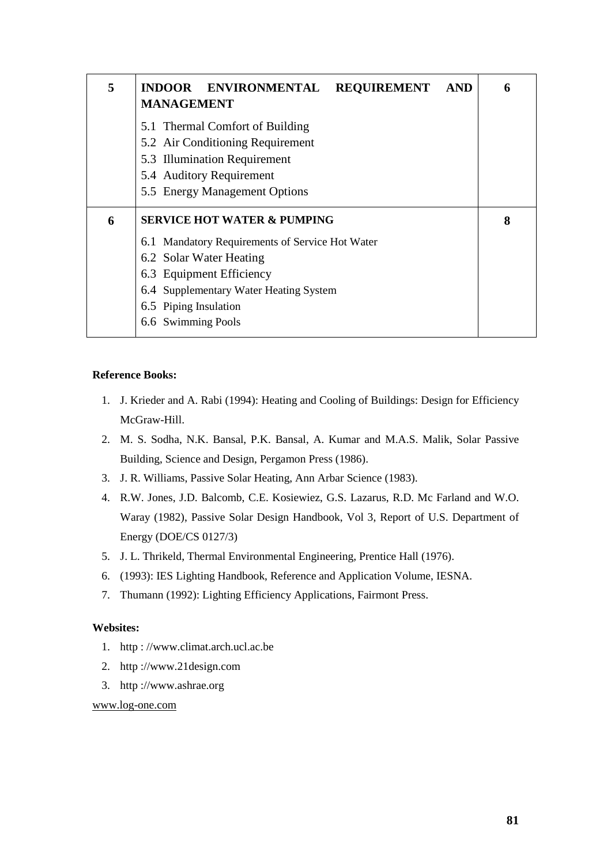| 5 | INDOOR ENVIRONMENTAL REQUIREMENT<br><b>AND</b><br><b>MANAGEMENT</b>                                                                                              | 6 |
|---|------------------------------------------------------------------------------------------------------------------------------------------------------------------|---|
|   | 5.1 Thermal Comfort of Building<br>5.2 Air Conditioning Requirement<br>5.3 Illumination Requirement<br>5.4 Auditory Requirement<br>5.5 Energy Management Options |   |
| 6 | <b>SERVICE HOT WATER &amp; PUMPING</b>                                                                                                                           | 8 |
|   | 6.1 Mandatory Requirements of Service Hot Water                                                                                                                  |   |
|   | 6.2 Solar Water Heating                                                                                                                                          |   |
|   | 6.3 Equipment Efficiency                                                                                                                                         |   |
|   | 6.4 Supplementary Water Heating System                                                                                                                           |   |
|   |                                                                                                                                                                  |   |
|   | 6.5 Piping Insulation                                                                                                                                            |   |

#### **Reference Books:**

- 1. J. Krieder and A. Rabi (1994): Heating and Cooling of Buildings: Design for Efficiency McGraw-Hill.
- 2. M. S. Sodha, N.K. Bansal, P.K. Bansal, A. Kumar and M.A.S. Malik, Solar Passive Building, Science and Design, Pergamon Press (1986).
- 3. J. R. Williams, Passive Solar Heating, Ann Arbar Science (1983).
- 4. R.W. Jones, J.D. Balcomb, C.E. Kosiewiez, G.S. Lazarus, R.D. Mc Farland and W.O. Waray (1982), Passive Solar Design Handbook, Vol 3, Report of U.S. Department of Energy (DOE/CS 0127/3)
- 5. J. L. Thrikeld, Thermal Environmental Engineering, Prentice Hall (1976).
- 6. (1993): IES Lighting Handbook, Reference and Application Volume, IESNA.
- 7. Thumann (1992): Lighting Efficiency Applications, Fairmont Press.

#### **Websites:**

- 1. http : //www.climat.arch.ucl.ac.be
- 2. http ://www.21design.com
- 3. http ://www.ashrae.org

www.log-one.com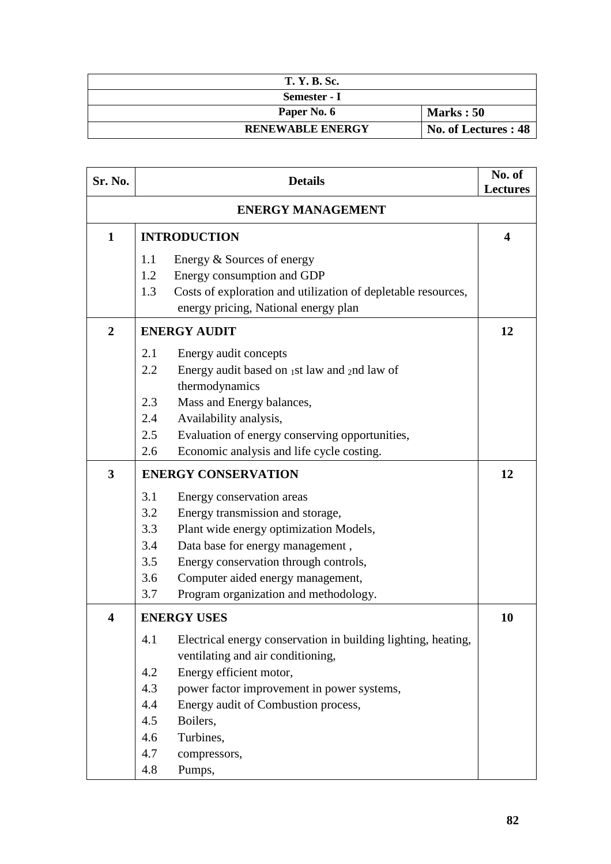| <b>T. Y. B. Sc.</b>     |                      |
|-------------------------|----------------------|
| Semester - I            |                      |
| Paper No. 6             | <b>Marks</b> : 50    |
| <b>RENEWABLE ENERGY</b> | No. of Lectures : 48 |

| Sr. No.                 | <b>Details</b>                                                                                                                                                                                                                                                                                                      | No. of<br><b>Lectures</b> |  |
|-------------------------|---------------------------------------------------------------------------------------------------------------------------------------------------------------------------------------------------------------------------------------------------------------------------------------------------------------------|---------------------------|--|
|                         | <b>ENERGY MANAGEMENT</b>                                                                                                                                                                                                                                                                                            |                           |  |
| $\mathbf{1}$            | <b>INTRODUCTION</b>                                                                                                                                                                                                                                                                                                 | 4                         |  |
|                         | Energy & Sources of energy<br>1.1<br>1.2<br>Energy consumption and GDP<br>1.3<br>Costs of exploration and utilization of depletable resources,<br>energy pricing, National energy plan                                                                                                                              |                           |  |
| $\overline{2}$          | <b>ENERGY AUDIT</b>                                                                                                                                                                                                                                                                                                 | 12                        |  |
|                         | 2.1<br>Energy audit concepts<br>2.2<br>Energy audit based on $_1$ st law and $_2$ nd law of<br>thermodynamics                                                                                                                                                                                                       |                           |  |
|                         | 2.3<br>Mass and Energy balances,<br>2.4<br>Availability analysis,                                                                                                                                                                                                                                                   |                           |  |
|                         | 2.5<br>Evaluation of energy conserving opportunities,<br>Economic analysis and life cycle costing.<br>2.6                                                                                                                                                                                                           |                           |  |
| $\overline{\mathbf{3}}$ | <b>ENERGY CONSERVATION</b>                                                                                                                                                                                                                                                                                          | 12                        |  |
|                         | 3.1<br>Energy conservation areas<br>3.2<br>Energy transmission and storage,<br>3.3<br>Plant wide energy optimization Models,<br>3.4<br>Data base for energy management,<br>3.5<br>Energy conservation through controls,<br>3.6<br>Computer aided energy management,<br>3.7<br>Program organization and methodology. |                           |  |
| 4                       | <b>ENERGY USES</b>                                                                                                                                                                                                                                                                                                  | 10                        |  |
|                         | Electrical energy conservation in building lighting, heating,<br>4.1<br>ventilating and air conditioning,<br>Energy efficient motor,<br>4.2<br>4.3<br>power factor improvement in power systems,                                                                                                                    |                           |  |
|                         | 4.4<br>Energy audit of Combustion process,                                                                                                                                                                                                                                                                          |                           |  |
|                         | 4.5<br>Boilers,                                                                                                                                                                                                                                                                                                     |                           |  |
|                         | Turbines,<br>4.6<br>4.7                                                                                                                                                                                                                                                                                             |                           |  |
|                         | compressors,<br>4.8<br>Pumps,                                                                                                                                                                                                                                                                                       |                           |  |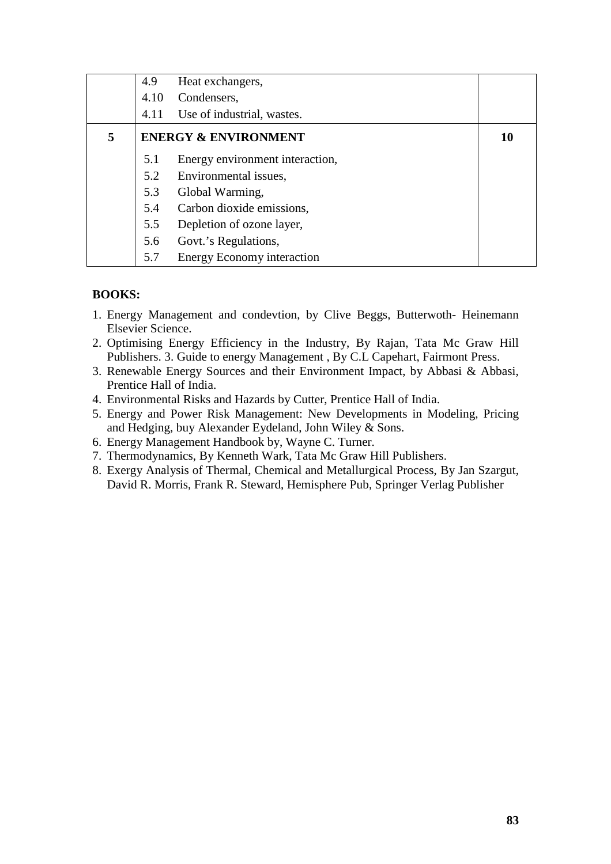|   | 4.9  | Heat exchangers,                |    |
|---|------|---------------------------------|----|
|   | 4.10 | Condensers,                     |    |
|   | 4.11 | Use of industrial, wastes.      |    |
| 5 |      | <b>ENERGY &amp; ENVIRONMENT</b> | 10 |
|   | 5.1  | Energy environment interaction, |    |
|   | 5.2  | Environmental issues,           |    |
|   | 5.3  | Global Warming,                 |    |
|   | 5.4  | Carbon dioxide emissions,       |    |
|   | 5.5  | Depletion of ozone layer,       |    |
|   | 5.6  | Govt.'s Regulations,            |    |
|   | 5.7  | Energy Economy interaction      |    |

# **BOOKS:**

- 1. Energy Management and condevtion, by Clive Beggs, Butterwoth- Heinemann Elsevier Science.
- 2. Optimising Energy Efficiency in the Industry, By Rajan, Tata Mc Graw Hill Publishers. 3. Guide to energy Management , By C.L Capehart, Fairmont Press.
- 3. Renewable Energy Sources and their Environment Impact, by Abbasi & Abbasi, Prentice Hall of India.
- 4. Environmental Risks and Hazards by Cutter, Prentice Hall of India.
- 5. Energy and Power Risk Management: New Developments in Modeling, Pricing and Hedging, buy Alexander Eydeland, John Wiley & Sons.
- 6. Energy Management Handbook by, Wayne C. Turner.
- 7. Thermodynamics, By Kenneth Wark, Tata Mc Graw Hill Publishers.
- 8. Exergy Analysis of Thermal, Chemical and Metallurgical Process, By Jan Szargut, David R. Morris, Frank R. Steward, Hemisphere Pub, Springer Verlag Publisher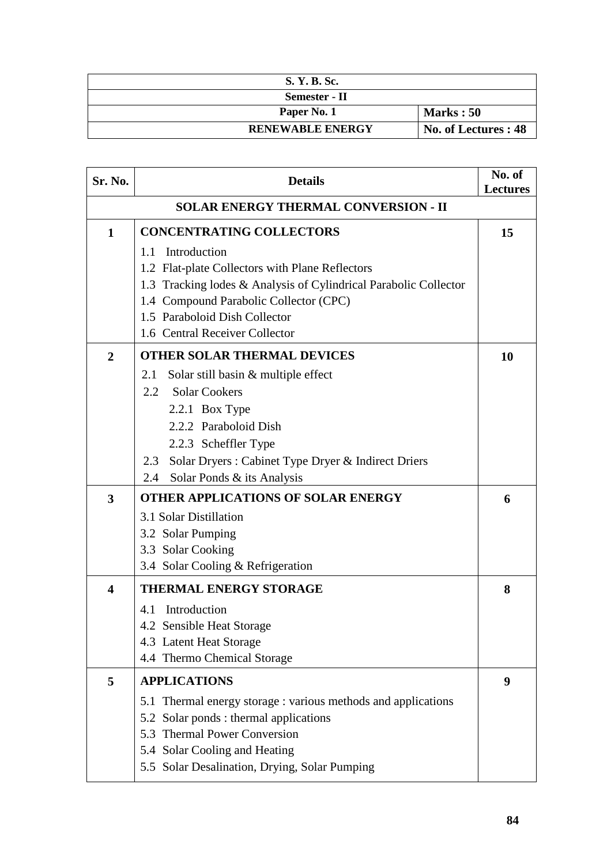| S. Y. B. Sc.            |                      |
|-------------------------|----------------------|
| Semester - II           |                      |
| Paper No. 1             | Marks: 50            |
| <b>RENEWABLE ENERGY</b> | No. of Lectures : 48 |

| Sr. No.                 | <b>Details</b>                                                   | No. of<br><b>Lectures</b> |  |
|-------------------------|------------------------------------------------------------------|---------------------------|--|
|                         | <b>SOLAR ENERGY THERMAL CONVERSION - II</b>                      |                           |  |
| $\mathbf{1}$            | <b>CONCENTRATING COLLECTORS</b>                                  | 15                        |  |
|                         | Introduction<br>1.1                                              |                           |  |
|                         | 1.2 Flat-plate Collectors with Plane Reflectors                  |                           |  |
|                         | 1.3 Tracking lodes & Analysis of Cylindrical Parabolic Collector |                           |  |
|                         | 1.4 Compound Parabolic Collector (CPC)                           |                           |  |
|                         | 1.5 Paraboloid Dish Collector                                    |                           |  |
|                         | 1.6 Central Receiver Collector                                   |                           |  |
| $\overline{2}$          | <b>OTHER SOLAR THERMAL DEVICES</b>                               | 10                        |  |
|                         | Solar still basin & multiple effect<br>2.1                       |                           |  |
|                         | <b>Solar Cookers</b><br>2.2                                      |                           |  |
|                         | 2.2.1 Box Type                                                   |                           |  |
|                         | 2.2.2 Paraboloid Dish                                            |                           |  |
|                         | 2.2.3 Scheffler Type                                             |                           |  |
|                         | Solar Dryers : Cabinet Type Dryer & Indirect Driers<br>2.3       |                           |  |
|                         | Solar Ponds & its Analysis<br>2.4                                |                           |  |
| 3                       | <b>OTHER APPLICATIONS OF SOLAR ENERGY</b>                        | 6                         |  |
|                         | 3.1 Solar Distillation                                           |                           |  |
|                         | 3.2 Solar Pumping                                                |                           |  |
|                         | 3.3 Solar Cooking                                                |                           |  |
|                         | 3.4 Solar Cooling & Refrigeration                                |                           |  |
| $\overline{\mathbf{4}}$ | <b>THERMAL ENERGY STORAGE</b>                                    | 8                         |  |
|                         | Introduction<br>4.1                                              |                           |  |
|                         | 4.2 Sensible Heat Storage                                        |                           |  |
|                         | 4.3 Latent Heat Storage                                          |                           |  |
|                         | 4.4 Thermo Chemical Storage                                      |                           |  |
| 5                       | <b>APPLICATIONS</b>                                              | 9                         |  |
|                         | 5.1 Thermal energy storage : various methods and applications    |                           |  |
|                         | 5.2 Solar ponds : thermal applications                           |                           |  |
|                         | 5.3 Thermal Power Conversion                                     |                           |  |
|                         | 5.4 Solar Cooling and Heating                                    |                           |  |
|                         | 5.5 Solar Desalination, Drying, Solar Pumping                    |                           |  |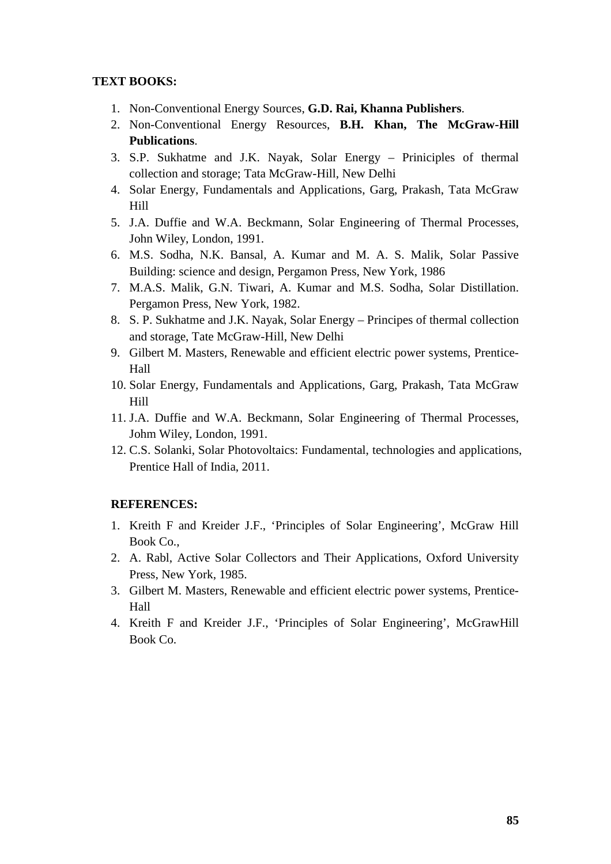### **TEXT BOOKS:**

- 1. Non-Conventional Energy Sources, **G.D. Rai, Khanna Publishers**.
- 2. Non-Conventional Energy Resources, **B.H. Khan, The McGraw-Hill Publications**.
- 3. S.P. Sukhatme and J.K. Nayak, Solar Energy Priniciples of thermal collection and storage; Tata McGraw-Hill, New Delhi
- 4. Solar Energy, Fundamentals and Applications, Garg, Prakash, Tata McGraw Hill
- 5. J.A. Duffie and W.A. Beckmann, Solar Engineering of Thermal Processes, John Wiley, London, 1991.
- 6. M.S. Sodha, N.K. Bansal, A. Kumar and M. A. S. Malik, Solar Passive Building: science and design, Pergamon Press, New York, 1986
- 7. M.A.S. Malik, G.N. Tiwari, A. Kumar and M.S. Sodha, Solar Distillation. Pergamon Press, New York, 1982.
- 8. S. P. Sukhatme and J.K. Nayak, Solar Energy Principes of thermal collection and storage, Tate McGraw-Hill, New Delhi
- 9. Gilbert M. Masters, Renewable and efficient electric power systems, Prentice-Hall
- 10. Solar Energy, Fundamentals and Applications, Garg, Prakash, Tata McGraw Hill
- 11. J.A. Duffie and W.A. Beckmann, Solar Engineering of Thermal Processes, Johm Wiley, London, 1991.
- 12. C.S. Solanki, Solar Photovoltaics: Fundamental, technologies and applications, Prentice Hall of India, 2011.

#### **REFERENCES:**

- 1. Kreith F and Kreider J.F., 'Principles of Solar Engineering', McGraw Hill Book Co.,
- 2. A. Rabl, Active Solar Collectors and Their Applications, Oxford University Press, New York, 1985.
- 3. Gilbert M. Masters, Renewable and efficient electric power systems, Prentice-Hall
- 4. Kreith F and Kreider J.F., 'Principles of Solar Engineering', McGrawHill Book Co.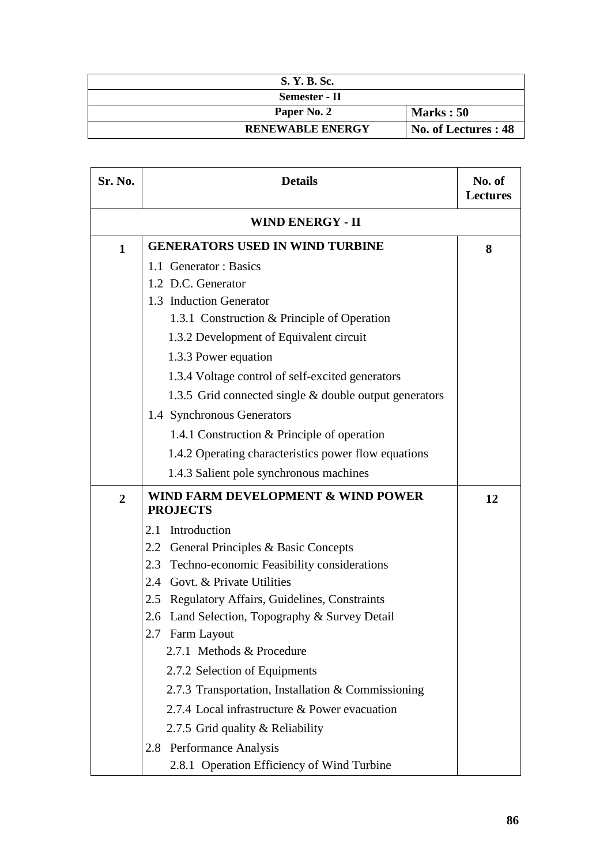| S. Y. B. Sc.            |                      |
|-------------------------|----------------------|
| Semester - II           |                      |
| Paper No. 2             | Marks: 50            |
| <b>RENEWABLE ENERGY</b> | No. of Lectures : 48 |

| Sr. No.                 | <b>Details</b>                                            | No. of<br><b>Lectures</b> |
|-------------------------|-----------------------------------------------------------|---------------------------|
| <b>WIND ENERGY - II</b> |                                                           |                           |
| $\mathbf{1}$            | <b>GENERATORS USED IN WIND TURBINE</b>                    | 8                         |
|                         | 1.1 Generator: Basics                                     |                           |
|                         | 1.2 D.C. Generator                                        |                           |
|                         | 1.3 Induction Generator                                   |                           |
|                         | 1.3.1 Construction & Principle of Operation               |                           |
|                         | 1.3.2 Development of Equivalent circuit                   |                           |
|                         | 1.3.3 Power equation                                      |                           |
|                         | 1.3.4 Voltage control of self-excited generators          |                           |
|                         | 1.3.5 Grid connected single & double output generators    |                           |
|                         | 1.4 Synchronous Generators                                |                           |
|                         | 1.4.1 Construction & Principle of operation               |                           |
|                         | 1.4.2 Operating characteristics power flow equations      |                           |
|                         | 1.4.3 Salient pole synchronous machines                   |                           |
| $\overline{2}$          | WIND FARM DEVELOPMENT & WIND POWER<br><b>PROJECTS</b>     | 12                        |
|                         | Introduction<br>2.1                                       |                           |
|                         | 2.2<br>General Principles & Basic Concepts                |                           |
|                         | 2.3<br>Techno-economic Feasibility considerations         |                           |
|                         | 2.4 Govt. & Private Utilities                             |                           |
|                         | <b>Regulatory Affairs, Guidelines, Constraints</b><br>2.5 |                           |
|                         | 2.6 Land Selection, Topography & Survey Detail            |                           |
|                         | 2.7 Farm Layout                                           |                           |
|                         | 2.7.1 Methods & Procedure                                 |                           |
|                         | 2.7.2 Selection of Equipments                             |                           |
|                         | 2.7.3 Transportation, Installation & Commissioning        |                           |
|                         | 2.7.4 Local infrastructure & Power evacuation             |                           |
|                         | 2.7.5 Grid quality & Reliability                          |                           |
|                         | 2.8 Performance Analysis                                  |                           |
|                         | 2.8.1 Operation Efficiency of Wind Turbine                |                           |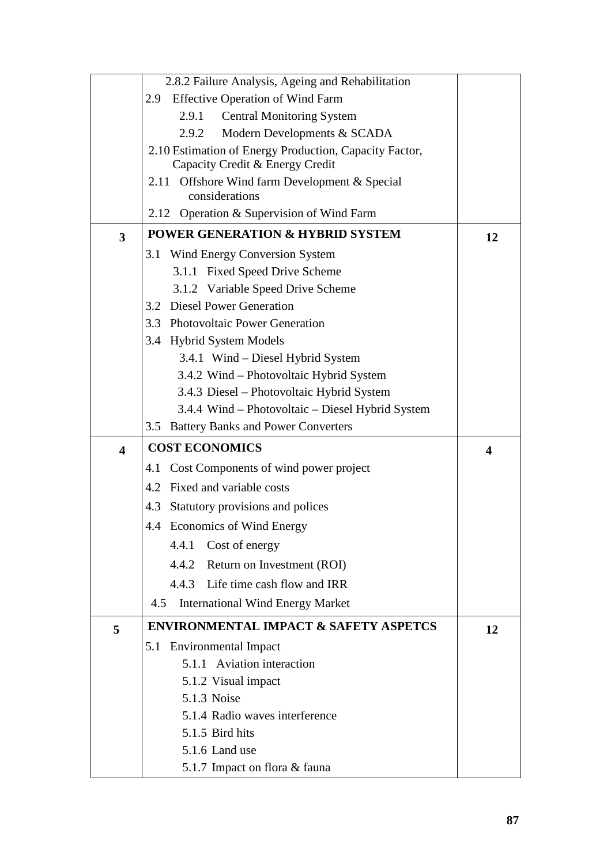|                         | 2.8.2 Failure Analysis, Ageing and Rehabilitation               |    |
|-------------------------|-----------------------------------------------------------------|----|
|                         | <b>Effective Operation of Wind Farm</b><br>2.9                  |    |
|                         | <b>Central Monitoring System</b><br>2.9.1                       |    |
|                         | Modern Developments & SCADA<br>2.9.2                            |    |
|                         | 2.10 Estimation of Energy Production, Capacity Factor,          |    |
|                         | Capacity Credit & Energy Credit                                 |    |
|                         | 2.11 Offshore Wind farm Development & Special<br>considerations |    |
|                         | 2.12 Operation & Supervision of Wind Farm                       |    |
| 3                       | <b>POWER GENERATION &amp; HYBRID SYSTEM</b>                     | 12 |
|                         | 3.1 Wind Energy Conversion System                               |    |
|                         | 3.1.1 Fixed Speed Drive Scheme                                  |    |
|                         | 3.1.2 Variable Speed Drive Scheme                               |    |
|                         | 3.2 Diesel Power Generation                                     |    |
|                         | 3.3 Photovoltaic Power Generation                               |    |
|                         | 3.4 Hybrid System Models                                        |    |
|                         | 3.4.1 Wind – Diesel Hybrid System                               |    |
|                         | 3.4.2 Wind - Photovoltaic Hybrid System                         |    |
|                         | 3.4.3 Diesel - Photovoltaic Hybrid System                       |    |
|                         | 3.4.4 Wind – Photovoltaic – Diesel Hybrid System                |    |
|                         | 3.5 Battery Banks and Power Converters                          |    |
| $\overline{\mathbf{4}}$ | <b>COST ECONOMICS</b>                                           | 4  |
|                         | Cost Components of wind power project<br>4.1                    |    |
|                         | 4.2 Fixed and variable costs                                    |    |
|                         | Statutory provisions and polices<br>4.3                         |    |
|                         | 4.4 Economics of Wind Energy                                    |    |
|                         | 4.4.1 Cost of energy                                            |    |
|                         | 4.4.2 Return on Investment (ROI)                                |    |
|                         | 4.4.3 Life time cash flow and IRR                               |    |
|                         | 4.5<br><b>International Wind Energy Market</b>                  |    |
| 5                       | <b>ENVIRONMENTAL IMPACT &amp; SAFETY ASPETCS</b>                | 12 |
|                         | 5.1 Environmental Impact                                        |    |
|                         | 5.1.1 Aviation interaction                                      |    |
|                         | 5.1.2 Visual impact                                             |    |
|                         | 5.1.3 Noise                                                     |    |
|                         | 5.1.4 Radio waves interference                                  |    |
|                         | 5.1.5 Bird hits                                                 |    |
|                         | 5.1.6 Land use                                                  |    |
|                         | 5.1.7 Impact on flora & fauna                                   |    |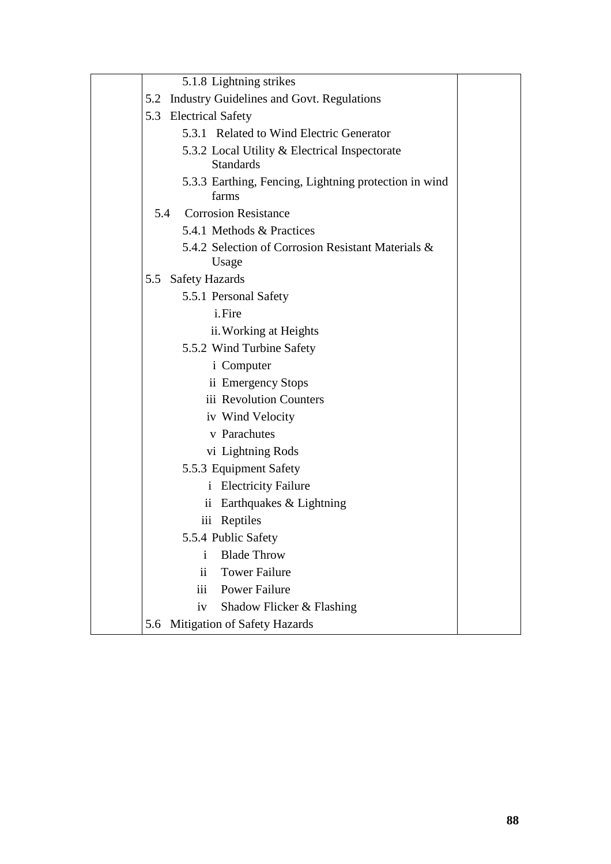|     | 5.1.8 Lightning strikes                                           |
|-----|-------------------------------------------------------------------|
|     | 5.2 Industry Guidelines and Govt. Regulations                     |
|     | 5.3 Electrical Safety                                             |
|     | 5.3.1 Related to Wind Electric Generator                          |
|     | 5.3.2 Local Utility & Electrical Inspectorate<br><b>Standards</b> |
|     | 5.3.3 Earthing, Fencing, Lightning protection in wind<br>farms    |
|     | 5.4 Corrosion Resistance                                          |
|     | 5.4.1 Methods & Practices                                         |
|     | 5.4.2 Selection of Corrosion Resistant Materials &<br>Usage       |
| 5.5 | <b>Safety Hazards</b>                                             |
|     | 5.5.1 Personal Safety                                             |
|     | i.Fire                                                            |
|     | ii. Working at Heights                                            |
|     | 5.5.2 Wind Turbine Safety                                         |
|     | <i>i</i> Computer                                                 |
|     | ii Emergency Stops                                                |
|     | iii Revolution Counters                                           |
|     | iv Wind Velocity                                                  |
|     | v Parachutes                                                      |
|     | vi Lightning Rods                                                 |
|     | 5.5.3 Equipment Safety                                            |
|     | <i>i</i> Electricity Failure                                      |
|     | Earthquakes & Lightning<br>$\mathbf{ii}$                          |
|     | iii Reptiles                                                      |
|     | 5.5.4 Public Safety                                               |
|     | <b>Blade Throw</b><br>i                                           |
|     | $\mathbf{ii}$<br><b>Tower Failure</b>                             |
|     | iii<br><b>Power Failure</b>                                       |
|     | Shadow Flicker & Flashing<br>iv                                   |
| 5.6 | Mitigation of Safety Hazards                                      |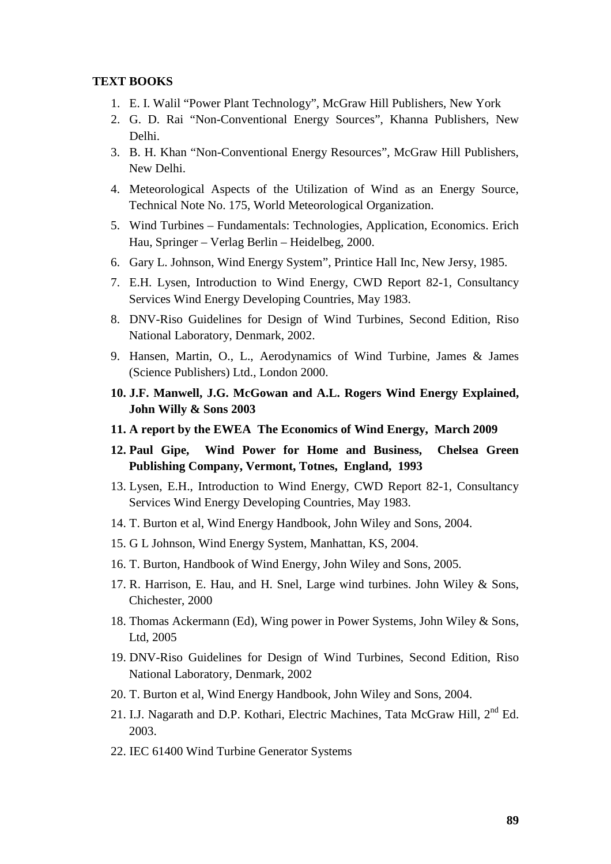#### **TEXT BOOKS**

- 1. E. I. Walil "Power Plant Technology", McGraw Hill Publishers, New York
- 2. G. D. Rai "Non-Conventional Energy Sources", Khanna Publishers, New Delhi.
- 3. B. H. Khan "Non-Conventional Energy Resources", McGraw Hill Publishers, New Delhi.
- 4. Meteorological Aspects of the Utilization of Wind as an Energy Source, Technical Note No. 175, World Meteorological Organization.
- 5. Wind Turbines Fundamentals: Technologies, Application, Economics. Erich Hau, Springer – Verlag Berlin – Heidelbeg, 2000.
- 6. Gary L. Johnson, Wind Energy System", Printice Hall Inc, New Jersy, 1985.
- 7. E.H. Lysen, Introduction to Wind Energy, CWD Report 82-1, Consultancy Services Wind Energy Developing Countries, May 1983.
- 8. DNV-Riso Guidelines for Design of Wind Turbines, Second Edition, Riso National Laboratory, Denmark, 2002.
- 9. Hansen, Martin, O., L., Aerodynamics of Wind Turbine, James & James (Science Publishers) Ltd., London 2000.
- **10. J.F. Manwell, J.G. McGowan and A.L. Rogers Wind Energy Explained, John Willy & Sons 2003**
- **11. A report by the EWEA The Economics of Wind Energy, March 2009**
- **12. Paul Gipe, Wind Power for Home and Business, Chelsea Green Publishing Company, Vermont, Totnes, England, 1993**
- 13. Lysen, E.H., Introduction to Wind Energy, CWD Report 82-1, Consultancy Services Wind Energy Developing Countries, May 1983.
- 14. T. Burton et al, Wind Energy Handbook, John Wiley and Sons, 2004.
- 15. G L Johnson, Wind Energy System, Manhattan, KS, 2004.
- 16. T. Burton, Handbook of Wind Energy, John Wiley and Sons, 2005.
- 17. R. Harrison, E. Hau, and H. Snel, Large wind turbines. John Wiley & Sons, Chichester, 2000
- 18. Thomas Ackermann (Ed), Wing power in Power Systems, John Wiley & Sons, Ltd, 2005
- 19. DNV-Riso Guidelines for Design of Wind Turbines, Second Edition, Riso National Laboratory, Denmark, 2002
- 20. T. Burton et al, Wind Energy Handbook, John Wiley and Sons, 2004.
- 21. I.J. Nagarath and D.P. Kothari, Electric Machines, Tata McGraw Hill, 2<sup>nd</sup> Ed. 2003.
- 22. IEC 61400 Wind Turbine Generator Systems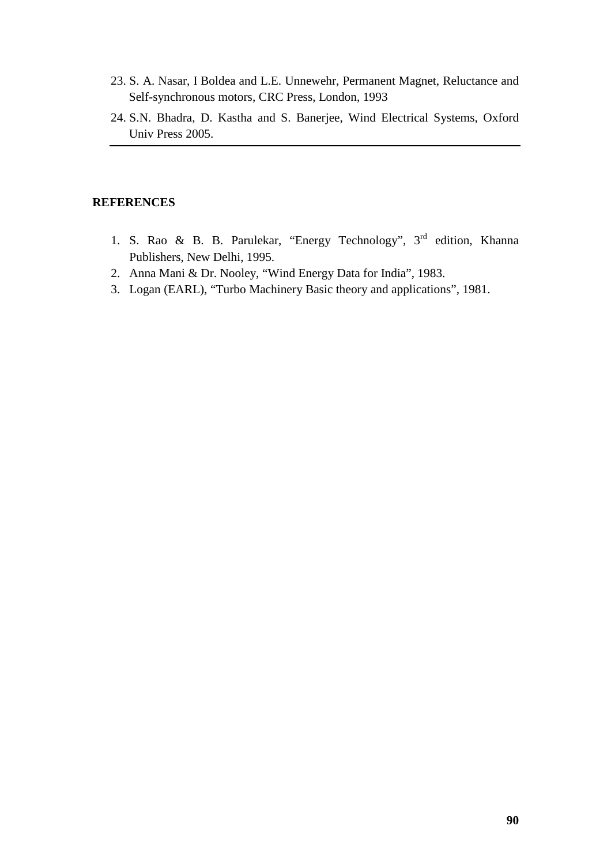- 23. S. A. Nasar, I Boldea and L.E. Unnewehr, Permanent Magnet, Reluctance and Self-synchronous motors, CRC Press, London, 1993
- 24. S.N. Bhadra, D. Kastha and S. Banerjee, Wind Electrical Systems, Oxford Univ Press 2005.

#### **REFERENCES**

- 1. S. Rao & B. B. Parulekar, "Energy Technology", 3<sup>rd</sup> edition, Khanna Publishers, New Delhi, 1995.
- 2. Anna Mani & Dr. Nooley, "Wind Energy Data for India", 1983.
- 3. Logan (EARL), "Turbo Machinery Basic theory and applications", 1981.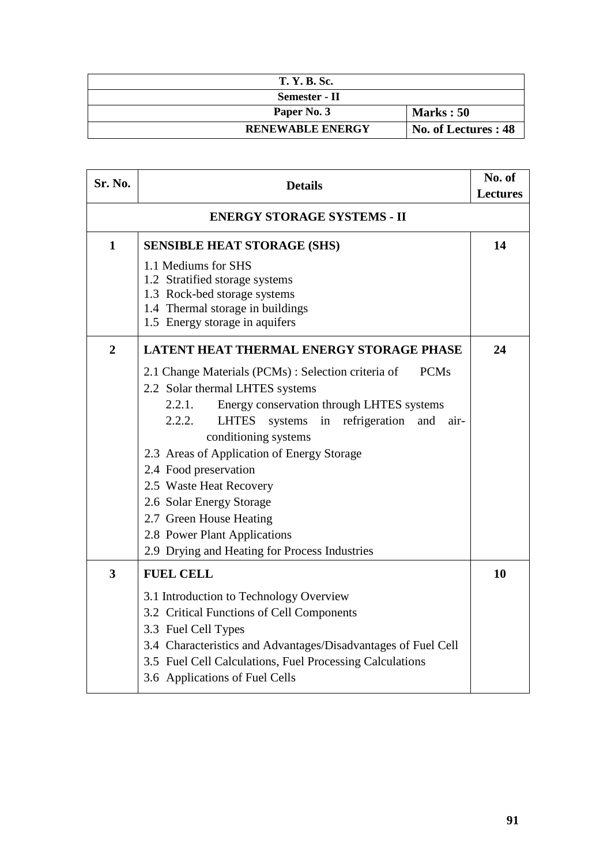| <b>T. Y. B. Sc.</b>     |                      |
|-------------------------|----------------------|
| Semester - II           |                      |
| Paper No. 3             | Marks: 50            |
| <b>RENEWABLE ENERGY</b> | No. of Lectures : 48 |

| Sr. No.                            | <b>Details</b>                                                       |    |
|------------------------------------|----------------------------------------------------------------------|----|
| <b>ENERGY STORAGE SYSTEMS - II</b> |                                                                      |    |
| $\mathbf{1}$                       | <b>SENSIBLE HEAT STORAGE (SHS)</b>                                   | 14 |
|                                    | 1.1 Mediums for SHS<br>1.2 Stratified storage systems                |    |
|                                    | 1.3 Rock-bed storage systems                                         |    |
|                                    | 1.4 Thermal storage in buildings<br>1.5 Energy storage in aquifers   |    |
|                                    |                                                                      |    |
| $\overline{2}$                     | <b>LATENT HEAT THERMAL ENERGY STORAGE PHASE</b>                      | 24 |
|                                    | 2.1 Change Materials (PCMs): Selection criteria of<br><b>PCMs</b>    |    |
|                                    | 2.2 Solar thermal LHTES systems                                      |    |
|                                    | 2.2.1.<br>Energy conservation through LHTES systems                  |    |
|                                    | 2.2.2.<br><b>LHTES</b><br>in refrigeration<br>systems<br>and<br>air- |    |
|                                    | conditioning systems                                                 |    |
|                                    | 2.3 Areas of Application of Energy Storage<br>2.4 Food preservation  |    |
|                                    | 2.5 Waste Heat Recovery                                              |    |
|                                    | 2.6 Solar Energy Storage                                             |    |
|                                    | 2.7 Green House Heating                                              |    |
|                                    | 2.8 Power Plant Applications                                         |    |
|                                    | 2.9 Drying and Heating for Process Industries                        |    |
| 3                                  | <b>FUEL CELL</b>                                                     | 10 |
|                                    | 3.1 Introduction to Technology Overview                              |    |
|                                    | 3.2 Critical Functions of Cell Components                            |    |
|                                    | 3.3 Fuel Cell Types                                                  |    |
|                                    | 3.4 Characteristics and Advantages/Disadvantages of Fuel Cell        |    |
|                                    | 3.5 Fuel Cell Calculations, Fuel Processing Calculations             |    |
|                                    | 3.6 Applications of Fuel Cells                                       |    |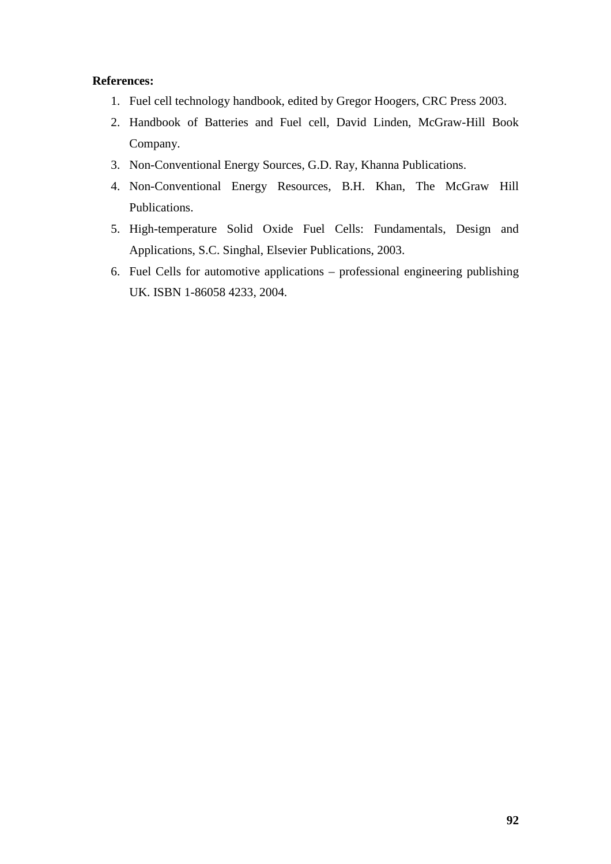### **References:**

- 1. Fuel cell technology handbook, edited by Gregor Hoogers, CRC Press 2003.
- 2. Handbook of Batteries and Fuel cell, David Linden, McGraw-Hill Book Company.
- 3. Non-Conventional Energy Sources, G.D. Ray, Khanna Publications.
- 4. Non-Conventional Energy Resources, B.H. Khan, The McGraw Hill Publications.
- 5. High-temperature Solid Oxide Fuel Cells: Fundamentals, Design and Applications, S.C. Singhal, Elsevier Publications, 2003.
- 6. Fuel Cells for automotive applications professional engineering publishing UK. ISBN 1-86058 4233, 2004.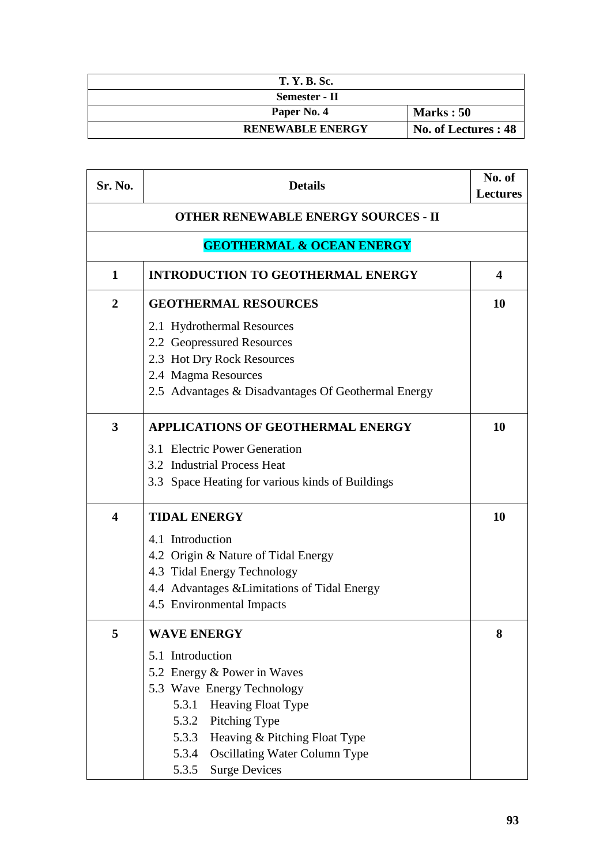| <b>T. Y. B. Sc.</b>     |                      |
|-------------------------|----------------------|
| Semester - II           |                      |
| Paper No. 4             | Marks: 50            |
| <b>RENEWABLE ENERGY</b> | No. of Lectures : 48 |

| Sr. No.                 | <b>Details</b>                                      | No. of<br><b>Lectures</b> |
|-------------------------|-----------------------------------------------------|---------------------------|
|                         | <b>OTHER RENEWABLE ENERGY SOURCES - II</b>          |                           |
|                         | <b>GEOTHERMAL &amp; OCEAN ENERGY</b>                |                           |
| 1                       | <b>INTRODUCTION TO GEOTHERMAL ENERGY</b>            | $\boldsymbol{4}$          |
| $\overline{2}$          | <b>GEOTHERMAL RESOURCES</b>                         | <b>10</b>                 |
|                         | 2.1 Hydrothermal Resources                          |                           |
|                         | 2.2 Geopressured Resources                          |                           |
|                         | 2.3 Hot Dry Rock Resources                          |                           |
|                         | 2.4 Magma Resources                                 |                           |
|                         | 2.5 Advantages & Disadvantages Of Geothermal Energy |                           |
| $\overline{\mathbf{3}}$ | <b>APPLICATIONS OF GEOTHERMAL ENERGY</b>            | 10                        |
|                         | 3.1 Electric Power Generation                       |                           |
|                         | 3.2 Industrial Process Heat                         |                           |
|                         | 3.3 Space Heating for various kinds of Buildings    |                           |
| $\overline{\mathbf{4}}$ | <b>TIDAL ENERGY</b>                                 | <b>10</b>                 |
|                         | 4.1 Introduction                                    |                           |
|                         | 4.2 Origin & Nature of Tidal Energy                 |                           |
|                         | 4.3 Tidal Energy Technology                         |                           |
|                         | 4.4 Advantages & Limitations of Tidal Energy        |                           |
|                         | 4.5 Environmental Impacts                           |                           |
| 5                       | <b>WAVE ENERGY</b>                                  | 8                         |
|                         | 5.1 Introduction                                    |                           |
|                         | 5.2 Energy & Power in Waves                         |                           |
|                         | 5.3 Wave Energy Technology                          |                           |
|                         | Heaving Float Type<br>5.3.1                         |                           |
|                         | Pitching Type<br>5.3.2                              |                           |
|                         | Heaving & Pitching Float Type<br>5.3.3              |                           |
|                         | <b>Oscillating Water Column Type</b><br>5.3.4       |                           |
|                         | <b>Surge Devices</b><br>5.3.5                       |                           |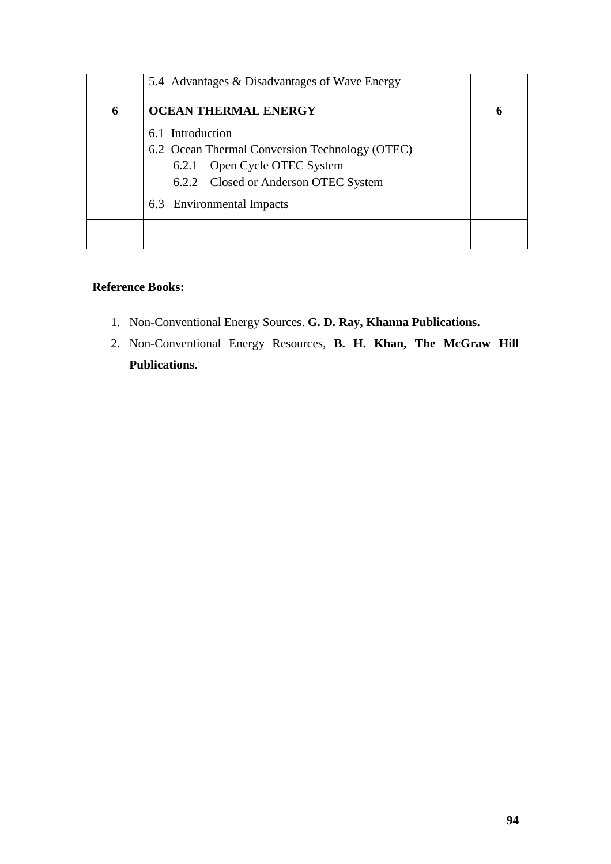|   | 5.4 Advantages & Disadvantages of Wave Energy  |  |
|---|------------------------------------------------|--|
| 6 | <b>OCEAN THERMAL ENERGY</b>                    |  |
|   | 6.1 Introduction                               |  |
|   | 6.2 Ocean Thermal Conversion Technology (OTEC) |  |
|   | 6.2.1 Open Cycle OTEC System                   |  |
|   | 6.2.2 Closed or Anderson OTEC System           |  |
|   | 6.3 Environmental Impacts                      |  |
|   |                                                |  |

# **Reference Books:**

- 1. Non-Conventional Energy Sources. **G. D. Ray, Khanna Publications.**
- 2. Non-Conventional Energy Resources, **B. H. Khan, The McGraw Hill Publications**.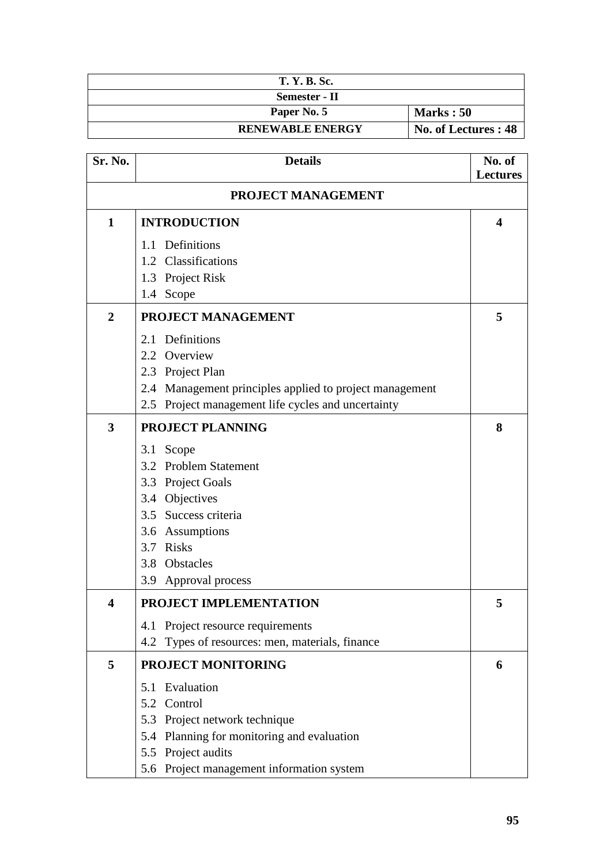| <b>T. Y. B. Sc.</b>     |                      |
|-------------------------|----------------------|
| Semester - II           |                      |
| Paper No. 5             | <b>Marks</b> : 50    |
| <b>RENEWABLE ENERGY</b> | No. of Lectures : 48 |

| Sr. No.                 | <b>Details</b>                                          | No. of<br><b>Lectures</b> |
|-------------------------|---------------------------------------------------------|---------------------------|
|                         | PROJECT MANAGEMENT                                      |                           |
| 1                       | <b>INTRODUCTION</b>                                     | 4                         |
|                         | 1.1 Definitions                                         |                           |
|                         | 1.2 Classifications                                     |                           |
|                         | 1.3 Project Risk                                        |                           |
|                         | 1.4 Scope                                               |                           |
| $\overline{2}$          | PROJECT MANAGEMENT                                      | 5                         |
|                         | 2.1 Definitions                                         |                           |
|                         | 2.2 Overview                                            |                           |
|                         | 2.3 Project Plan                                        |                           |
|                         | 2.4 Management principles applied to project management |                           |
|                         | 2.5 Project management life cycles and uncertainty      |                           |
| 3                       | <b>PROJECT PLANNING</b>                                 | 8                         |
|                         | 3.1 Scope                                               |                           |
|                         | 3.2 Problem Statement                                   |                           |
|                         | 3.3 Project Goals                                       |                           |
|                         | 3.4 Objectives                                          |                           |
|                         | 3.5 Success criteria                                    |                           |
|                         | 3.6 Assumptions                                         |                           |
|                         | 3.7 Risks                                               |                           |
|                         | 3.8 Obstacles                                           |                           |
|                         | 3.9 Approval process                                    |                           |
| $\overline{\mathbf{4}}$ | PROJECT IMPLEMENTATION                                  | 5                         |
|                         | 4.1 Project resource requirements                       |                           |
|                         | Types of resources: men, materials, finance<br>4.2      |                           |
| 5                       | PROJECT MONITORING                                      | 6                         |
|                         | 5.1 Evaluation                                          |                           |
|                         | 5.2 Control                                             |                           |
|                         | 5.3 Project network technique                           |                           |
|                         | 5.4 Planning for monitoring and evaluation              |                           |
|                         | 5.5 Project audits                                      |                           |
|                         | 5.6 Project management information system               |                           |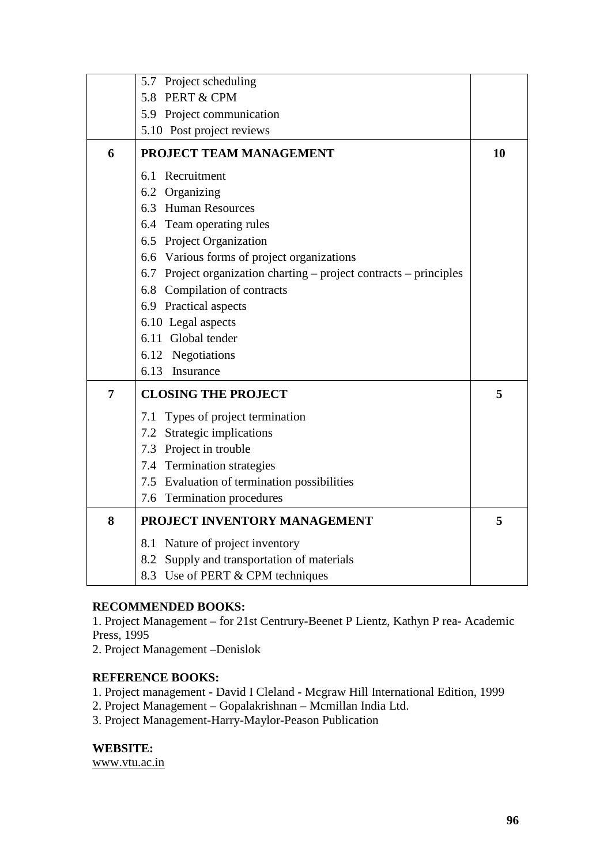|   | 5.7 Project scheduling                                             |    |
|---|--------------------------------------------------------------------|----|
|   | 5.8 PERT & CPM                                                     |    |
|   | 5.9 Project communication                                          |    |
|   | 5.10 Post project reviews                                          |    |
| 6 | PROJECT TEAM MANAGEMENT                                            | 10 |
|   | 6.1 Recruitment                                                    |    |
|   | 6.2 Organizing                                                     |    |
|   | 6.3 Human Resources                                                |    |
|   | 6.4 Team operating rules                                           |    |
|   | 6.5 Project Organization                                           |    |
|   | 6.6 Various forms of project organizations                         |    |
|   | 6.7 Project organization charting – project contracts – principles |    |
|   | 6.8 Compilation of contracts                                       |    |
|   | 6.9 Practical aspects                                              |    |
|   | 6.10 Legal aspects                                                 |    |
|   | 6.11 Global tender                                                 |    |
|   | 6.12 Negotiations                                                  |    |
|   | 6.13 Insurance                                                     |    |
| 7 | <b>CLOSING THE PROJECT</b>                                         | 5  |
|   | 7.1 Types of project termination                                   |    |
|   | 7.2 Strategic implications                                         |    |
|   | 7.3 Project in trouble                                             |    |
|   | 7.4 Termination strategies                                         |    |
|   | 7.5 Evaluation of termination possibilities                        |    |
|   | 7.6 Termination procedures                                         |    |
| 8 | PROJECT INVENTORY MANAGEMENT                                       | 5  |
|   | 8.1 Nature of project inventory                                    |    |
|   | 8.2 Supply and transportation of materials                         |    |
|   | 8.3 Use of PERT & CPM techniques                                   |    |

# **RECOMMENDED BOOKS:**

1. Project Management – for 21st Centrury-Beenet P Lientz, Kathyn P rea- Academic Press, 1995

2. Project Management –Denislok

#### **REFERENCE BOOKS:**

1. Project management - David I Cleland - Mcgraw Hill International Edition, 1999

- 2. Project Management Gopalakrishnan Mcmillan India Ltd.
- 3. Project Management-Harry-Maylor-Peason Publication

**WEBSITE:** 

www.vtu.ac.in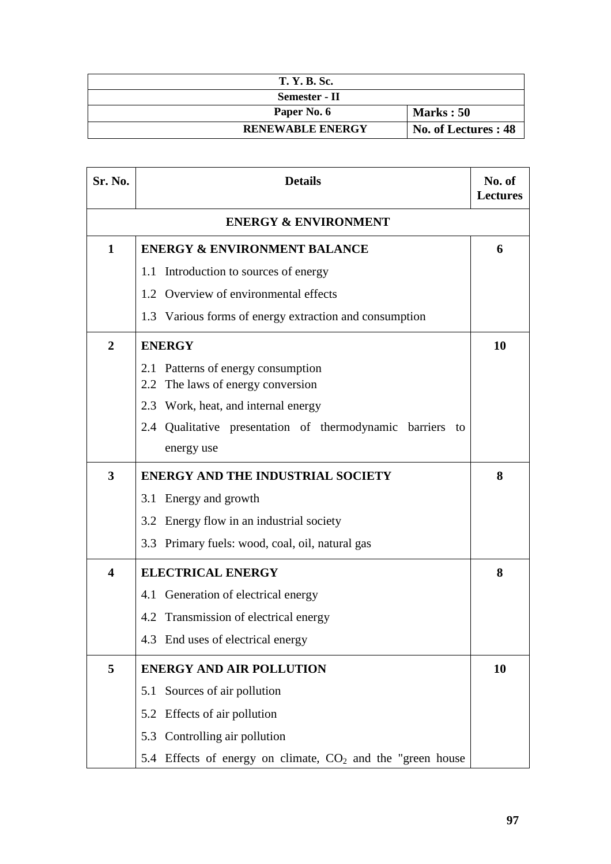| <b>T. Y. B. Sc.</b>     |                      |
|-------------------------|----------------------|
| Semester - II           |                      |
| Paper No. 6             | Marks: 50            |
| <b>RENEWABLE ENERGY</b> | No. of Lectures : 48 |

| Sr. No.                 | <b>Details</b>                                               | No. of<br><b>Lectures</b> |  |
|-------------------------|--------------------------------------------------------------|---------------------------|--|
|                         | <b>ENERGY &amp; ENVIRONMENT</b>                              |                           |  |
| $\mathbf{1}$            | <b>ENERGY &amp; ENVIRONMENT BALANCE</b>                      | 6                         |  |
|                         | 1.1 Introduction to sources of energy                        |                           |  |
|                         | 1.2 Overview of environmental effects                        |                           |  |
|                         | 1.3 Various forms of energy extraction and consumption       |                           |  |
| $\overline{2}$          | <b>ENERGY</b>                                                |                           |  |
|                         | 2.1 Patterns of energy consumption                           |                           |  |
|                         | The laws of energy conversion<br>2.2                         |                           |  |
|                         | 2.3 Work, heat, and internal energy                          |                           |  |
|                         | 2.4 Qualitative presentation of thermodynamic barriers to    |                           |  |
|                         | energy use                                                   |                           |  |
| 3                       | <b>ENERGY AND THE INDUSTRIAL SOCIETY</b>                     | 8                         |  |
|                         | 3.1 Energy and growth                                        |                           |  |
|                         | 3.2 Energy flow in an industrial society                     |                           |  |
|                         | 3.3 Primary fuels: wood, coal, oil, natural gas              |                           |  |
| $\overline{\mathbf{4}}$ | <b>ELECTRICAL ENERGY</b>                                     | 8                         |  |
|                         | 4.1 Generation of electrical energy                          |                           |  |
|                         | 4.2 Transmission of electrical energy                        |                           |  |
|                         | 4.3 End uses of electrical energy                            |                           |  |
| 5                       | <b>ENERGY AND AIR POLLUTION</b>                              | 10                        |  |
|                         | 5.1 Sources of air pollution                                 |                           |  |
|                         | 5.2 Effects of air pollution                                 |                           |  |
|                         | 5.3 Controlling air pollution                                |                           |  |
|                         | 5.4 Effects of energy on climate, $CO2$ and the "green house |                           |  |